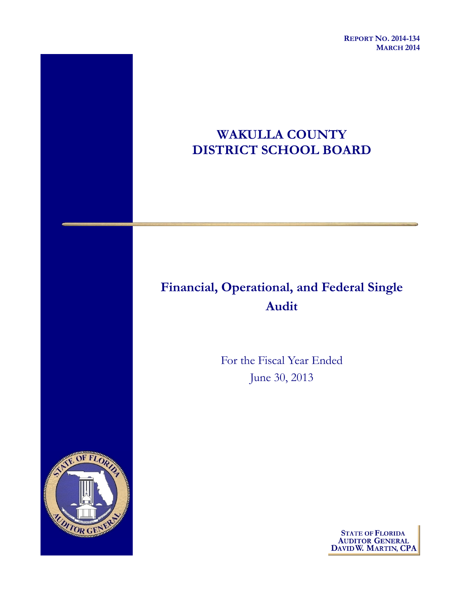**REPORT NO. 2014-134 MARCH 2014** 



## **Financial, Operational, and Federal Single Audit**

For the Fiscal Year Ended June 30, 2013



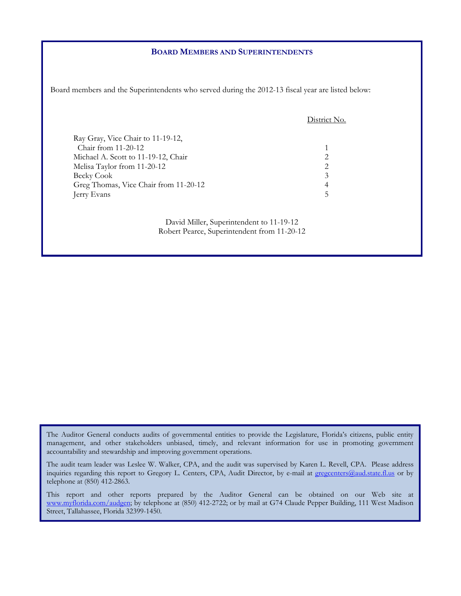#### **BOARD MEMBERS AND SUPERINTENDENTS**

Board members and the Superintendents who served during the 2012-13 fiscal year are listed below:

#### District No.

| Ray Gray, Vice Chair to 11-19-12,     |                             |
|---------------------------------------|-----------------------------|
| Chair from 11-20-12                   |                             |
| Michael A. Scott to 11-19-12, Chair   | $\mathcal{D}_{\mathcal{L}}$ |
| Melisa Taylor from 11-20-12           | 2                           |
| Becky Cook                            | 3                           |
| Greg Thomas, Vice Chair from 11-20-12 | 4                           |
| Jerry Evans                           | 5                           |
|                                       |                             |

David Miller, Superintendent to 11-19-12 Robert Pearce, Superintendent from 11-20-12

The Auditor General conducts audits of governmental entities to provide the Legislature, Florida's citizens, public entity management, and other stakeholders unbiased, timely, and relevant information for use in promoting government accountability and stewardship and improving government operations.

The audit team leader was Leslee W. Walker, CPA, and the audit was supervised by Karen L. Revell, CPA. Please address inquiries regarding this report to Gregory L. Centers, CPA, Audit Director, by e-mail at gregcenters@aud.state.fl.us or by telephone at (850) 412-2863.

This report and other reports prepared by the Auditor General can be obtained on our Web site at www.myflorida.com/audgen; by telephone at (850) 412-2722; or by mail at G74 Claude Pepper Building, 111 West Madison Street, Tallahassee, Florida 32399-1450.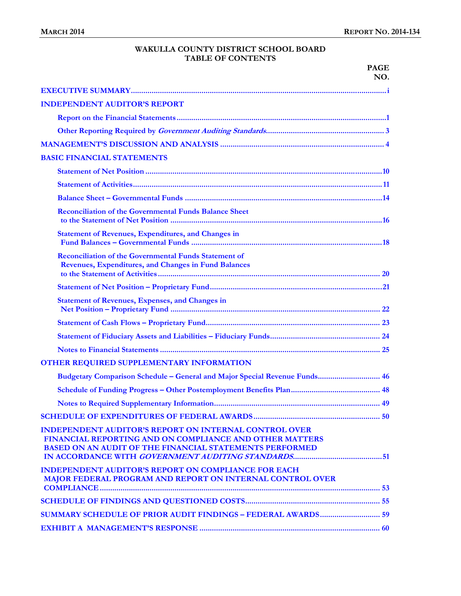#### **WAKULLA COUNTY DISTRICT SCHOOL BOARD TABLE OF CONTENTS**

| <b>PAGE</b><br>NO.                                                                                                                                                                               |
|--------------------------------------------------------------------------------------------------------------------------------------------------------------------------------------------------|
|                                                                                                                                                                                                  |
| <b>INDEPENDENT AUDITOR'S REPORT</b>                                                                                                                                                              |
|                                                                                                                                                                                                  |
|                                                                                                                                                                                                  |
|                                                                                                                                                                                                  |
| <b>BASIC FINANCIAL STATEMENTS</b>                                                                                                                                                                |
|                                                                                                                                                                                                  |
|                                                                                                                                                                                                  |
|                                                                                                                                                                                                  |
| <b>Reconciliation of the Governmental Funds Balance Sheet</b>                                                                                                                                    |
| <b>Statement of Revenues, Expenditures, and Changes in</b>                                                                                                                                       |
| <b>Reconciliation of the Governmental Funds Statement of</b><br><b>Revenues, Expenditures, and Changes in Fund Balances</b>                                                                      |
|                                                                                                                                                                                                  |
| <b>Statement of Revenues, Expenses, and Changes in</b>                                                                                                                                           |
|                                                                                                                                                                                                  |
|                                                                                                                                                                                                  |
|                                                                                                                                                                                                  |
| OTHER REQUIRED SUPPLEMENTARY INFORMATION                                                                                                                                                         |
| Budgetary Comparison Schedule - General and Major Special Revenue Funds 46                                                                                                                       |
|                                                                                                                                                                                                  |
|                                                                                                                                                                                                  |
|                                                                                                                                                                                                  |
| <b>INDEPENDENT AUDITOR'S REPORT ON INTERNAL CONTROL OVER</b><br><b>FINANCIAL REPORTING AND ON COMPLIANCE AND OTHER MATTERS</b><br><b>BASED ON AN AUDIT OF THE FINANCIAL STATEMENTS PERFORMED</b> |
| <b>INDEPENDENT AUDITOR'S REPORT ON COMPLIANCE FOR EACH</b><br><b>MAJOR FEDERAL PROGRAM AND REPORT ON INTERNAL CONTROL OVER</b>                                                                   |
|                                                                                                                                                                                                  |
| <b>SUMMARY SCHEDULE OF PRIOR AUDIT FINDINGS - FEDERAL AWARDS 59</b>                                                                                                                              |
|                                                                                                                                                                                                  |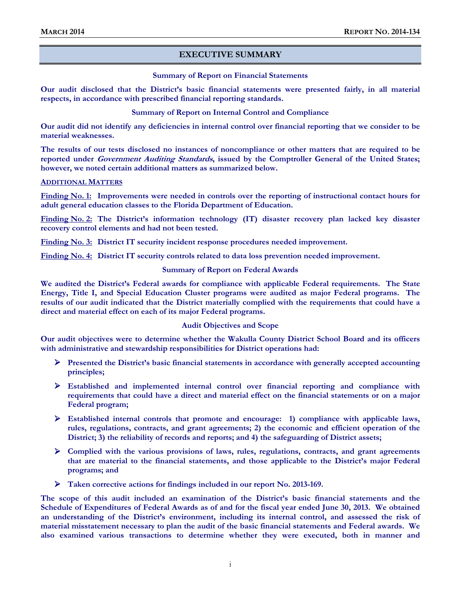#### **EXECUTIVE SUMMARY**

#### **Summary of Report on Financial Statements**

<span id="page-3-0"></span>**Our audit disclosed that the District's basic financial statements were presented fairly, in all material respects, in accordance with prescribed financial reporting standards.** 

#### **Summary of Report on Internal Control and Compliance**

**Our audit did not identify any deficiencies in internal control over financial reporting that we consider to be material weaknesses.** 

**The results of our tests disclosed no instances of noncompliance or other matters that are required to be reported under Government Auditing Standards, issued by the Comptroller General of the United States; however, we noted certain additional matters as summarized below.** 

#### **ADDITIONAL MATTERS**

**Finding No. 1: Improvements were needed in controls over the reporting of instructional contact hours for adult general education classes to the Florida Department of Education.** 

**Finding No. 2: The District's information technology (IT) disaster recovery plan lacked key disaster recovery control elements and had not been tested.** 

**Finding No. 3: District IT security incident response procedures needed improvement.** 

**Finding No. 4: District IT security controls related to data loss prevention needed improvement.** 

#### **Summary of Report on Federal Awards**

**We audited the District's Federal awards for compliance with applicable Federal requirements. The State Energy, Title I, and Special Education Cluster programs were audited as major Federal programs. The results of our audit indicated that the District materially complied with the requirements that could have a direct and material effect on each of its major Federal programs.** 

#### **Audit Objectives and Scope**

**Our audit objectives were to determine whether the Wakulla County District School Board and its officers with administrative and stewardship responsibilities for District operations had:** 

- **Presented the District's basic financial statements in accordance with generally accepted accounting principles;**
- **Established and implemented internal control over financial reporting and compliance with requirements that could have a direct and material effect on the financial statements or on a major Federal program;**
- **Established internal controls that promote and encourage: 1) compliance with applicable laws, rules, regulations, contracts, and grant agreements; 2) the economic and efficient operation of the District; 3) the reliability of records and reports; and 4) the safeguarding of District assets;**
- **Complied with the various provisions of laws, rules, regulations, contracts, and grant agreements that are material to the financial statements, and those applicable to the District's major Federal programs; and**
- **Taken corrective actions for findings included in our report No. 2013-169.**

**The scope of this audit included an examination of the District's basic financial statements and the Schedule of Expenditures of Federal Awards as of and for the fiscal year ended June 30, 2013. We obtained an understanding of the District's environment, including its internal control, and assessed the risk of material misstatement necessary to plan the audit of the basic financial statements and Federal awards. We also examined various transactions to determine whether they were executed, both in manner and**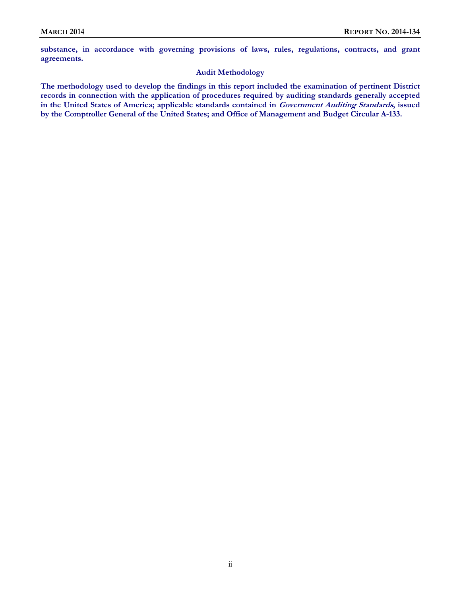**substance, in accordance with governing provisions of laws, rules, regulations, contracts, and grant agreements.** 

#### **Audit Methodology**

**The methodology used to develop the findings in this report included the examination of pertinent District records in connection with the application of procedures required by auditing standards generally accepted in the United States of America; applicable standards contained in Government Auditing Standards, issued by the Comptroller General of the United States; and Office of Management and Budget Circular A-133.**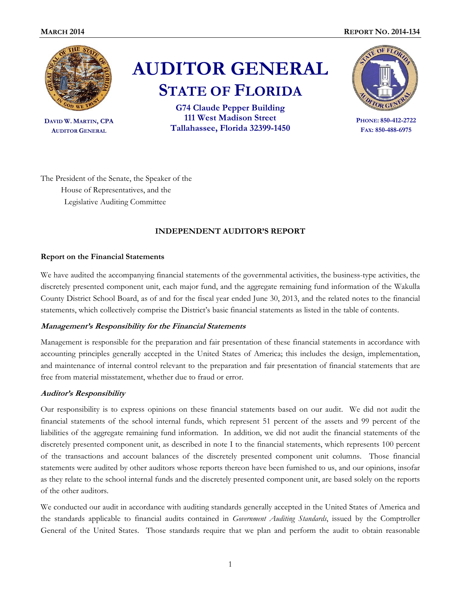<span id="page-5-0"></span>

**DAVID W. MARTIN, CPA AUDITOR GENERAL**

# **AUDITOR GENERAL STATE OF FLORIDA**

**G74 Claude Pepper Building 111 West Madison Street Tallahassee, Florida 32399-1450** 



**PHONE: 850-412-2722 FAX: 850-488-6975**

The President of the Senate, the Speaker of the House of Representatives, and the Legislative Auditing Committee

#### **INDEPENDENT AUDITOR'S REPORT**

#### **Report on the Financial Statements**

We have audited the accompanying financial statements of the governmental activities, the business-type activities, the discretely presented component unit, each major fund, and the aggregate remaining fund information of the Wakulla County District School Board, as of and for the fiscal year ended June 30, 2013, and the related notes to the financial statements, which collectively comprise the District's basic financial statements as listed in the table of contents.

#### **Management's Responsibility for the Financial Statements**

Management is responsible for the preparation and fair presentation of these financial statements in accordance with accounting principles generally accepted in the United States of America; this includes the design, implementation, and maintenance of internal control relevant to the preparation and fair presentation of financial statements that are free from material misstatement, whether due to fraud or error.

#### **Auditor's Responsibility**

Our responsibility is to express opinions on these financial statements based on our audit. We did not audit the financial statements of the school internal funds, which represent 51 percent of the assets and 99 percent of the liabilities of the aggregate remaining fund information. In addition, we did not audit the financial statements of the discretely presented component unit, as described in note I to the financial statements, which represents 100 percent of the transactions and account balances of the discretely presented component unit columns. Those financial statements were audited by other auditors whose reports thereon have been furnished to us, and our opinions, insofar as they relate to the school internal funds and the discretely presented component unit, are based solely on the reports of the other auditors.

We conducted our audit in accordance with auditing standards generally accepted in the United States of America and the standards applicable to financial audits contained in *Government Auditing Standards*, issued by the Comptroller General of the United States. Those standards require that we plan and perform the audit to obtain reasonable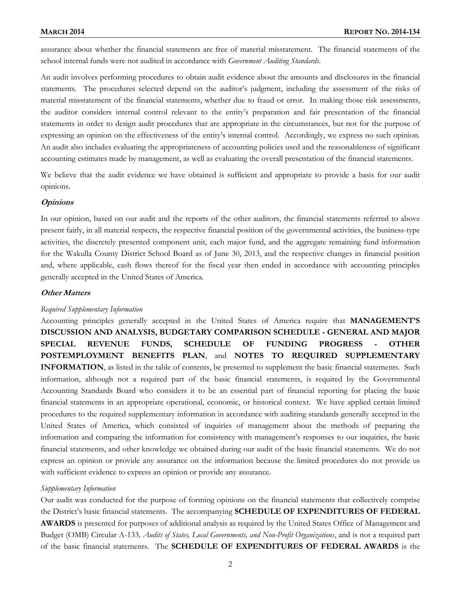assurance about whether the financial statements are free of material misstatement. The financial statements of the school internal funds were not audited in accordance with *Government Auditing Standards*.

An audit involves performing procedures to obtain audit evidence about the amounts and disclosures in the financial statements. The procedures selected depend on the auditor's judgment, including the assessment of the risks of material misstatement of the financial statements, whether due to fraud or error. In making those risk assessments, the auditor considers internal control relevant to the entity's preparation and fair presentation of the financial statements in order to design audit procedures that are appropriate in the circumstances, but not for the purpose of expressing an opinion on the effectiveness of the entity's internal control. Accordingly, we express no such opinion. An audit also includes evaluating the appropriateness of accounting policies used and the reasonableness of significant accounting estimates made by management, as well as evaluating the overall presentation of the financial statements.

We believe that the audit evidence we have obtained is sufficient and appropriate to provide a basis for our audit opinions.

#### **Opinions**

In our opinion, based on our audit and the reports of the other auditors, the financial statements referred to above present fairly, in all material respects, the respective financial position of the governmental activities, the business-type activities, the discretely presented component unit, each major fund, and the aggregate remaining fund information for the Wakulla County District School Board as of June 30, 2013, and the respective changes in financial position and, where applicable, cash flows thereof for the fiscal year then ended in accordance with accounting principles generally accepted in the United States of America.

#### **Other Matters**

#### *Required Supplementary Information*

Accounting principles generally accepted in the United States of America require that **MANAGEMENT'S DISCUSSION AND ANALYSIS, BUDGETARY COMPARISON SCHEDULE - GENERAL AND MAJOR SPECIAL REVENUE FUNDS, SCHEDULE OF FUNDING PROGRESS - OTHER POSTEMPLOYMENT BENEFITS PLAN**, and **NOTES TO REQUIRED SUPPLEMENTARY INFORMATION**, as listed in the table of contents, be presented to supplement the basic financial statements. Such information, although not a required part of the basic financial statements, is required by the Governmental Accounting Standards Board who considers it to be an essential part of financial reporting for placing the basic financial statements in an appropriate operational, economic, or historical context. We have applied certain limited procedures to the required supplementary information in accordance with auditing standards generally accepted in the United States of America, which consisted of inquiries of management about the methods of preparing the information and comparing the information for consistency with management's responses to our inquiries, the basic financial statements, and other knowledge we obtained during our audit of the basic financial statements. We do not express an opinion or provide any assurance on the information because the limited procedures do not provide us with sufficient evidence to express an opinion or provide any assurance.

#### *Supplementary Information*

Our audit was conducted for the purpose of forming opinions on the financial statements that collectively comprise the District's basic financial statements. The accompanying **SCHEDULE OF EXPENDITURES OF FEDERAL AWARDS** is presented for purposes of additional analysis as required by the United States Office of Management and Budget (OMB) Circular A-133*, Audits of States, Local Governments, and Non-Profit Organizations*, and is not a required part of the basic financial statements. The **SCHEDULE OF EXPENDITURES OF FEDERAL AWARDS** is the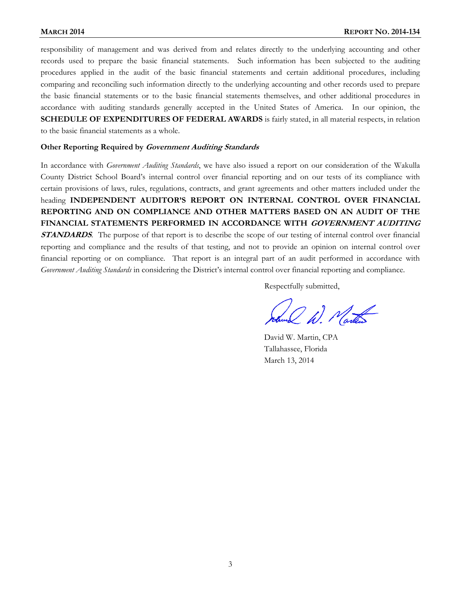<span id="page-7-0"></span>responsibility of management and was derived from and relates directly to the underlying accounting and other records used to prepare the basic financial statements. Such information has been subjected to the auditing procedures applied in the audit of the basic financial statements and certain additional procedures, including comparing and reconciling such information directly to the underlying accounting and other records used to prepare the basic financial statements or to the basic financial statements themselves, and other additional procedures in accordance with auditing standards generally accepted in the United States of America. In our opinion, the **SCHEDULE OF EXPENDITURES OF FEDERAL AWARDS** is fairly stated, in all material respects, in relation to the basic financial statements as a whole.

#### **Other Reporting Required by Government Auditing Standards**

In accordance with *Government Auditing Standards*, we have also issued a report on our consideration of the Wakulla County District School Board's internal control over financial reporting and on our tests of its compliance with certain provisions of laws, rules, regulations, contracts, and grant agreements and other matters included under the heading **INDEPENDENT AUDITOR'S REPORT ON INTERNAL CONTROL OVER FINANCIAL REPORTING AND ON COMPLIANCE AND OTHER MATTERS BASED ON AN AUDIT OF THE FINANCIAL STATEMENTS PERFORMED IN ACCORDANCE WITH GOVERNMENT AUDITING** 

**STANDARDS**.The purpose of that report is to describe the scope of our testing of internal control over financial reporting and compliance and the results of that testing, and not to provide an opinion on internal control over financial reporting or on compliance. That report is an integral part of an audit performed in accordance with *Government Auditing Standards* in considering the District's internal control over financial reporting and compliance.

Respectfully submitted,

Oh) Martin

David W. Martin, CPA Tallahassee, Florida March 13, 2014

3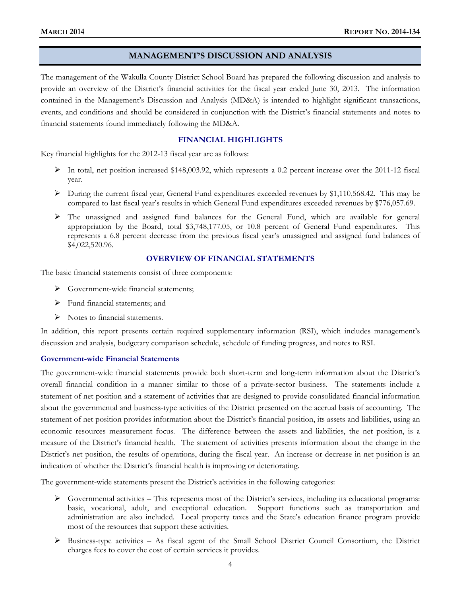#### **MANAGEMENT'S DISCUSSION AND ANALYSIS**

<span id="page-8-0"></span>The management of the Wakulla County District School Board has prepared the following discussion and analysis to provide an overview of the District's financial activities for the fiscal year ended June 30, 2013. The information contained in the Management's Discussion and Analysis (MD&A) is intended to highlight significant transactions, events, and conditions and should be considered in conjunction with the District's financial statements and notes to financial statements found immediately following the MD&A.

#### **FINANCIAL HIGHLIGHTS**

Key financial highlights for the 2012-13 fiscal year are as follows:

- $\triangleright$  In total, net position increased \$148,003.92, which represents a 0.2 percent increase over the 2011-12 fiscal year.
- $\triangleright$  During the current fiscal year, General Fund expenditures exceeded revenues by \$1,110,568.42. This may be compared to last fiscal year's results in which General Fund expenditures exceeded revenues by \$776,057.69.
- $\triangleright$  The unassigned and assigned fund balances for the General Fund, which are available for general appropriation by the Board, total \$3,748,177.05, or 10.8 percent of General Fund expenditures. This represents a 6.8 percent decrease from the previous fiscal year's unassigned and assigned fund balances of \$4,022,520.96.

#### **OVERVIEW OF FINANCIAL STATEMENTS**

The basic financial statements consist of three components:

- Sovernment-wide financial statements;
- Fund financial statements; and
- $\triangleright$  Notes to financial statements.

In addition, this report presents certain required supplementary information (RSI), which includes management's discussion and analysis, budgetary comparison schedule, schedule of funding progress, and notes to RSI.

#### **Government-wide Financial Statements**

The government-wide financial statements provide both short-term and long-term information about the District's overall financial condition in a manner similar to those of a private-sector business. The statements include a statement of net position and a statement of activities that are designed to provide consolidated financial information about the governmental and business-type activities of the District presented on the accrual basis of accounting. The statement of net position provides information about the District's financial position, its assets and liabilities, using an economic resources measurement focus. The difference between the assets and liabilities, the net position, is a measure of the District's financial health. The statement of activities presents information about the change in the District's net position, the results of operations, during the fiscal year. An increase or decrease in net position is an indication of whether the District's financial health is improving or deteriorating.

The government-wide statements present the District's activities in the following categories:

- $\triangleright$  Governmental activities This represents most of the District's services, including its educational programs: basic, vocational, adult, and exceptional education. Support functions such as transportation and administration are also included. Local property taxes and the State's education finance program provide most of the resources that support these activities.
- $\triangleright$  Business-type activities As fiscal agent of the Small School District Council Consortium, the District charges fees to cover the cost of certain services it provides.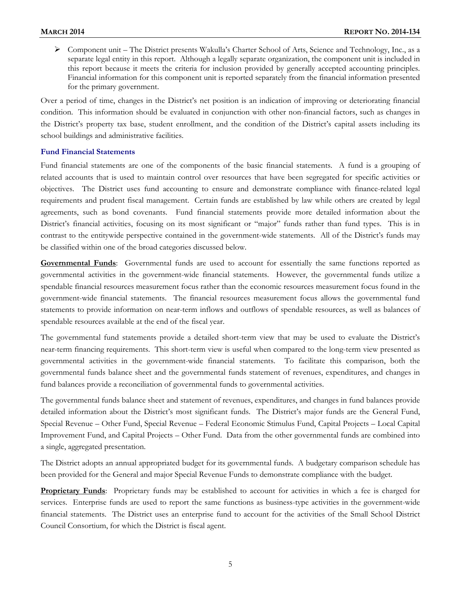Component unit – The District presents Wakulla's Charter School of Arts, Science and Technology, Inc., as a separate legal entity in this report. Although a legally separate organization, the component unit is included in this report because it meets the criteria for inclusion provided by generally accepted accounting principles. Financial information for this component unit is reported separately from the financial information presented for the primary government.

Over a period of time, changes in the District's net position is an indication of improving or deteriorating financial condition. This information should be evaluated in conjunction with other non-financial factors, such as changes in the District's property tax base, student enrollment, and the condition of the District's capital assets including its school buildings and administrative facilities.

#### **Fund Financial Statements**

Fund financial statements are one of the components of the basic financial statements. A fund is a grouping of related accounts that is used to maintain control over resources that have been segregated for specific activities or objectives. The District uses fund accounting to ensure and demonstrate compliance with finance-related legal requirements and prudent fiscal management. Certain funds are established by law while others are created by legal agreements, such as bond covenants. Fund financial statements provide more detailed information about the District's financial activities, focusing on its most significant or "major" funds rather than fund types. This is in contrast to the entitywide perspective contained in the government-wide statements. All of the District's funds may be classified within one of the broad categories discussed below.

**Governmental Funds**: Governmental funds are used to account for essentially the same functions reported as governmental activities in the government-wide financial statements. However, the governmental funds utilize a spendable financial resources measurement focus rather than the economic resources measurement focus found in the government-wide financial statements. The financial resources measurement focus allows the governmental fund statements to provide information on near-term inflows and outflows of spendable resources, as well as balances of spendable resources available at the end of the fiscal year.

The governmental fund statements provide a detailed short-term view that may be used to evaluate the District's near-term financing requirements. This short-term view is useful when compared to the long-term view presented as governmental activities in the government-wide financial statements. To facilitate this comparison, both the governmental funds balance sheet and the governmental funds statement of revenues, expenditures, and changes in fund balances provide a reconciliation of governmental funds to governmental activities.

The governmental funds balance sheet and statement of revenues, expenditures, and changes in fund balances provide detailed information about the District's most significant funds. The District's major funds are the General Fund, Special Revenue – Other Fund, Special Revenue – Federal Economic Stimulus Fund, Capital Projects – Local Capital Improvement Fund, and Capital Projects – Other Fund. Data from the other governmental funds are combined into a single, aggregated presentation.

The District adopts an annual appropriated budget for its governmental funds. A budgetary comparison schedule has been provided for the General and major Special Revenue Funds to demonstrate compliance with the budget.

**Proprietary Funds**: Proprietary funds may be established to account for activities in which a fee is charged for services. Enterprise funds are used to report the same functions as business-type activities in the government-wide financial statements. The District uses an enterprise fund to account for the activities of the Small School District Council Consortium, for which the District is fiscal agent.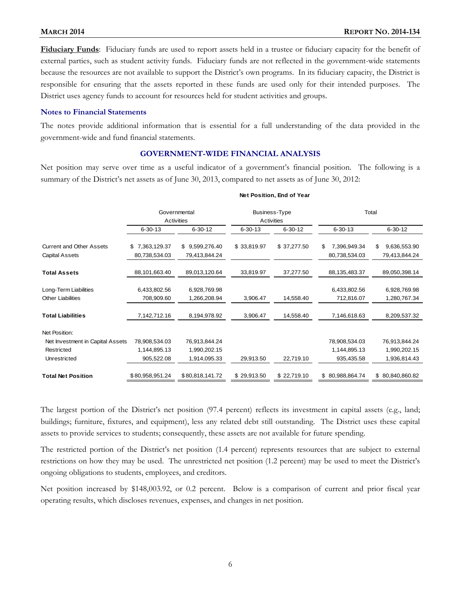**Fiduciary Funds**: Fiduciary funds are used to report assets held in a trustee or fiduciary capacity for the benefit of external parties, such as student activity funds. Fiduciary funds are not reflected in the government-wide statements because the resources are not available to support the District's own programs. In its fiduciary capacity, the District is responsible for ensuring that the assets reported in these funds are used only for their intended purposes. The District uses agency funds to account for resources held for student activities and groups.

#### **Notes to Financial Statements**

The notes provide additional information that is essential for a full understanding of the data provided in the government-wide and fund financial statements.

#### **GOVERNMENT-WIDE FINANCIAL ANALYSIS**

Net position may serve over time as a useful indicator of a government's financial position. The following is a summary of the District's net assets as of June 30, 2013, compared to net assets as of June 30, 2012:

|                                  |                    | Governmental    | Business-Type |               |                    | Total              |
|----------------------------------|--------------------|-----------------|---------------|---------------|--------------------|--------------------|
|                                  |                    | Activities      |               | Activities    |                    |                    |
|                                  | $6 - 30 - 13$      | $6 - 30 - 12$   | $6 - 30 - 13$ | $6 - 30 - 12$ | $6 - 30 - 13$      | $6 - 30 - 12$      |
| <b>Current and Other Assets</b>  | 7,363,129.37<br>\$ | \$9,599,276.40  | \$33,819.97   | \$37,277.50   | \$<br>7,396,949.34 | \$<br>9,636,553.90 |
| <b>Capital Assets</b>            | 80,738,534.03      | 79,413,844.24   |               |               | 80,738,534.03      | 79,413,844.24      |
| <b>Total Assets</b>              | 88,101,663.40      | 89,013,120.64   | 33,819.97     | 37,277.50     | 88,135,483.37      | 89,050,398.14      |
| Long-Term Liabilities            | 6,433,802.56       | 6,928,769.98    |               |               | 6,433,802.56       | 6,928,769.98       |
| <b>Other Liabilities</b>         | 708,909.60         | 1,266,208.94    | 3,906.47      | 14,558.40     | 712,816.07         | 1,280,767.34       |
| <b>Total Liabilities</b>         | 7,142,712.16       | 8,194,978.92    | 3,906.47      | 14,558.40     | 7,146,618.63       | 8,209,537.32       |
| Net Position:                    |                    |                 |               |               |                    |                    |
| Net Investment in Capital Assets | 78,908,534.03      | 76,913,844.24   |               |               | 78,908,534.03      | 76,913,844.24      |
| Restricted                       | 1,144,895.13       | 1,990,202.15    |               |               | 1,144,895.13       | 1,990,202.15       |
| Unrestricted                     | 905,522.08         | 1,914,095.33    | 29,913.50     | 22,719.10     | 935,435.58         | 1,936,814.43       |
| <b>Total Net Position</b>        | \$80,958,951.24    | \$80,818,141.72 | \$29,913.50   | \$22,719.10   | \$80,988,864.74    | \$80,840,860.82    |

#### **Net Position, End of Year**

The largest portion of the District's net position (97.4 percent) reflects its investment in capital assets (e.g., land; buildings; furniture, fixtures, and equipment), less any related debt still outstanding. The District uses these capital assets to provide services to students; consequently, these assets are not available for future spending.

The restricted portion of the District's net position (1.4 percent) represents resources that are subject to external restrictions on how they may be used. The unrestricted net position (1.2 percent) may be used to meet the District's ongoing obligations to students, employees, and creditors.

Net position increased by \$148,003.92, or 0.2 percent. Below is a comparison of current and prior fiscal year operating results, which discloses revenues, expenses, and changes in net position.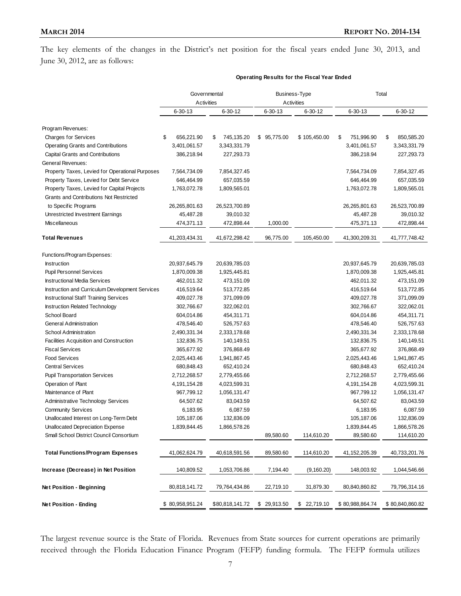The key elements of the changes in the District's net position for the fiscal years ended June 30, 2013, and June 30, 2012, are as follows:

|                                                       | Governmental<br>Activities    |                  | <b>Business-Type</b><br>Activities |               |                               | Total                         |
|-------------------------------------------------------|-------------------------------|------------------|------------------------------------|---------------|-------------------------------|-------------------------------|
|                                                       | $6 - 30 - 13$                 | $6 - 30 - 12$    | $6 - 30 - 13$                      | $6 - 30 - 12$ | $6 - 30 - 13$                 | $6 - 30 - 12$                 |
|                                                       |                               |                  |                                    |               |                               |                               |
| Program Revenues:                                     |                               |                  |                                    |               |                               |                               |
| <b>Charges for Services</b>                           | \$<br>656,221.90              | 745,135.20<br>\$ | \$95,775.00                        | \$105,450.00  | \$<br>751,996.90              | 850,585.20<br>\$              |
| Operating Grants and Contributions                    | 3,401,061.57                  | 3,343,331.79     |                                    |               | 3,401,061.57                  | 3,343,331.79                  |
| Capital Grants and Contributions                      | 386,218.94                    | 227,293.73       |                                    |               | 386,218.94                    | 227,293.73                    |
| <b>General Revenues:</b>                              |                               |                  |                                    |               |                               |                               |
| Property Taxes, Levied for Operational Purposes       | 7,564,734.09                  | 7,854,327.45     |                                    |               | 7,564,734.09                  | 7,854,327.45                  |
| Property Taxes, Levied for Debt Service               | 646,464.99                    | 657,035.59       |                                    |               | 646,464.99                    | 657,035.59                    |
| Property Taxes, Levied for Capital Projects           | 1,763,072.78                  | 1,809,565.01     |                                    |               | 1,763,072.78                  | 1,809,565.01                  |
| Grants and Contributions Not Restricted               |                               |                  |                                    |               |                               |                               |
| to Specific Programs                                  | 26,265,801.63                 | 26,523,700.89    |                                    |               | 26,265,801.63                 | 26,523,700.89                 |
| Unrestricted Investment Earnings                      | 45,487.28                     | 39,010.32        |                                    |               | 45,487.28                     | 39,010.32                     |
| Miscellaneous                                         | 474,371.13                    | 472,898.44       | 1,000.00                           |               | 475,371.13                    | 472,898.44                    |
| <b>Total Revenues</b>                                 | 41,203,434.31                 | 41,672,298.42    | 96,775.00                          | 105,450.00    | 41,300,209.31                 | 41,777,748.42                 |
|                                                       |                               |                  |                                    |               |                               |                               |
| Functions/Program Expenses:                           |                               |                  |                                    |               |                               |                               |
| <b>Instruction</b><br><b>Pupil Personnel Services</b> | 20,937,645.79<br>1,870,009.38 | 20,639,785.03    |                                    |               | 20,937,645.79<br>1,870,009.38 | 20,639,785.03<br>1,925,445.81 |
| <b>Instructional Media Services</b>                   |                               | 1,925,445.81     |                                    |               |                               |                               |
|                                                       | 462,011.32                    | 473,151.09       |                                    |               | 462,011.32                    | 473,151.09                    |
| Instruction and Curriculum Development Services       | 416,519.64                    | 513,772.85       |                                    |               | 416,519.64                    | 513,772.85                    |
| <b>Instructional Staff Training Services</b>          | 409,027.78                    | 371,099.09       |                                    |               | 409,027.78                    | 371,099.09                    |
| <b>Instruction Related Technology</b>                 | 302,766.67                    | 322,062.01       |                                    |               | 302,766.67                    | 322,062.01                    |
| <b>School Board</b>                                   | 604,014.86                    | 454,311.71       |                                    |               | 604,014.86                    | 454,311.71                    |
| General Administration                                | 478,546.40                    | 526,757.63       |                                    |               | 478,546.40                    | 526,757.63                    |
| <b>School Administration</b>                          | 2,490,331.34                  | 2,333,178.68     |                                    |               | 2,490,331.34                  | 2,333,178.68                  |
| <b>Facilities Acquisition and Construction</b>        | 132,836.75                    | 140,149.51       |                                    |               | 132,836.75                    | 140,149.51                    |
| <b>Fiscal Services</b>                                | 365,677.92                    | 376,868.49       |                                    |               | 365,677.92                    | 376,868.49                    |
| <b>Food Services</b>                                  | 2,025,443.46                  | 1,941,867.45     |                                    |               | 2,025,443.46                  | 1,941,867.45                  |
| <b>Central Services</b>                               | 680,848.43                    | 652,410.24       |                                    |               | 680,848.43                    | 652,410.24                    |
| <b>Pupil Transportation Services</b>                  | 2,712,268.57                  | 2,779,455.66     |                                    |               | 2,712,268.57                  | 2,779,455.66                  |
| Operation of Plant                                    | 4,191,154.28                  | 4,023,599.31     |                                    |               | 4,191,154.28                  | 4,023,599.31                  |
| Maintenance of Plant                                  | 967,799.12                    | 1,056,131.47     |                                    |               | 967,799.12                    | 1,056,131.47                  |
| Administrative Technology Services                    | 64,507.62                     | 83,043.59        |                                    |               | 64,507.62                     | 83,043.59                     |
| <b>Community Services</b>                             | 6,183.95                      | 6,087.59         |                                    |               | 6,183.95                      | 6,087.59                      |
| Unallocated Interest on Long-Term Debt                | 105,187.06                    | 132,836.09       |                                    |               | 105,187.06                    | 132,836.09                    |
| Unallocated Depreciation Expense                      | 1,839,844.45                  | 1,866,578.26     |                                    |               | 1,839,844.45                  | 1,866,578.26                  |
| Small School District Council Consortium              |                               |                  | 89,580.60                          | 114,610.20    | 89,580.60                     | 114,610.20                    |
| <b>Total Functions/Program Expenses</b>               | 41,062,624.79                 | 40,618,591.56    | 89,580.60                          | 114,610.20    | 41, 152, 205. 39              | 40,733,201.76                 |
| Increase (Decrease) in Net Position                   | 140,809.52                    | 1,053,706.86     | 7,194.40                           | (9,160.20)    | 148,003.92                    | 1,044,546.66                  |
| <b>Net Position - Beginning</b>                       | 80,818,141.72                 | 79,764,434.86    | 22,719.10                          | 31,879.30     | 80,840,860.82                 | 79,796,314.16                 |
| <b>Net Position - Ending</b>                          | \$80,958,951.24               | \$80,818,141.72  | \$ 29,913.50                       | \$ 22,719.10  | \$80,988,864.74               | \$80,840,860.82               |

#### **Operating Results for the Fiscal Year Ended**

The largest revenue source is the State of Florida. Revenues from State sources for current operations are primarily received through the Florida Education Finance Program (FEFP) funding formula. The FEFP formula utilizes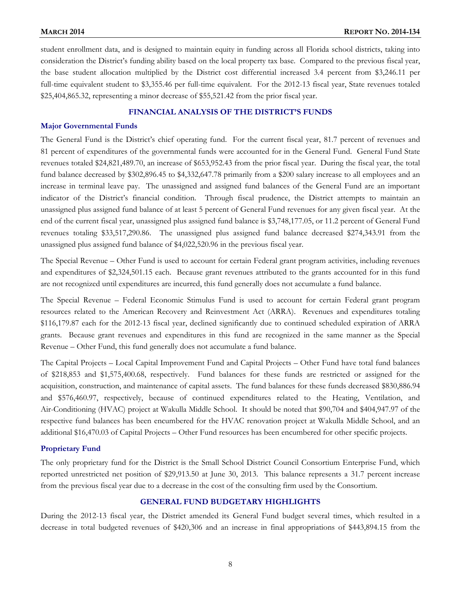student enrollment data, and is designed to maintain equity in funding across all Florida school districts, taking into consideration the District's funding ability based on the local property tax base. Compared to the previous fiscal year, the base student allocation multiplied by the District cost differential increased 3.4 percent from \$3,246.11 per full-time equivalent student to \$3,355.46 per full-time equivalent. For the 2012-13 fiscal year, State revenues totaled \$25,404,865.32, representing a minor decrease of \$55,521.42 from the prior fiscal year.

#### **FINANCIAL ANALYSIS OF THE DISTRICT'S FUNDS**

#### **Major Governmental Funds**

The General Fund is the District's chief operating fund. For the current fiscal year, 81.7 percent of revenues and 81 percent of expenditures of the governmental funds were accounted for in the General Fund. General Fund State revenues totaled \$24,821,489.70, an increase of \$653,952.43 from the prior fiscal year. During the fiscal year, the total fund balance decreased by \$302,896.45 to \$4,332,647.78 primarily from a \$200 salary increase to all employees and an increase in terminal leave pay. The unassigned and assigned fund balances of the General Fund are an important indicator of the District's financial condition. Through fiscal prudence, the District attempts to maintain an unassigned plus assigned fund balance of at least 5 percent of General Fund revenues for any given fiscal year. At the end of the current fiscal year, unassigned plus assigned fund balance is \$3,748,177.05, or 11.2 percent of General Fund revenues totaling \$33,517,290.86. The unassigned plus assigned fund balance decreased \$274,343.91 from the unassigned plus assigned fund balance of \$4,022,520.96 in the previous fiscal year.

The Special Revenue – Other Fund is used to account for certain Federal grant program activities, including revenues and expenditures of \$2,324,501.15 each. Because grant revenues attributed to the grants accounted for in this fund are not recognized until expenditures are incurred, this fund generally does not accumulate a fund balance.

The Special Revenue – Federal Economic Stimulus Fund is used to account for certain Federal grant program resources related to the American Recovery and Reinvestment Act (ARRA). Revenues and expenditures totaling \$116,179.87 each for the 2012-13 fiscal year, declined significantly due to continued scheduled expiration of ARRA grants. Because grant revenues and expenditures in this fund are recognized in the same manner as the Special Revenue – Other Fund, this fund generally does not accumulate a fund balance.

The Capital Projects – Local Capital Improvement Fund and Capital Projects – Other Fund have total fund balances of \$218,853 and \$1,575,400.68, respectively. Fund balances for these funds are restricted or assigned for the acquisition, construction, and maintenance of capital assets. The fund balances for these funds decreased \$830,886.94 and \$576,460.97, respectively, because of continued expenditures related to the Heating, Ventilation, and Air-Conditioning (HVAC) project at Wakulla Middle School. It should be noted that \$90,704 and \$404,947.97 of the respective fund balances has been encumbered for the HVAC renovation project at Wakulla Middle School, and an additional \$16,470.03 of Capital Projects – Other Fund resources has been encumbered for other specific projects.

#### **Proprietary Fund**

The only proprietary fund for the District is the Small School District Council Consortium Enterprise Fund, which reported unrestricted net position of \$29,913.50 at June 30, 2013. This balance represents a 31.7 percent increase from the previous fiscal year due to a decrease in the cost of the consulting firm used by the Consortium.

#### **GENERAL FUND BUDGETARY HIGHLIGHTS**

During the 2012-13 fiscal year, the District amended its General Fund budget several times, which resulted in a decrease in total budgeted revenues of \$420,306 and an increase in final appropriations of \$443,894.15 from the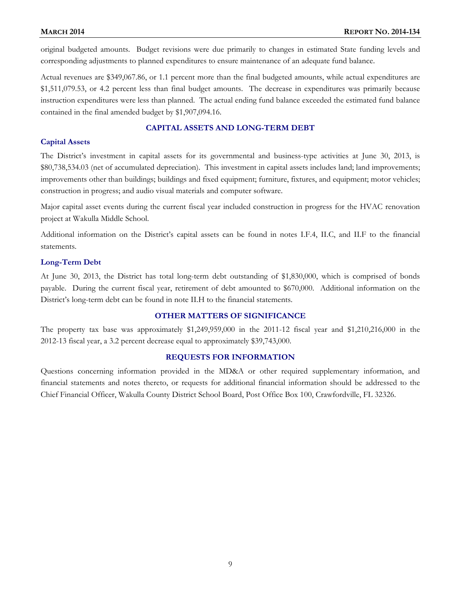original budgeted amounts. Budget revisions were due primarily to changes in estimated State funding levels and corresponding adjustments to planned expenditures to ensure maintenance of an adequate fund balance.

Actual revenues are \$349,067.86, or 1.1 percent more than the final budgeted amounts, while actual expenditures are \$1,511,079.53, or 4.2 percent less than final budget amounts. The decrease in expenditures was primarily because instruction expenditures were less than planned. The actual ending fund balance exceeded the estimated fund balance contained in the final amended budget by \$1,907,094.16.

#### **CAPITAL ASSETS AND LONG-TERM DEBT**

#### **Capital Assets**

The District's investment in capital assets for its governmental and business-type activities at June 30, 2013, is \$80,738,534.03 (net of accumulated depreciation). This investment in capital assets includes land; land improvements; improvements other than buildings; buildings and fixed equipment; furniture, fixtures, and equipment; motor vehicles; construction in progress; and audio visual materials and computer software.

Major capital asset events during the current fiscal year included construction in progress for the HVAC renovation project at Wakulla Middle School.

Additional information on the District's capital assets can be found in notes I.F.4, II.C, and II.F to the financial statements.

#### **Long-Term Debt**

At June 30, 2013, the District has total long-term debt outstanding of \$1,830,000, which is comprised of bonds payable. During the current fiscal year, retirement of debt amounted to \$670,000. Additional information on the District's long-term debt can be found in note II.H to the financial statements.

#### **OTHER MATTERS OF SIGNIFICANCE**

The property tax base was approximately \$1,249,959,000 in the 2011-12 fiscal year and \$1,210,216,000 in the 2012-13 fiscal year, a 3.2 percent decrease equal to approximately \$39,743,000.

#### **REQUESTS FOR INFORMATION**

Questions concerning information provided in the MD&A or other required supplementary information, and financial statements and notes thereto, or requests for additional financial information should be addressed to the Chief Financial Officer, Wakulla County District School Board, Post Office Box 100, Crawfordville, FL 32326.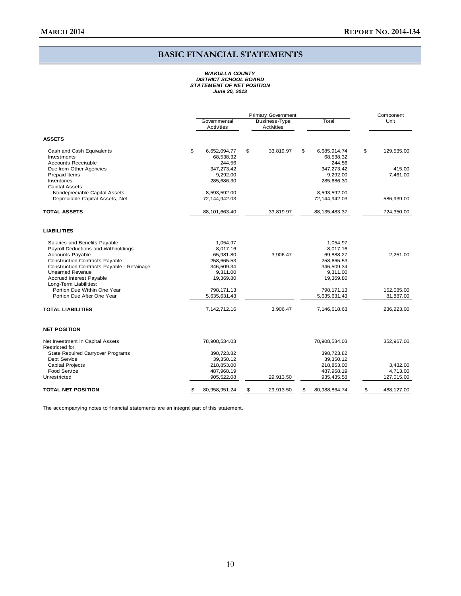## **BASIC FINANCIAL STATEMENTS**

## *STATEMENT OF NET POSITION June 30, 2013 WAKULLA COUNTY DISTRICT SCHOOL BOARD*

<span id="page-14-0"></span>

|                                            | <b>Primary Government</b>  |    |                                           |    |                  | Component        |
|--------------------------------------------|----------------------------|----|-------------------------------------------|----|------------------|------------------|
|                                            | Governmental<br>Activities |    | <b>Business-Type</b><br><b>Activities</b> |    | Total            | Unit             |
| <b>ASSETS</b>                              |                            |    |                                           |    |                  |                  |
| Cash and Cash Equivalents                  | \$<br>6,652,094.77         | \$ | 33,819.97                                 | \$ | 6,685,914.74     | \$<br>129,535.00 |
| Investments                                | 68,538.32                  |    |                                           |    | 68,538.32        |                  |
| <b>Accounts Receivable</b>                 | 244.56                     |    |                                           |    | 244.56           |                  |
| Due from Other Agencies                    | 347,273.42                 |    |                                           |    | 347,273.42       | 415.00           |
| Prepaid Items                              | 9,292.00                   |    |                                           |    | 9,292.00         | 7,461.00         |
| Inventories                                | 285,686.30                 |    |                                           |    | 285,686.30       |                  |
| Capital Assets:                            |                            |    |                                           |    |                  |                  |
| Nondepreciable Capital Assets              | 8,593,592.00               |    |                                           |    | 8,593,592.00     |                  |
| Depreciable Capital Assets, Net            | 72,144,942.03              |    |                                           |    | 72,144,942.03    | 586,939.00       |
| <b>TOTAL ASSETS</b>                        | 88,101,663.40              |    | 33,819.97                                 |    | 88, 135, 483. 37 | 724,350.00       |
| <b>LIABILITIES</b>                         |                            |    |                                           |    |                  |                  |
| Salaries and Benefits Payable              | 1,054.97                   |    |                                           |    | 1,054.97         |                  |
| Payroll Deductions and Withholdings        | 8,017.16                   |    |                                           |    | 8,017.16         |                  |
| <b>Accounts Payable</b>                    | 65,981.80                  |    | 3,906.47                                  |    | 69,888.27        | 2,251.00         |
| <b>Construction Contracts Payable</b>      | 258,665.53                 |    |                                           |    | 258,665.53       |                  |
| Construction Contracts Payable - Retainage | 346,509.34                 |    |                                           |    | 346,509.34       |                  |
| <b>Unearned Revenue</b>                    | 9,311.00                   |    |                                           |    | 9,311.00         |                  |
| <b>Accrued Interest Payable</b>            | 19,369.80                  |    |                                           |    | 19,369.80        |                  |
| Long-Term Liabilities:                     |                            |    |                                           |    |                  |                  |
| Portion Due Within One Year                | 798,171.13                 |    |                                           |    | 798,171.13       | 152,085.00       |
| Portion Due After One Year                 | 5,635,631.43               |    |                                           |    | 5,635,631.43     | 81,887.00        |
| <b>TOTAL LIABILITIES</b>                   | 7,142,712.16               |    | 3,906.47                                  |    | 7,146,618.63     | 236,223.00       |
| <b>NET POSITION</b>                        |                            |    |                                           |    |                  |                  |
| Net Investment in Capital Assets           | 78,908,534.03              |    |                                           |    | 78,908,534.03    | 352,967.00       |
| Restricted for:                            |                            |    |                                           |    |                  |                  |
| <b>State Required Carryover Programs</b>   | 398,723.82                 |    |                                           |    | 398,723.82       |                  |
| <b>Debt Service</b>                        | 39,350.12                  |    |                                           |    | 39,350.12        |                  |
| <b>Capital Projects</b>                    | 218,853.00                 |    |                                           |    | 218,853.00       | 3,432.00         |
| Food Service                               | 487,968.19                 |    |                                           |    | 487,968.19       | 4,713.00         |
| Unrestricted                               | 905,522.08                 |    | 29,913.50                                 |    | 935,435.58       | 127,015.00       |
| <b>TOTAL NET POSITION</b>                  | \$<br>80,958,951.24        | \$ | 29.913.50                                 | \$ | 80.988.864.74    | \$<br>488,127.00 |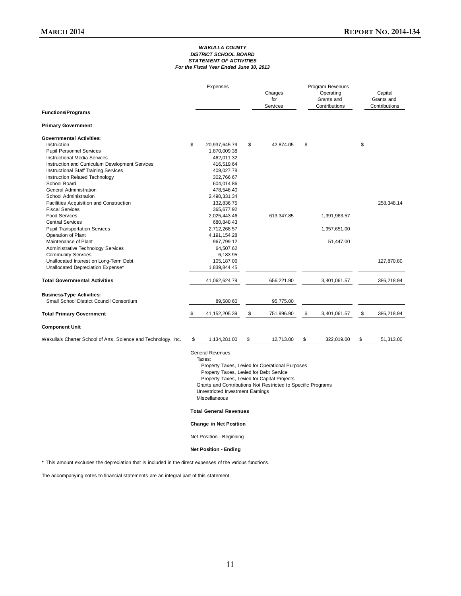#### *WAKULLA COUNTY DISTRICT SCHOOL BOARD STATEMENT OF ACTIVITIES For the Fiscal Year Ended June 30, 2013*

<span id="page-15-0"></span>

|                                                                              |    | Expenses                                                                                                                                                                                                                                                                                   |                            | Program Revenues                         |                                        |
|------------------------------------------------------------------------------|----|--------------------------------------------------------------------------------------------------------------------------------------------------------------------------------------------------------------------------------------------------------------------------------------------|----------------------------|------------------------------------------|----------------------------------------|
|                                                                              |    |                                                                                                                                                                                                                                                                                            | Charges<br>for<br>Services | Operating<br>Grants and<br>Contributions | Capital<br>Grants and<br>Contributions |
| <b>Functions/Programs</b>                                                    |    |                                                                                                                                                                                                                                                                                            |                            |                                          |                                        |
| <b>Primary Government</b>                                                    |    |                                                                                                                                                                                                                                                                                            |                            |                                          |                                        |
| <b>Governmental Activities:</b>                                              |    |                                                                                                                                                                                                                                                                                            |                            |                                          |                                        |
| Instruction                                                                  | \$ | 20,937,645.79                                                                                                                                                                                                                                                                              | \$<br>42.874.05            | \$                                       | \$                                     |
| <b>Pupil Personnel Services</b>                                              |    | 1,870,009.38                                                                                                                                                                                                                                                                               |                            |                                          |                                        |
| <b>Instructional Media Services</b>                                          |    | 462,011.32                                                                                                                                                                                                                                                                                 |                            |                                          |                                        |
| Instruction and Curriculum Development Services                              |    | 416,519.64                                                                                                                                                                                                                                                                                 |                            |                                          |                                        |
| <b>Instructional Staff Training Services</b>                                 |    | 409,027.78                                                                                                                                                                                                                                                                                 |                            |                                          |                                        |
| <b>Instruction Related Technology</b>                                        |    | 302,766.67                                                                                                                                                                                                                                                                                 |                            |                                          |                                        |
| School Board                                                                 |    | 604,014.86                                                                                                                                                                                                                                                                                 |                            |                                          |                                        |
| <b>General Administration</b>                                                |    | 478,546.40                                                                                                                                                                                                                                                                                 |                            |                                          |                                        |
| <b>School Administration</b>                                                 |    | 2,490,331.34                                                                                                                                                                                                                                                                               |                            |                                          |                                        |
| Facilities Acquisition and Construction                                      |    | 132,836.75                                                                                                                                                                                                                                                                                 |                            |                                          | 258,348.14                             |
| <b>Fiscal Services</b>                                                       |    | 365,677.92                                                                                                                                                                                                                                                                                 |                            |                                          |                                        |
| <b>Food Services</b>                                                         |    | 2,025,443.46                                                                                                                                                                                                                                                                               | 613,347.85                 | 1,391,963.57                             |                                        |
| <b>Central Services</b>                                                      |    | 680,848.43                                                                                                                                                                                                                                                                                 |                            |                                          |                                        |
| <b>Pupil Transportation Services</b>                                         |    | 2,712,268.57                                                                                                                                                                                                                                                                               |                            | 1,957,651.00                             |                                        |
| Operation of Plant                                                           |    | 4, 191, 154. 28                                                                                                                                                                                                                                                                            |                            |                                          |                                        |
| Maintenance of Plant                                                         |    | 967,799.12                                                                                                                                                                                                                                                                                 |                            | 51,447.00                                |                                        |
| <b>Administrative Technology Services</b>                                    |    | 64,507.62                                                                                                                                                                                                                                                                                  |                            |                                          |                                        |
| <b>Community Services</b>                                                    |    | 6,183.95                                                                                                                                                                                                                                                                                   |                            |                                          |                                        |
| Unallocated Interest on Long-Term Debt                                       |    | 105,187.06                                                                                                                                                                                                                                                                                 |                            |                                          | 127,870.80                             |
| Unallocated Depreciation Expense*                                            |    | 1,839,844.45                                                                                                                                                                                                                                                                               |                            |                                          |                                        |
| <b>Total Governmental Activities</b>                                         |    | 41,062,624.79                                                                                                                                                                                                                                                                              | 656,221.90                 | 3,401,061.57                             | 386,218.94                             |
|                                                                              |    |                                                                                                                                                                                                                                                                                            |                            |                                          |                                        |
| <b>Business-Type Activities:</b><br>Small School District Council Consortium |    | 89,580.60                                                                                                                                                                                                                                                                                  | 95,775.00                  |                                          |                                        |
|                                                                              |    |                                                                                                                                                                                                                                                                                            |                            |                                          |                                        |
| <b>Total Primary Government</b>                                              | S  | 41, 152, 205. 39                                                                                                                                                                                                                                                                           | \$<br>751,996.90           | \$<br>3,401,061.57                       | \$<br>386,218.94                       |
| <b>Component Unit</b>                                                        |    |                                                                                                                                                                                                                                                                                            |                            |                                          |                                        |
| Wakulla's Charter School of Arts, Science and Technology, Inc.               | \$ | 1,134,281.00                                                                                                                                                                                                                                                                               | \$<br>12,713.00            | \$<br>322,019.00                         | \$<br>51,313.00                        |
|                                                                              |    | <b>General Revenues:</b><br>Taxes:<br>Property Taxes, Levied for Operational Purposes<br>Property Taxes, Levied for Debt Service<br>Property Taxes, Levied for Capital Projects<br>Grants and Contributions Not Restricted to Specific Programs<br><b>Unrestricted Investment Earnings</b> |                            |                                          |                                        |
|                                                                              |    | Miscellaneous                                                                                                                                                                                                                                                                              |                            |                                          |                                        |

#### **Total General Revenues**

#### **Change in Net Position**

Net Position - Beginning

#### **Net Position - Ending**

\* This amount excludes the depreciation that is included in the direct expenses of the various functions.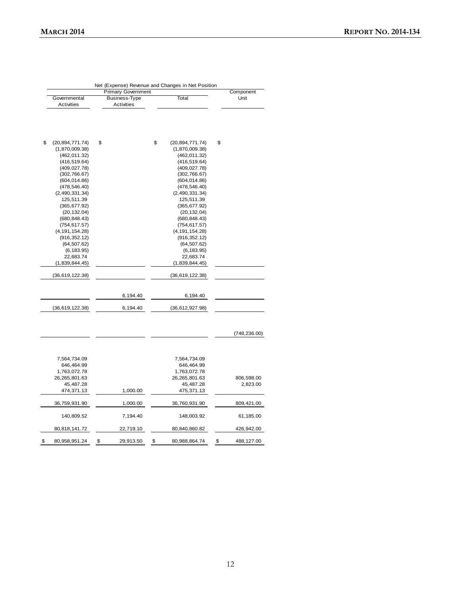|                         | Net (Expense) Revenue and Changes in Net Position<br><b>Primary Government</b> |       | Component         |    |               |  |
|-------------------------|--------------------------------------------------------------------------------|-------|-------------------|----|---------------|--|
| Governmental            | Business-Type                                                                  | Total |                   |    |               |  |
| Activities              | Activities                                                                     |       |                   |    | Unit          |  |
|                         |                                                                                |       |                   |    |               |  |
|                         |                                                                                |       |                   |    |               |  |
|                         |                                                                                |       |                   |    |               |  |
|                         |                                                                                |       |                   |    |               |  |
|                         |                                                                                |       |                   |    |               |  |
| \$<br>(20, 894, 771.74) | \$                                                                             | \$    | (20, 894, 771.74) | \$ |               |  |
| (1,870,009.38)          |                                                                                |       | (1,870,009.38)    |    |               |  |
| (462, 011.32)           |                                                                                |       | (462, 011.32)     |    |               |  |
|                         |                                                                                |       |                   |    |               |  |
| (416, 519.64)           |                                                                                |       | (416, 519.64)     |    |               |  |
| (409, 027.78)           |                                                                                |       | (409, 027.78)     |    |               |  |
| (302, 766.67)           |                                                                                |       | (302, 766.67)     |    |               |  |
| (604, 014.86)           |                                                                                |       | (604, 014.86)     |    |               |  |
| (478, 546.40)           |                                                                                |       | (478, 546.40)     |    |               |  |
| (2,490,331.34)          |                                                                                |       | (2,490,331.34)    |    |               |  |
| 125,511.39              |                                                                                |       | 125,511.39        |    |               |  |
| (365, 677.92)           |                                                                                |       | (365, 677.92)     |    |               |  |
| (20, 132.04)            |                                                                                |       | (20, 132.04)      |    |               |  |
| (680, 848.43)           |                                                                                |       | (680, 848.43)     |    |               |  |
| (754, 617.57)           |                                                                                |       | (754, 617.57)     |    |               |  |
| (4, 191, 154.28)        |                                                                                |       | (4, 191, 154.28)  |    |               |  |
| (916, 352.12)           |                                                                                |       | (916, 352.12)     |    |               |  |
| (64, 507.62)            |                                                                                |       | (64, 507.62)      |    |               |  |
| (6, 183.95)             |                                                                                |       | (6, 183.95)       |    |               |  |
| 22,683.74               |                                                                                |       | 22,683.74         |    |               |  |
| (1,839,844.45)          |                                                                                |       | (1,839,844.45)    |    |               |  |
| (36,619,122.38)         |                                                                                |       | (36,619,122.38)   |    |               |  |
|                         |                                                                                |       |                   |    |               |  |
|                         |                                                                                |       |                   |    |               |  |
|                         | 6,194.40                                                                       |       | 6,194.40          |    |               |  |
| (36,619,122.38)         | 6,194.40                                                                       |       | (36,612,927.98)   |    |               |  |
|                         |                                                                                |       |                   |    |               |  |
|                         |                                                                                |       |                   |    |               |  |
|                         |                                                                                |       |                   |    |               |  |
|                         |                                                                                |       |                   |    | (748, 236.00) |  |
|                         |                                                                                |       |                   |    |               |  |
|                         |                                                                                |       |                   |    |               |  |
| 7,564,734.09            |                                                                                |       | 7,564,734.09      |    |               |  |
| 646,464.99              |                                                                                |       | 646,464.99        |    |               |  |
| 1,763,072.78            |                                                                                |       | 1,763,072.78      |    |               |  |
| 26,265,801.63           |                                                                                |       | 26,265,801.63     |    | 806,598.00    |  |
| 45,487.28               |                                                                                |       | 45,487.28         |    | 2,823.00      |  |
| 474,371.13              | 1,000.00                                                                       |       | 475,371.13        |    |               |  |
| 36,759,931.90           | 1,000.00                                                                       |       | 36,760,931.90     |    | 809,421.00    |  |
|                         |                                                                                |       |                   |    |               |  |
| 140,809.52              | 7,194.40                                                                       |       | 148,003.92        |    | 61,185.00     |  |
| 80,818,141.72           | 22,719.10                                                                      |       | 80,840,860.82     |    | 426,942.00    |  |
|                         |                                                                                |       |                   |    |               |  |
| \$<br>80,958,951.24     | 29,913.50<br>\$                                                                | \$    | 80,988,864.74     | \$ | 488,127.00    |  |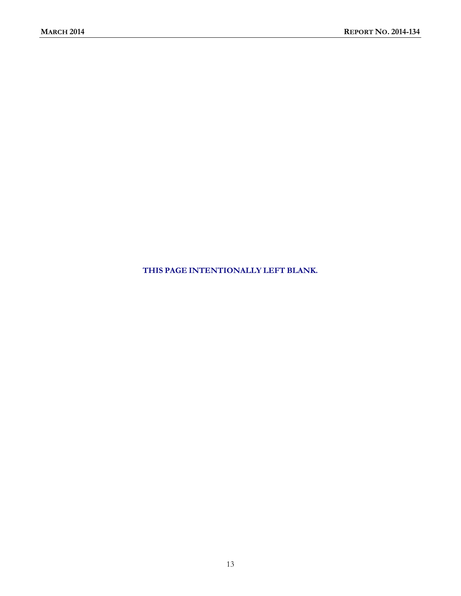## **THIS PAGE INTENTIONALLY LEFT BLANK.**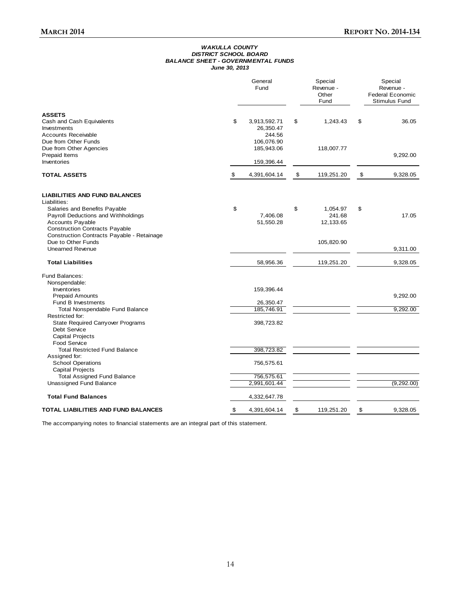#### *June 30, 2013 WAKULLA COUNTY DISTRICT SCHOOL BOARD BALANCE SHEET - GOVERNMENTAL FUNDS*

<span id="page-18-0"></span>

|                                                                                                                                          | General<br>Fund                                         | Special<br>Revenue -<br>Other<br>Fund | Special<br>Revenue -<br><b>Federal Economic</b><br><b>Stimulus Fund</b> |
|------------------------------------------------------------------------------------------------------------------------------------------|---------------------------------------------------------|---------------------------------------|-------------------------------------------------------------------------|
| <b>ASSETS</b><br>Cash and Cash Equivalents<br>Investments<br><b>Accounts Receivable</b><br>Due from Other Funds                          | \$<br>3,913,592.71<br>26,350.47<br>244.56<br>106,076.90 | \$<br>1,243.43                        | \$<br>36.05                                                             |
| Due from Other Agencies<br>Prepaid Items<br>Inventories                                                                                  | 185,943.06<br>159,396.44                                | 118,007.77                            | 9,292.00                                                                |
| <b>TOTAL ASSETS</b>                                                                                                                      | \$<br>4,391,604.14                                      | \$<br>119,251.20                      | \$<br>9,328.05                                                          |
| <b>LIABILITIES AND FUND BALANCES</b><br>Liabilities:                                                                                     |                                                         |                                       |                                                                         |
| Salaries and Benefits Payable<br>Payroll Deductions and Withholdings<br><b>Accounts Payable</b><br><b>Construction Contracts Payable</b> | \$<br>7,406.08<br>51,550.28                             | \$<br>1,054.97<br>241.68<br>12,133.65 | \$<br>17.05                                                             |
| Construction Contracts Payable - Retainage<br>Due to Other Funds<br><b>Unearned Revenue</b>                                              |                                                         | 105,820.90                            | 9,311.00                                                                |
| <b>Total Liabilities</b>                                                                                                                 | 58,956.36                                               | 119,251.20                            | 9,328.05                                                                |
| Fund Balances:<br>Nonspendable:                                                                                                          |                                                         |                                       |                                                                         |
| Inventories<br><b>Prepaid Amounts</b>                                                                                                    | 159,396.44                                              |                                       | 9,292.00                                                                |
| <b>Fund B Investments</b><br>Total Nonspendable Fund Balance                                                                             | 26,350.47<br>185,746.91                                 |                                       | 9,292.00                                                                |
| Restricted for:<br><b>State Required Carryover Programs</b><br>Debt Service<br><b>Capital Projects</b>                                   | 398,723.82                                              |                                       |                                                                         |
| <b>Food Service</b><br><b>Total Restricted Fund Balance</b>                                                                              | 398,723.82                                              |                                       |                                                                         |
| Assigned for:<br><b>School Operations</b>                                                                                                | 756,575.61                                              |                                       |                                                                         |
| <b>Capital Projects</b>                                                                                                                  |                                                         |                                       |                                                                         |
| <b>Total Assigned Fund Balance</b><br>Unassigned Fund Balance                                                                            | 756,575.61<br>2,991,601.44                              |                                       | (9, 292.00)                                                             |
| <b>Total Fund Balances</b>                                                                                                               | 4,332,647.78                                            |                                       |                                                                         |
| TOTAL LIABILITIES AND FUND BALANCES                                                                                                      | \$<br>4,391,604.14                                      | \$<br>119,251.20                      | \$<br>9,328.05                                                          |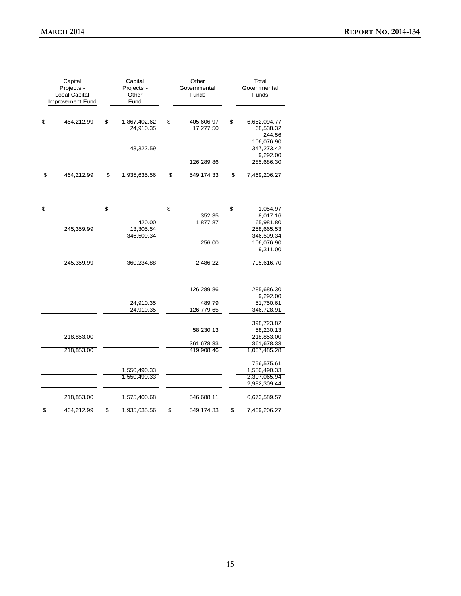| Capital<br>Projects -<br><b>Local Capital</b><br>Improvement Fund | Capital<br>Projects -<br>Other<br>Fund                           |    | Other<br>Governmental<br>Funds |    | Total<br>Governmental<br>Funds                    |
|-------------------------------------------------------------------|------------------------------------------------------------------|----|--------------------------------|----|---------------------------------------------------|
| \$<br>464,212.99                                                  | \$<br>1,867,402.62<br>\$<br>405,606.97<br>24,910.35<br>17,277.50 |    |                                |    | 6,652,094.77<br>68,538.32<br>244.56<br>106,076.90 |
|                                                                   | 43,322.59                                                        |    |                                |    | 347,273.42                                        |
|                                                                   |                                                                  |    | 126,289.86                     |    | 9,292.00<br>285,686.30                            |
|                                                                   |                                                                  |    |                                |    |                                                   |
| \$<br>464,212.99                                                  | \$<br>1,935,635.56                                               | \$ | 549, 174.33                    | \$ | 7,469,206.27                                      |
|                                                                   |                                                                  |    |                                |    |                                                   |
| \$                                                                | \$                                                               | \$ |                                | \$ | 1,054.97                                          |
|                                                                   |                                                                  |    | 352.35                         |    | 8,017.16                                          |
| 245,359.99                                                        | 420.00<br>13,305.54                                              |    | 1,877.87                       |    | 65,981.80<br>258,665.53                           |
|                                                                   | 346,509.34                                                       |    |                                |    | 346,509.34                                        |
|                                                                   |                                                                  |    | 256.00                         |    | 106,076.90                                        |
|                                                                   |                                                                  |    |                                |    | 9,311.00                                          |
| 245,359.99                                                        | 360,234.88                                                       |    | 2,486.22                       |    | 795,616.70                                        |
|                                                                   |                                                                  |    |                                |    |                                                   |
|                                                                   |                                                                  |    | 126,289.86                     |    | 285,686.30                                        |
|                                                                   |                                                                  |    |                                |    | 9,292.00                                          |
|                                                                   | 24,910.35                                                        |    | 489.79                         |    | 51,750.61                                         |
|                                                                   | 24,910.35                                                        |    | 126,779.65                     |    | 346,728.91                                        |
|                                                                   |                                                                  |    |                                |    | 398,723.82                                        |
|                                                                   |                                                                  |    | 58,230.13                      |    | 58,230.13                                         |
| 218,853.00                                                        |                                                                  |    |                                |    | 218,853.00                                        |
|                                                                   |                                                                  |    | 361,678.33                     |    | 361,678.33                                        |
| 218,853.00                                                        |                                                                  |    | 419,908.46                     |    | 1,037,485.28                                      |
|                                                                   |                                                                  |    |                                |    | 756,575.61                                        |
|                                                                   | 1,550,490.33                                                     |    |                                |    | 1,550,490.33                                      |
|                                                                   | 1,550,490.33                                                     |    |                                |    | 2,307,065.94                                      |
|                                                                   |                                                                  |    |                                |    | 2,982,309.44                                      |
| 218,853.00                                                        | 1,575,400.68                                                     |    | 546,688.11                     |    | 6,673,589.57                                      |
| \$<br>464,212.99                                                  | \$<br>1,935,635.56                                               | \$ | 549, 174.33                    | \$ | 7,469,206.27                                      |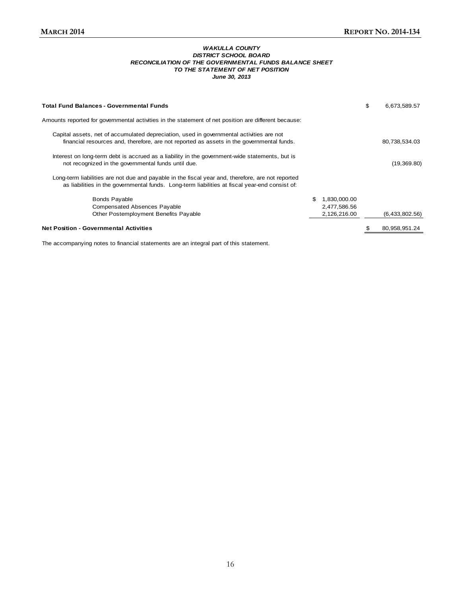#### *June 30, 2013 DISTRICT SCHOOL BOARD WAKULLA COUNTY RECONCILIATION OF THE GOVERNMENTAL FUNDS BALANCE SHEET TO THE STATEMENT OF NET POSITION*

<span id="page-20-0"></span>

| <b>Total Fund Balances - Governmental Funds</b>                                                                                                                                                     |   |                                              | \$<br>6,673,589.57 |
|-----------------------------------------------------------------------------------------------------------------------------------------------------------------------------------------------------|---|----------------------------------------------|--------------------|
| Amounts reported for governmental activities in the statement of net position are different because:                                                                                                |   |                                              |                    |
| Capital assets, net of accumulated depreciation, used in governmental activities are not<br>financial resources and, therefore, are not reported as assets in the governmental funds.               |   |                                              | 80,738,534.03      |
| Interest on long-term debt is accrued as a liability in the government-wide statements, but is<br>not recognized in the governmental funds until due.                                               |   |                                              | (19, 369.80)       |
| Long-term liabilities are not due and payable in the fiscal year and, therefore, are not reported<br>as liabilities in the governmental funds. Long-term liabilities at fiscal year-end consist of: |   |                                              |                    |
| <b>Bonds Payable</b><br><b>Compensated Absences Payable</b><br>Other Postemployment Benefits Payable                                                                                                | S | 1,830,000.00<br>2,477,586.56<br>2,126,216.00 | (6,433,802.56)     |
| <b>Net Position - Governmental Activities</b>                                                                                                                                                       |   |                                              | 80,958,951.24      |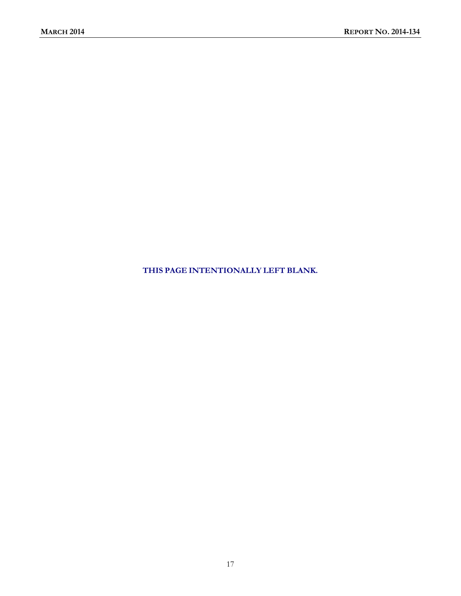## **THIS PAGE INTENTIONALLY LEFT BLANK.**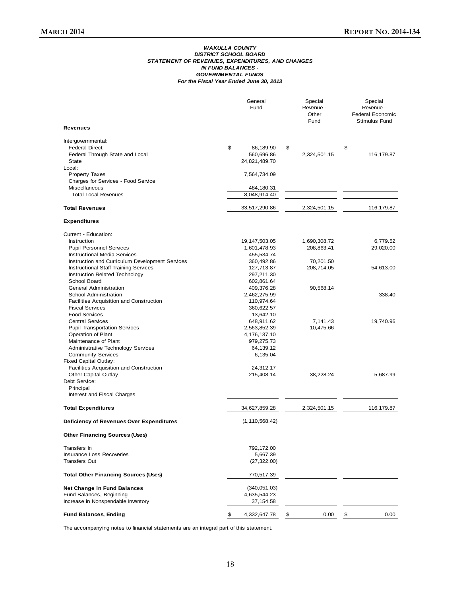#### *For the Fiscal Year Ended June 30, 2013 WAKULLA COUNTY DISTRICT SCHOOL BOARD STATEMENT OF REVENUES, EXPENDITURES, AND CHANGES IN FUND BALANCES - GOVERNMENTAL FUNDS*

<span id="page-22-0"></span>

|                                                      | General<br>Fund            | Special<br>Revenue -<br>Other<br>Fund | Special<br>Revenue -<br><b>Federal Economic</b><br>Stimulus Fund |
|------------------------------------------------------|----------------------------|---------------------------------------|------------------------------------------------------------------|
| <b>Revenues</b>                                      |                            |                                       |                                                                  |
| Intergovernmental:                                   |                            |                                       |                                                                  |
| <b>Federal Direct</b>                                | \$<br>86,189.90            | \$                                    | \$                                                               |
| Federal Through State and Local                      | 560,696.86                 | 2,324,501.15                          | 116, 179.87                                                      |
| State                                                | 24,821,489.70              |                                       |                                                                  |
| Local:                                               |                            |                                       |                                                                  |
| <b>Property Taxes</b>                                | 7,564,734.09               |                                       |                                                                  |
| Charges for Services - Food Service<br>Miscellaneous |                            |                                       |                                                                  |
| <b>Total Local Revenues</b>                          | 484,180.31<br>8,048,914.40 |                                       |                                                                  |
|                                                      |                            |                                       |                                                                  |
| <b>Total Revenues</b>                                | 33,517,290.86              | 2,324,501.15                          | 116, 179.87                                                      |
| <b>Expenditures</b>                                  |                            |                                       |                                                                  |
| Current - Education:                                 |                            |                                       |                                                                  |
| Instruction                                          | 19, 147, 503.05            | 1,690,308.72                          | 6,779.52                                                         |
| <b>Pupil Personnel Services</b>                      | 1,601,478.93               | 208,863.41                            | 29,020.00                                                        |
| <b>Instructional Media Services</b>                  | 455,534.74                 |                                       |                                                                  |
| Instruction and Curriculum Development Services      | 360,492.86                 | 70,201.50                             |                                                                  |
| <b>Instructional Staff Training Services</b>         | 127,713.87                 | 208,714.05                            | 54,613.00                                                        |
| Instruction Related Technology                       | 297,211.30                 |                                       |                                                                  |
| School Board<br><b>General Administration</b>        | 602,861.64                 |                                       |                                                                  |
| <b>School Administration</b>                         | 409,376.28<br>2,462,275.99 | 90,568.14                             | 338.40                                                           |
| Facilities Acquisition and Construction              | 110,974.64                 |                                       |                                                                  |
| <b>Fiscal Services</b>                               | 360,622.57                 |                                       |                                                                  |
| <b>Food Services</b>                                 | 13,642.10                  |                                       |                                                                  |
| <b>Central Services</b>                              | 648,911.62                 | 7,141.43                              | 19,740.96                                                        |
| <b>Pupil Transportation Services</b>                 | 2,563,852.39               | 10,475.66                             |                                                                  |
| Operation of Plant                                   | 4,176,137.10               |                                       |                                                                  |
| Maintenance of Plant                                 | 979,275.73                 |                                       |                                                                  |
| <b>Administrative Technology Services</b>            | 64,139.12                  |                                       |                                                                  |
| <b>Community Services</b>                            | 6,135.04                   |                                       |                                                                  |
| <b>Fixed Capital Outlay:</b>                         |                            |                                       |                                                                  |
| Facilities Acquisition and Construction              | 24,312.17                  |                                       |                                                                  |
| <b>Other Capital Outlay</b>                          | 215,408.14                 | 38,228.24                             | 5,687.99                                                         |
| Debt Service:<br>Principal                           |                            |                                       |                                                                  |
| Interest and Fiscal Charges                          |                            |                                       |                                                                  |
| <b>Total Expenditures</b>                            | 34,627,859.28              | 2,324,501.15                          | 116, 179.87                                                      |
| Deficiency of Revenues Over Expenditures             | (1, 110, 568.42)           |                                       |                                                                  |
| <b>Other Financing Sources (Uses)</b>                |                            |                                       |                                                                  |
| Transfers In                                         | 792,172.00                 |                                       |                                                                  |
| <b>Insurance Loss Recoveries</b>                     | 5,667.39                   |                                       |                                                                  |
| <b>Transfers Out</b>                                 | (27, 322.00)               |                                       |                                                                  |
| <b>Total Other Financing Sources (Uses)</b>          | 770,517.39                 |                                       |                                                                  |
| Net Change in Fund Balances                          | (340, 051.03)              |                                       |                                                                  |
| Fund Balances, Beginning                             | 4,635,544.23               |                                       |                                                                  |
| Increase in Nonspendable Inventory                   | 37,154.58                  |                                       |                                                                  |
| <b>Fund Balances, Ending</b>                         | \$<br>4,332,647.78         | \$<br>0.00                            | \$<br>0.00                                                       |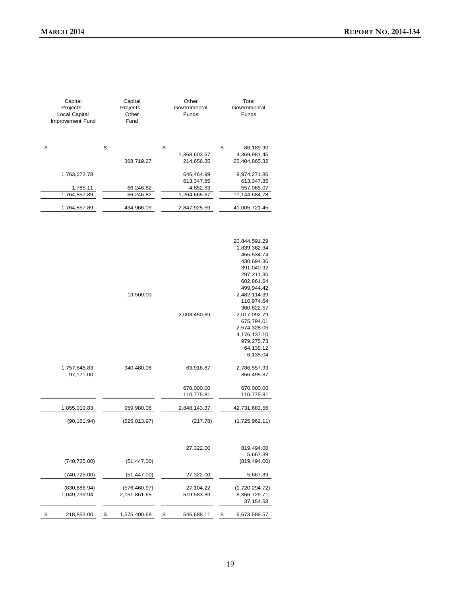| Capital<br>Projects -<br>Local Capital<br>Improvement Fund | Capital<br>Projects -<br>Other<br>Fund | Other<br>Governmental<br>Funds | Total<br>Governmental<br>Funds                                                                                                                                                                                                                                     |
|------------------------------------------------------------|----------------------------------------|--------------------------------|--------------------------------------------------------------------------------------------------------------------------------------------------------------------------------------------------------------------------------------------------------------------|
| \$                                                         | \$                                     | \$                             | \$<br>86,189.90                                                                                                                                                                                                                                                    |
|                                                            | 368,719.27                             | 1,368,603.57<br>214,656.35     | 4,369,981.45<br>25,404,865.32                                                                                                                                                                                                                                      |
|                                                            |                                        |                                |                                                                                                                                                                                                                                                                    |
| 1,763,072.78                                               |                                        | 646,464.99<br>613,347.85       | 9,974,271.86<br>613,347.85                                                                                                                                                                                                                                         |
| 1,785.11                                                   | 66,246.82                              | 4,852.83                       | 557,065.07                                                                                                                                                                                                                                                         |
| 1,764,857.89                                               | 66,246.82                              | 1,264,665.67                   | 11,144,684.78                                                                                                                                                                                                                                                      |
| 1,764,857.89                                               | 434,966.09                             | 2,847,925.59                   | 41,005,721.45                                                                                                                                                                                                                                                      |
|                                                            | 19,500.00                              | 2,003,450.69                   | 20,844,591.29<br>1,839,362.34<br>455,534.74<br>430,694.36<br>391,040.92<br>297,211.30<br>602,861.64<br>499,944.42<br>2,482,114.39<br>110,974.64<br>360,622.57<br>2,017,092.79<br>675,794.01<br>2,574,328.05<br>4,176,137.10<br>979,275.73<br>64,139.12<br>6,135.04 |
| 1,757,848.83<br>97,171.00                                  | 940,480.06                             | 63,916.87                      | 2,786,557.93<br>356,495.37                                                                                                                                                                                                                                         |
|                                                            |                                        | 670,000.00                     | 670,000.00                                                                                                                                                                                                                                                         |
|                                                            |                                        | 110,775.81                     | 110,775.81                                                                                                                                                                                                                                                         |
| 1,855,019.83                                               | 959,980.06                             | 2,848,143.37                   | 42,731,683.56                                                                                                                                                                                                                                                      |
| (90, 161.94)                                               | (525, 013.97)                          | (217.78)                       | (1,725,962.11)                                                                                                                                                                                                                                                     |
| (740, 725.00)                                              | (51, 447.00)                           | 27,322.00                      | 819,494.00<br>5,667.39<br>(819, 494.00)                                                                                                                                                                                                                            |
|                                                            |                                        |                                |                                                                                                                                                                                                                                                                    |
| (740,725.00)                                               | (51, 447.00)                           | 27,322.00                      | 5,667.39                                                                                                                                                                                                                                                           |
| (830, 886.94)<br>1,049,739.94                              | (576, 460.97)<br>2,151,861.65          | 27, 104.22<br>519,583.89       | (1,720,294.72)<br>8,356,729.71<br>37,154.58                                                                                                                                                                                                                        |
| \$<br>218,853.00                                           | \$<br>1,575,400.68                     | \$<br>546,688.11               | \$<br>6,673,589.57                                                                                                                                                                                                                                                 |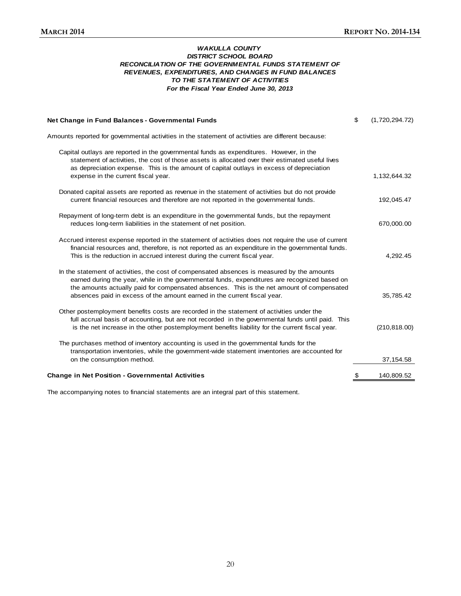#### *For the Fiscal Year Ended June 30, 2013 REVENUES, EXPENDITURES, AND CHANGES IN FUND BALANCES DISTRICT SCHOOL BOARD WAKULLA COUNTY RECONCILIATION OF THE GOVERNMENTAL FUNDS STATEMENT OF TO THE STATEMENT OF ACTIVITIES*

<span id="page-24-0"></span>

| Net Change in Fund Balances - Governmental Funds                                                                                                                                                                                                                                                                                                                      | \$<br>(1,720,294.72) |
|-----------------------------------------------------------------------------------------------------------------------------------------------------------------------------------------------------------------------------------------------------------------------------------------------------------------------------------------------------------------------|----------------------|
| Amounts reported for governmental activities in the statement of activities are different because:                                                                                                                                                                                                                                                                    |                      |
| Capital outlays are reported in the governmental funds as expenditures. However, in the<br>statement of activities, the cost of those assets is allocated over their estimated useful lives<br>as depreciation expense. This is the amount of capital outlays in excess of depreciation                                                                               |                      |
| expense in the current fiscal year.                                                                                                                                                                                                                                                                                                                                   | 1,132,644.32         |
| Donated capital assets are reported as revenue in the statement of activities but do not provide<br>current financial resources and therefore are not reported in the governmental funds.                                                                                                                                                                             | 192,045.47           |
| Repayment of long-term debt is an expenditure in the governmental funds, but the repayment<br>reduces long-term liabilities in the statement of net position.                                                                                                                                                                                                         | 670,000.00           |
| Accrued interest expense reported in the statement of activities does not require the use of current<br>financial resources and, therefore, is not reported as an expenditure in the governmental funds.<br>This is the reduction in accrued interest during the current fiscal year.                                                                                 | 4,292.45             |
| In the statement of activities, the cost of compensated absences is measured by the amounts<br>earned during the year, while in the governmental funds, expenditures are recognized based on<br>the amounts actually paid for compensated absences. This is the net amount of compensated<br>absences paid in excess of the amount earned in the current fiscal year. | 35,785.42            |
| Other postemployment benefits costs are recorded in the statement of activities under the<br>full accrual basis of accounting, but are not recorded in the governmental funds until paid. This<br>is the net increase in the other postemployment benefits liability for the current fiscal year.                                                                     | (210, 818.00)        |
| The purchases method of inventory accounting is used in the governmental funds for the<br>transportation inventories, while the government-wide statement inventories are accounted for<br>on the consumption method.                                                                                                                                                 | 37, 154.58           |
| <b>Change in Net Position - Governmental Activities</b>                                                                                                                                                                                                                                                                                                               | 140,809.52           |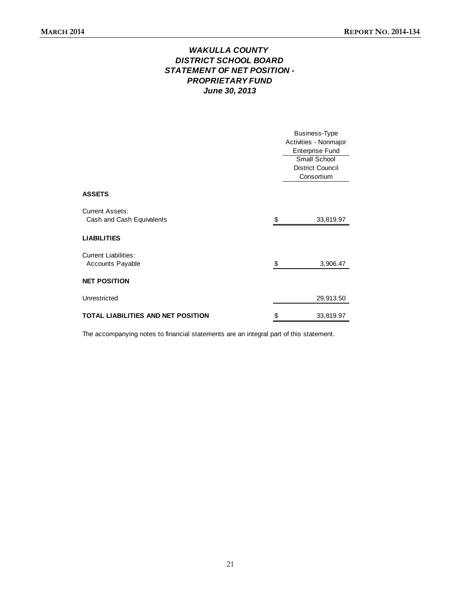## *WAKULLA COUNTY STATEMENT OF NET POSITION - PROPRIETARY FUND June 30, 2013 DISTRICT SCHOOL BOARD*

<span id="page-25-0"></span>

|                                           | Business-Type           |  |
|-------------------------------------------|-------------------------|--|
|                                           | Activities - Nonmajor   |  |
|                                           | <b>Enterprise Fund</b>  |  |
|                                           | Small School            |  |
|                                           | <b>District Council</b> |  |
|                                           | Consortium              |  |
| <b>ASSETS</b>                             |                         |  |
| <b>Current Assets:</b>                    |                         |  |
| Cash and Cash Equivalents                 | \$<br>33,819.97         |  |
| <b>LIABILITIES</b>                        |                         |  |
| <b>Current Liabilities:</b>               |                         |  |
| <b>Accounts Payable</b>                   | \$<br>3,906.47          |  |
| <b>NET POSITION</b>                       |                         |  |
| Unrestricted                              | 29,913.50               |  |
| <b>TOTAL LIABILITIES AND NET POSITION</b> | \$<br>33,819.97         |  |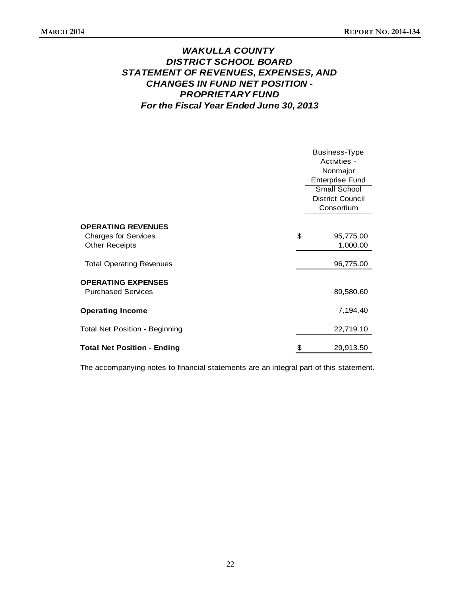## <span id="page-26-0"></span>*DISTRICT SCHOOL BOARD WAKULLA COUNTY STATEMENT OF REVENUES, EXPENSES, AND CHANGES IN FUND NET POSITION - PROPRIETARY FUND For the Fiscal Year Ended June 30, 2013*

|                                                                                   | Business-Type<br>Activities -<br>Nonmajor<br><b>Enterprise Fund</b><br>Small School<br><b>District Council</b> |
|-----------------------------------------------------------------------------------|----------------------------------------------------------------------------------------------------------------|
|                                                                                   | Consortium                                                                                                     |
| <b>OPERATING REVENUES</b><br><b>Charges for Services</b><br><b>Other Receipts</b> | \$<br>95,775.00<br>1,000.00                                                                                    |
| <b>Total Operating Revenues</b>                                                   | 96,775.00                                                                                                      |
| <b>OPERATING EXPENSES</b><br><b>Purchased Services</b>                            | 89,580.60                                                                                                      |
| <b>Operating Income</b>                                                           | 7,194.40                                                                                                       |
| <b>Total Net Position - Beginning</b>                                             | 22,719.10                                                                                                      |
| <b>Total Net Position - Ending</b>                                                | \$<br>29,913.50                                                                                                |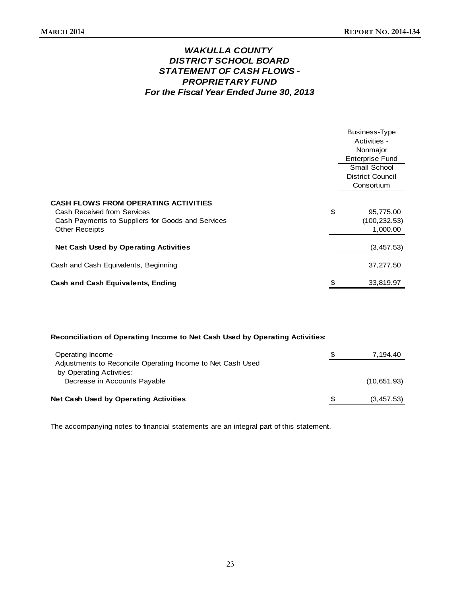## *WAKULLA COUNTY STATEMENT OF CASH FLOWS - PROPRIETARY FUND For the Fiscal Year Ended June 30, 2013 DISTRICT SCHOOL BOARD*

<span id="page-27-0"></span>

|                                                   | Business-Type           |
|---------------------------------------------------|-------------------------|
|                                                   | Activities -            |
|                                                   | Nonmajor                |
|                                                   | <b>Enterprise Fund</b>  |
|                                                   | Small School            |
|                                                   | <b>District Council</b> |
|                                                   | Consortium              |
|                                                   |                         |
| <b>CASH FLOWS FROM OPERATING ACTIVITIES</b>       |                         |
| Cash Received from Services                       | \$<br>95,775.00         |
| Cash Payments to Suppliers for Goods and Services | (100, 232.53)           |
| <b>Other Receipts</b>                             | 1,000.00                |
|                                                   |                         |
| <b>Net Cash Used by Operating Activities</b>      | (3,457.53)              |
| Cash and Cash Equivalents, Beginning              | 37,277.50               |
|                                                   |                         |
| Cash and Cash Equivalents, Ending                 | \$<br>33,819.97         |

#### **Reconciliation of Operating Income to Net Cash Used by Operating Activities:**

| Operating Income                                                                       |   | 7.194.40    |
|----------------------------------------------------------------------------------------|---|-------------|
| Adjustments to Reconcile Operating Income to Net Cash Used<br>by Operating Activities: |   |             |
| Decrease in Accounts Payable                                                           |   | (10,651.93) |
| Net Cash Used by Operating Activities                                                  | S | (3,457.53)  |
|                                                                                        |   |             |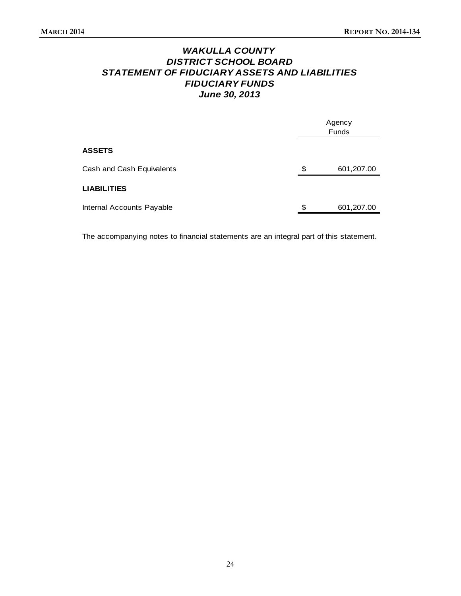## <span id="page-28-0"></span>*June 30, 2013 DISTRICT SCHOOL BOARD WAKULLA COUNTY STATEMENT OF FIDUCIARY ASSETS AND LIABILITIES FIDUCIARY FUNDS*

|                           | Agency<br>Funds  |
|---------------------------|------------------|
| <b>ASSETS</b>             |                  |
| Cash and Cash Equivalents | \$<br>601,207.00 |
| <b>LIABILITIES</b>        |                  |
| Internal Accounts Payable | \$<br>601,207.00 |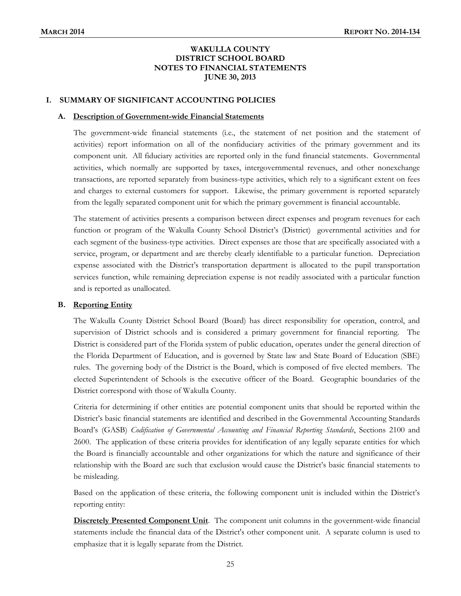#### <span id="page-29-0"></span>**I. SUMMARY OF SIGNIFICANT ACCOUNTING POLICIES**

#### **A. Description of Government-wide Financial Statements**

The government-wide financial statements (i.e., the statement of net position and the statement of activities) report information on all of the nonfiduciary activities of the primary government and its component unit. All fiduciary activities are reported only in the fund financial statements. Governmental activities, which normally are supported by taxes, intergovernmental revenues, and other nonexchange transactions, are reported separately from business-type activities, which rely to a significant extent on fees and charges to external customers for support. Likewise, the primary government is reported separately from the legally separated component unit for which the primary government is financial accountable.

The statement of activities presents a comparison between direct expenses and program revenues for each function or program of the Wakulla County School District's (District) governmental activities and for each segment of the business-type activities. Direct expenses are those that are specifically associated with a service, program, or department and are thereby clearly identifiable to a particular function. Depreciation expense associated with the District's transportation department is allocated to the pupil transportation services function, while remaining depreciation expense is not readily associated with a particular function and is reported as unallocated.

#### **B. Reporting Entity**

The Wakulla County District School Board (Board) has direct responsibility for operation, control, and supervision of District schools and is considered a primary government for financial reporting. The District is considered part of the Florida system of public education, operates under the general direction of the Florida Department of Education, and is governed by State law and State Board of Education (SBE) rules. The governing body of the District is the Board, which is composed of five elected members. The elected Superintendent of Schools is the executive officer of the Board. Geographic boundaries of the District correspond with those of Wakulla County.

Criteria for determining if other entities are potential component units that should be reported within the District's basic financial statements are identified and described in the Governmental Accounting Standards Board's (GASB) *Codification of Governmental Accounting and Financial Reporting Standards*, Sections 2100 and 2600. The application of these criteria provides for identification of any legally separate entities for which the Board is financially accountable and other organizations for which the nature and significance of their relationship with the Board are such that exclusion would cause the District's basic financial statements to be misleading.

Based on the application of these criteria, the following component unit is included within the District's reporting entity:

**Discretely Presented Component Unit**. The component unit columns in the government-wide financial statements include the financial data of the District's other component unit. A separate column is used to emphasize that it is legally separate from the District.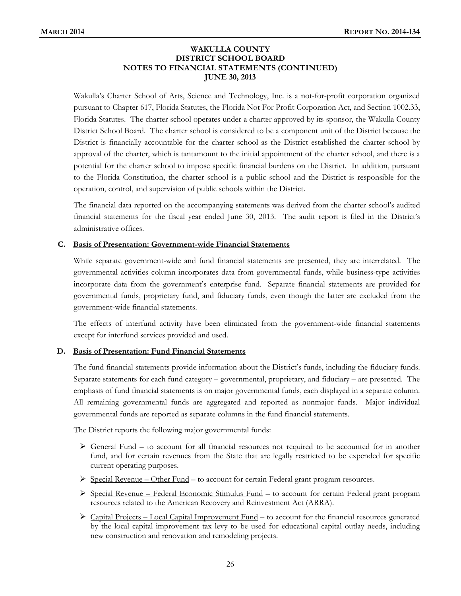Wakulla's Charter School of Arts, Science and Technology, Inc. is a not-for-profit corporation organized pursuant to Chapter 617, Florida Statutes, the Florida Not For Profit Corporation Act, and Section 1002.33, Florida Statutes. The charter school operates under a charter approved by its sponsor, the Wakulla County District School Board. The charter school is considered to be a component unit of the District because the District is financially accountable for the charter school as the District established the charter school by approval of the charter, which is tantamount to the initial appointment of the charter school, and there is a potential for the charter school to impose specific financial burdens on the District. In addition, pursuant to the Florida Constitution, the charter school is a public school and the District is responsible for the operation, control, and supervision of public schools within the District.

The financial data reported on the accompanying statements was derived from the charter school's audited financial statements for the fiscal year ended June 30, 2013. The audit report is filed in the District's administrative offices.

#### **C. Basis of Presentation: Government-wide Financial Statements**

While separate government-wide and fund financial statements are presented, they are interrelated. The governmental activities column incorporates data from governmental funds, while business-type activities incorporate data from the government's enterprise fund. Separate financial statements are provided for governmental funds, proprietary fund, and fiduciary funds, even though the latter are excluded from the government-wide financial statements.

The effects of interfund activity have been eliminated from the government-wide financial statements except for interfund services provided and used.

#### **D. Basis of Presentation: Fund Financial Statements**

The fund financial statements provide information about the District's funds, including the fiduciary funds. Separate statements for each fund category – governmental, proprietary, and fiduciary – are presented. The emphasis of fund financial statements is on major governmental funds, each displayed in a separate column. All remaining governmental funds are aggregated and reported as nonmajor funds. Major individual governmental funds are reported as separate columns in the fund financial statements.

The District reports the following major governmental funds:

- $\triangleright$  General Fund to account for all financial resources not required to be accounted for in another fund, and for certain revenues from the State that are legally restricted to be expended for specific current operating purposes.
- $\triangleright$  Special Revenue Other Fund to account for certain Federal grant program resources.
- $\triangleright$  Special Revenue Federal Economic Stimulus Fund to account for certain Federal grant program resources related to the American Recovery and Reinvestment Act (ARRA).
- $\triangleright$  Capital Projects Local Capital Improvement Fund to account for the financial resources generated by the local capital improvement tax levy to be used for educational capital outlay needs, including new construction and renovation and remodeling projects.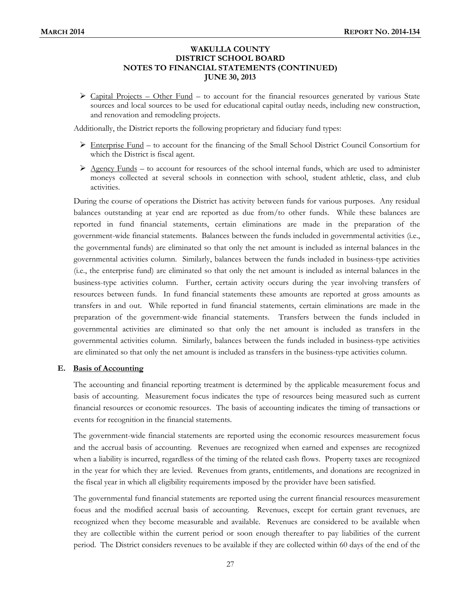$\triangleright$  Capital Projects – Other Fund – to account for the financial resources generated by various State sources and local sources to be used for educational capital outlay needs, including new construction, and renovation and remodeling projects.

Additionally, the District reports the following proprietary and fiduciary fund types:

- $\triangleright$  Enterprise Fund to account for the financing of the Small School District Council Consortium for which the District is fiscal agent.
- $\triangleright$  Agency Funds to account for resources of the school internal funds, which are used to administer moneys collected at several schools in connection with school, student athletic, class, and club activities.

During the course of operations the District has activity between funds for various purposes. Any residual balances outstanding at year end are reported as due from/to other funds. While these balances are reported in fund financial statements, certain eliminations are made in the preparation of the government-wide financial statements. Balances between the funds included in governmental activities (i.e., the governmental funds) are eliminated so that only the net amount is included as internal balances in the governmental activities column. Similarly, balances between the funds included in business-type activities (i.e., the enterprise fund) are eliminated so that only the net amount is included as internal balances in the business-type activities column. Further, certain activity occurs during the year involving transfers of resources between funds. In fund financial statements these amounts are reported at gross amounts as transfers in and out. While reported in fund financial statements, certain eliminations are made in the preparation of the government-wide financial statements. Transfers between the funds included in governmental activities are eliminated so that only the net amount is included as transfers in the governmental activities column. Similarly, balances between the funds included in business-type activities are eliminated so that only the net amount is included as transfers in the business-type activities column.

#### **E. Basis of Accounting**

The accounting and financial reporting treatment is determined by the applicable measurement focus and basis of accounting. Measurement focus indicates the type of resources being measured such as current financial resources or economic resources. The basis of accounting indicates the timing of transactions or events for recognition in the financial statements.

The government-wide financial statements are reported using the economic resources measurement focus and the accrual basis of accounting. Revenues are recognized when earned and expenses are recognized when a liability is incurred, regardless of the timing of the related cash flows. Property taxes are recognized in the year for which they are levied. Revenues from grants, entitlements, and donations are recognized in the fiscal year in which all eligibility requirements imposed by the provider have been satisfied.

The governmental fund financial statements are reported using the current financial resources measurement focus and the modified accrual basis of accounting. Revenues, except for certain grant revenues, are recognized when they become measurable and available. Revenues are considered to be available when they are collectible within the current period or soon enough thereafter to pay liabilities of the current period. The District considers revenues to be available if they are collected within 60 days of the end of the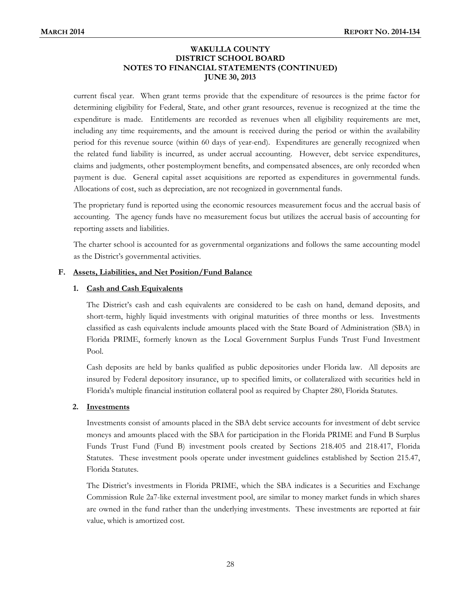current fiscal year. When grant terms provide that the expenditure of resources is the prime factor for determining eligibility for Federal, State, and other grant resources, revenue is recognized at the time the expenditure is made. Entitlements are recorded as revenues when all eligibility requirements are met, including any time requirements, and the amount is received during the period or within the availability period for this revenue source (within 60 days of year-end). Expenditures are generally recognized when the related fund liability is incurred, as under accrual accounting. However, debt service expenditures, claims and judgments, other postemployment benefits, and compensated absences, are only recorded when payment is due. General capital asset acquisitions are reported as expenditures in governmental funds. Allocations of cost, such as depreciation, are not recognized in governmental funds.

The proprietary fund is reported using the economic resources measurement focus and the accrual basis of accounting. The agency funds have no measurement focus but utilizes the accrual basis of accounting for reporting assets and liabilities.

The charter school is accounted for as governmental organizations and follows the same accounting model as the District's governmental activities.

#### **F. Assets, Liabilities, and Net Position/Fund Balance**

#### **1. Cash and Cash Equivalents**

The District's cash and cash equivalents are considered to be cash on hand, demand deposits, and short-term, highly liquid investments with original maturities of three months or less. Investments classified as cash equivalents include amounts placed with the State Board of Administration (SBA) in Florida PRIME, formerly known as the Local Government Surplus Funds Trust Fund Investment Pool.

Cash deposits are held by banks qualified as public depositories under Florida law. All deposits are insured by Federal depository insurance, up to specified limits, or collateralized with securities held in Florida's multiple financial institution collateral pool as required by Chapter 280, Florida Statutes.

#### **2. Investments**

Investments consist of amounts placed in the SBA debt service accounts for investment of debt service moneys and amounts placed with the SBA for participation in the Florida PRIME and Fund B Surplus Funds Trust Fund (Fund B) investment pools created by Sections 218.405 and 218.417, Florida Statutes. These investment pools operate under investment guidelines established by Section 215.47, Florida Statutes.

The District's investments in Florida PRIME, which the SBA indicates is a Securities and Exchange Commission Rule 2a7-like external investment pool, are similar to money market funds in which shares are owned in the fund rather than the underlying investments. These investments are reported at fair value, which is amortized cost.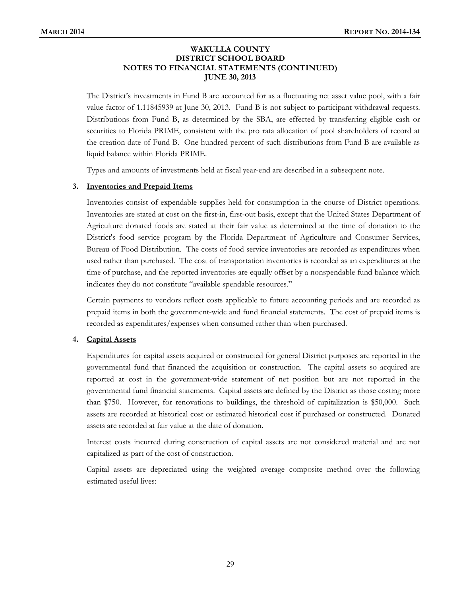The District's investments in Fund B are accounted for as a fluctuating net asset value pool, with a fair value factor of 1.11845939 at June 30, 2013. Fund B is not subject to participant withdrawal requests. Distributions from Fund B, as determined by the SBA, are effected by transferring eligible cash or securities to Florida PRIME, consistent with the pro rata allocation of pool shareholders of record at the creation date of Fund B. One hundred percent of such distributions from Fund B are available as liquid balance within Florida PRIME.

Types and amounts of investments held at fiscal year-end are described in a subsequent note.

#### **3. Inventories and Prepaid Items**

Inventories consist of expendable supplies held for consumption in the course of District operations. Inventories are stated at cost on the first-in, first-out basis, except that the United States Department of Agriculture donated foods are stated at their fair value as determined at the time of donation to the District's food service program by the Florida Department of Agriculture and Consumer Services, Bureau of Food Distribution. The costs of food service inventories are recorded as expenditures when used rather than purchased. The cost of transportation inventories is recorded as an expenditures at the time of purchase, and the reported inventories are equally offset by a nonspendable fund balance which indicates they do not constitute "available spendable resources."

Certain payments to vendors reflect costs applicable to future accounting periods and are recorded as prepaid items in both the government-wide and fund financial statements. The cost of prepaid items is recorded as expenditures/expenses when consumed rather than when purchased.

#### **4. Capital Assets**

Expenditures for capital assets acquired or constructed for general District purposes are reported in the governmental fund that financed the acquisition or construction. The capital assets so acquired are reported at cost in the government-wide statement of net position but are not reported in the governmental fund financial statements. Capital assets are defined by the District as those costing more than \$750. However, for renovations to buildings, the threshold of capitalization is \$50,000. Such assets are recorded at historical cost or estimated historical cost if purchased or constructed. Donated assets are recorded at fair value at the date of donation.

Interest costs incurred during construction of capital assets are not considered material and are not capitalized as part of the cost of construction.

Capital assets are depreciated using the weighted average composite method over the following estimated useful lives: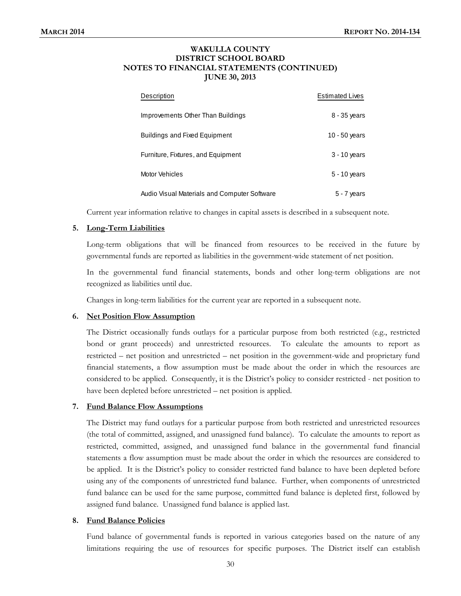| Description                                  | <b>Estimated Lives</b> |
|----------------------------------------------|------------------------|
| Improvements Other Than Buildings            | $8 - 35$ years         |
| <b>Buildings and Fixed Equipment</b>         | 10 $-50$ years         |
| Furniture, Fixtures, and Equipment           | $3 - 10$ years         |
| <b>Motor Vehicles</b>                        | $5 - 10$ years         |
| Audio Visual Materials and Computer Software | $5 - 7$ years          |

Current year information relative to changes in capital assets is described in a subsequent note.

#### **5. Long-Term Liabilities**

Long-term obligations that will be financed from resources to be received in the future by governmental funds are reported as liabilities in the government-wide statement of net position.

In the governmental fund financial statements, bonds and other long-term obligations are not recognized as liabilities until due.

Changes in long-term liabilities for the current year are reported in a subsequent note.

#### **6. Net Position Flow Assumption**

The District occasionally funds outlays for a particular purpose from both restricted (e.g., restricted bond or grant proceeds) and unrestricted resources. To calculate the amounts to report as restricted – net position and unrestricted – net position in the government-wide and proprietary fund financial statements, a flow assumption must be made about the order in which the resources are considered to be applied. Consequently, it is the District's policy to consider restricted - net position to have been depleted before unrestricted – net position is applied.

#### **7. Fund Balance Flow Assumptions**

The District may fund outlays for a particular purpose from both restricted and unrestricted resources (the total of committed, assigned, and unassigned fund balance). To calculate the amounts to report as restricted, committed, assigned, and unassigned fund balance in the governmental fund financial statements a flow assumption must be made about the order in which the resources are considered to be applied. It is the District's policy to consider restricted fund balance to have been depleted before using any of the components of unrestricted fund balance. Further, when components of unrestricted fund balance can be used for the same purpose, committed fund balance is depleted first, followed by assigned fund balance. Unassigned fund balance is applied last.

#### **8. Fund Balance Policies**

Fund balance of governmental funds is reported in various categories based on the nature of any limitations requiring the use of resources for specific purposes. The District itself can establish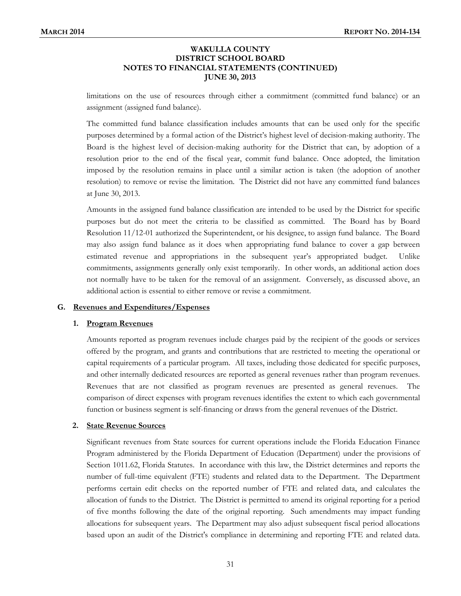limitations on the use of resources through either a commitment (committed fund balance) or an assignment (assigned fund balance).

The committed fund balance classification includes amounts that can be used only for the specific purposes determined by a formal action of the District's highest level of decision-making authority. The Board is the highest level of decision-making authority for the District that can, by adoption of a resolution prior to the end of the fiscal year, commit fund balance. Once adopted, the limitation imposed by the resolution remains in place until a similar action is taken (the adoption of another resolution) to remove or revise the limitation. The District did not have any committed fund balances at June 30, 2013.

Amounts in the assigned fund balance classification are intended to be used by the District for specific purposes but do not meet the criteria to be classified as committed. The Board has by Board Resolution 11/12-01 authorized the Superintendent, or his designee, to assign fund balance. The Board may also assign fund balance as it does when appropriating fund balance to cover a gap between estimated revenue and appropriations in the subsequent year's appropriated budget. Unlike commitments, assignments generally only exist temporarily. In other words, an additional action does not normally have to be taken for the removal of an assignment. Conversely, as discussed above, an additional action is essential to either remove or revise a commitment.

#### **G. Revenues and Expenditures/Expenses**

#### **1. Program Revenues**

Amounts reported as program revenues include charges paid by the recipient of the goods or services offered by the program, and grants and contributions that are restricted to meeting the operational or capital requirements of a particular program. All taxes, including those dedicated for specific purposes, and other internally dedicated resources are reported as general revenues rather than program revenues. Revenues that are not classified as program revenues are presented as general revenues. The comparison of direct expenses with program revenues identifies the extent to which each governmental function or business segment is self-financing or draws from the general revenues of the District.

#### **2. State Revenue Sources**

Significant revenues from State sources for current operations include the Florida Education Finance Program administered by the Florida Department of Education (Department) under the provisions of Section 1011.62, Florida Statutes. In accordance with this law, the District determines and reports the number of full-time equivalent (FTE) students and related data to the Department. The Department performs certain edit checks on the reported number of FTE and related data, and calculates the allocation of funds to the District. The District is permitted to amend its original reporting for a period of five months following the date of the original reporting. Such amendments may impact funding allocations for subsequent years. The Department may also adjust subsequent fiscal period allocations based upon an audit of the District's compliance in determining and reporting FTE and related data.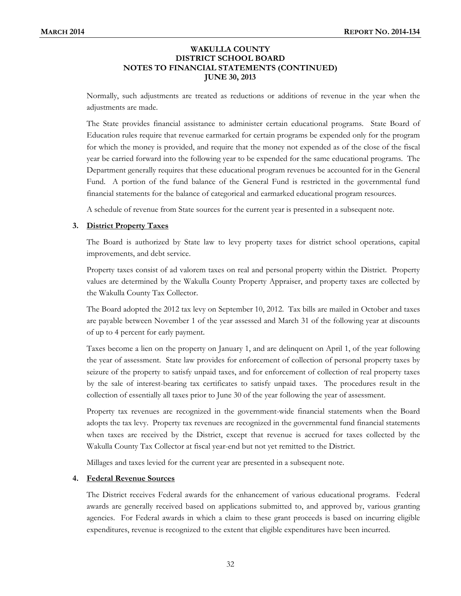Normally, such adjustments are treated as reductions or additions of revenue in the year when the adjustments are made.

The State provides financial assistance to administer certain educational programs. State Board of Education rules require that revenue earmarked for certain programs be expended only for the program for which the money is provided, and require that the money not expended as of the close of the fiscal year be carried forward into the following year to be expended for the same educational programs. The Department generally requires that these educational program revenues be accounted for in the General Fund. A portion of the fund balance of the General Fund is restricted in the governmental fund financial statements for the balance of categorical and earmarked educational program resources.

A schedule of revenue from State sources for the current year is presented in a subsequent note.

#### **3. District Property Taxes**

The Board is authorized by State law to levy property taxes for district school operations, capital improvements, and debt service.

Property taxes consist of ad valorem taxes on real and personal property within the District. Property values are determined by the Wakulla County Property Appraiser, and property taxes are collected by the Wakulla County Tax Collector.

The Board adopted the 2012 tax levy on September 10, 2012. Tax bills are mailed in October and taxes are payable between November 1 of the year assessed and March 31 of the following year at discounts of up to 4 percent for early payment.

Taxes become a lien on the property on January 1, and are delinquent on April 1, of the year following the year of assessment. State law provides for enforcement of collection of personal property taxes by seizure of the property to satisfy unpaid taxes, and for enforcement of collection of real property taxes by the sale of interest-bearing tax certificates to satisfy unpaid taxes. The procedures result in the collection of essentially all taxes prior to June 30 of the year following the year of assessment.

Property tax revenues are recognized in the government-wide financial statements when the Board adopts the tax levy. Property tax revenues are recognized in the governmental fund financial statements when taxes are received by the District, except that revenue is accrued for taxes collected by the Wakulla County Tax Collector at fiscal year-end but not yet remitted to the District.

Millages and taxes levied for the current year are presented in a subsequent note.

#### **4. Federal Revenue Sources**

The District receives Federal awards for the enhancement of various educational programs. Federal awards are generally received based on applications submitted to, and approved by, various granting agencies. For Federal awards in which a claim to these grant proceeds is based on incurring eligible expenditures, revenue is recognized to the extent that eligible expenditures have been incurred.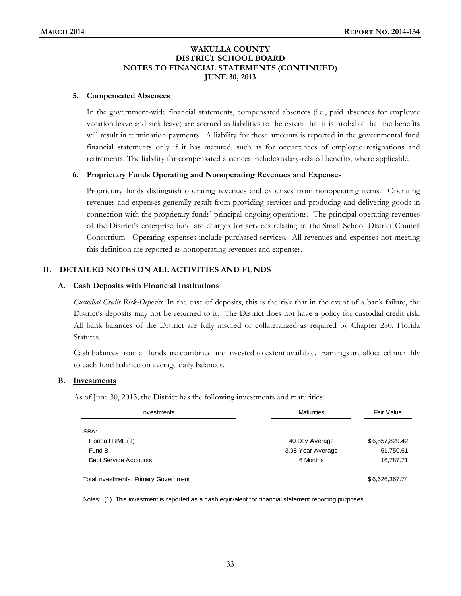#### **5. Compensated Absences**

In the government-wide financial statements, compensated absences (i.e., paid absences for employee vacation leave and sick leave) are accrued as liabilities to the extent that it is probable that the benefits will result in termination payments. A liability for these amounts is reported in the governmental fund financial statements only if it has matured, such as for occurrences of employee resignations and retirements. The liability for compensated absences includes salary-related benefits, where applicable.

#### **6. Proprietary Funds Operating and Nonoperating Revenues and Expenses**

Proprietary funds distinguish operating revenues and expenses from nonoperating items. Operating revenues and expenses generally result from providing services and producing and delivering goods in connection with the proprietary funds' principal ongoing operations. The principal operating revenues of the District's enterprise fund are charges for services relating to the Small School District Council Consortium. Operating expenses include purchased services. All revenues and expenses not meeting this definition are reported as nonoperating revenues and expenses.

#### **II. DETAILED NOTES ON ALL ACTIVITIES AND FUNDS**

#### **A. Cash Deposits with Financial Institutions**

*Custodial Credit Risk-Deposits*. In the case of deposits, this is the risk that in the event of a bank failure, the District's deposits may not be returned to it. The District does not have a policy for custodial credit risk. All bank balances of the District are fully insured or collateralized as required by Chapter 280, Florida Statutes.

Cash balances from all funds are combined and invested to extent available. Earnings are allocated monthly to each fund balance on average daily balances.

#### **B. Investments**

As of June 30, 2013, the District has the following investments and maturities:

| <b>Investments</b>                    | <b>Maturities</b> | Fair Value     |
|---------------------------------------|-------------------|----------------|
| SBA:                                  |                   |                |
| Florida PRIME (1)                     | 40 Day Average    | \$6,557,829.42 |
| Fund B                                | 3.98 Year Average | 51,750.61      |
| Debt Service Accounts                 | 6 Months          | 16,787.71      |
| Total Investments, Primary Government |                   | \$6,626,367.74 |

Notes: (1) This investment is reported as a cash equivalent for financial statement reporting purposes.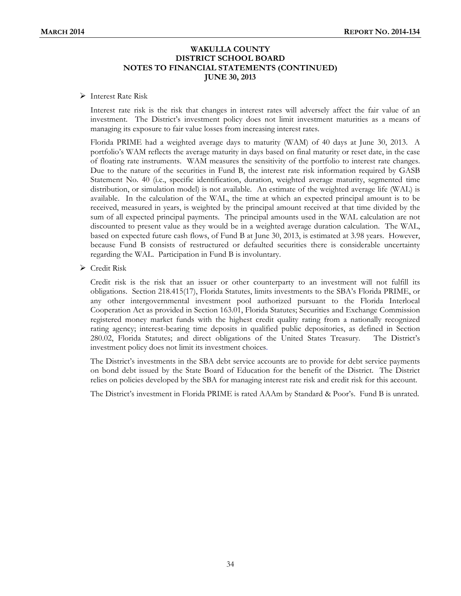#### > Interest Rate Risk

Interest rate risk is the risk that changes in interest rates will adversely affect the fair value of an investment. The District's investment policy does not limit investment maturities as a means of managing its exposure to fair value losses from increasing interest rates.

Florida PRIME had a weighted average days to maturity (WAM) of 40 days at June 30, 2013. A portfolio's WAM reflects the average maturity in days based on final maturity or reset date, in the case of floating rate instruments. WAM measures the sensitivity of the portfolio to interest rate changes. Due to the nature of the securities in Fund B, the interest rate risk information required by GASB Statement No. 40 (i.e., specific identification, duration, weighted average maturity, segmented time distribution, or simulation model) is not available. An estimate of the weighted average life (WAL) is available. In the calculation of the WAL, the time at which an expected principal amount is to be received, measured in years, is weighted by the principal amount received at that time divided by the sum of all expected principal payments. The principal amounts used in the WAL calculation are not discounted to present value as they would be in a weighted average duration calculation. The WAL, based on expected future cash flows, of Fund B at June 30, 2013, is estimated at 3.98 years. However, because Fund B consists of restructured or defaulted securities there is considerable uncertainty regarding the WAL. Participation in Fund B is involuntary.

Credit Risk

Credit risk is the risk that an issuer or other counterparty to an investment will not fulfill its obligations. Section 218.415(17), Florida Statutes, limits investments to the SBA's Florida PRIME, or any other intergovernmental investment pool authorized pursuant to the Florida Interlocal Cooperation Act as provided in Section 163.01, Florida Statutes; Securities and Exchange Commission registered money market funds with the highest credit quality rating from a nationally recognized rating agency; interest-bearing time deposits in qualified public depositories, as defined in Section 280.02, Florida Statutes; and direct obligations of the United States Treasury. The District's investment policy does not limit its investment choices.

The District's investments in the SBA debt service accounts are to provide for debt service payments on bond debt issued by the State Board of Education for the benefit of the District. The District relies on policies developed by the SBA for managing interest rate risk and credit risk for this account.

The District's investment in Florida PRIME is rated AAAm by Standard & Poor's. Fund B is unrated.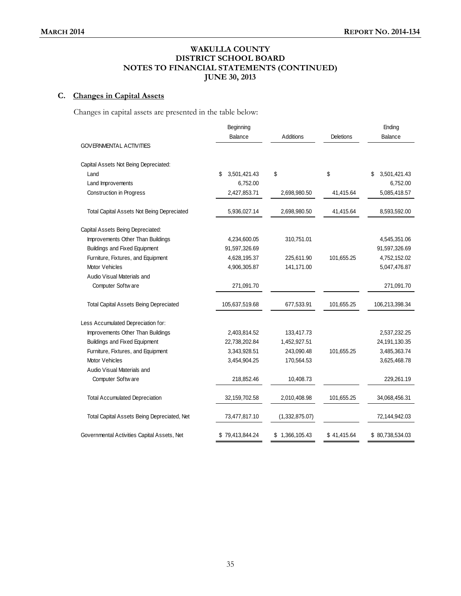### **C. Changes in Capital Assets**

Changes in capital assets are presented in the table below:

|                                                   | Beginning          |                    |             | Ending              |
|---------------------------------------------------|--------------------|--------------------|-------------|---------------------|
|                                                   | <b>Balance</b>     | Additions          | Deletions   | <b>Balance</b>      |
| <b>GOVERNMENTAL ACTIVITIES</b>                    |                    |                    |             |                     |
| Capital Assets Not Being Depreciated:             |                    |                    |             |                     |
| Land                                              | \$<br>3,501,421.43 | \$                 | \$          | \$<br>3,501,421.43  |
| Land Improvements                                 | 6,752.00           |                    |             | 6,752.00            |
| Construction in Progress                          | 2,427,853.71       | 2,698,980.50       | 41,415.64   | 5,085,418.57        |
| <b>Total Capital Assets Not Being Depreciated</b> | 5,936,027.14       | 2,698,980.50       | 41,415.64   | 8,593,592.00        |
| Capital Assets Being Depreciated:                 |                    |                    |             |                     |
| Improvements Other Than Buildings                 | 4,234,600.05       | 310,751.01         |             | 4,545,351.06        |
| <b>Buildings and Fixed Equipment</b>              | 91,597,326.69      |                    |             | 91,597,326.69       |
| Furniture, Fixtures, and Equipment                | 4,628,195.37       | 225,611.90         | 101,655.25  | 4,752,152.02        |
| Motor Vehicles                                    | 4,906,305.87       | 141,171.00         |             | 5,047,476.87        |
| Audio Visual Materials and                        |                    |                    |             |                     |
| Computer Softw are                                | 271,091.70         |                    |             | 271,091.70          |
| <b>Total Capital Assets Being Depreciated</b>     | 105,637,519.68     | 677,533.91         | 101,655.25  | 106,213,398.34      |
| Less Accumulated Depreciation for:                |                    |                    |             |                     |
| Improvements Other Than Buildings                 | 2,403,814.52       | 133,417.73         |             | 2,537,232.25        |
| Buildings and Fixed Equipment                     | 22,738,202.84      | 1,452,927.51       |             | 24,191,130.35       |
| Furniture, Fixtures, and Equipment                | 3,343,928.51       | 243,090.48         | 101,655.25  | 3,485,363.74        |
| Motor Vehicles                                    | 3,454,904.25       | 170,564.53         |             | 3,625,468.78        |
| Audio Visual Materials and                        |                    |                    |             |                     |
| Computer Softw are                                | 218,852.46         | 10,408.73          |             | 229,261.19          |
| <b>Total Accumulated Depreciation</b>             | 32, 159, 702. 58   | 2,010,408.98       | 101,655.25  | 34,068,456.31       |
| Total Capital Assets Being Depreciated, Net       | 73,477,817.10      | (1,332,875.07)     |             | 72,144,942.03       |
| Governmental Activities Capital Assets, Net       | \$79,413,844.24    | 1,366,105.43<br>\$ | \$41,415.64 | 80,738,534.03<br>\$ |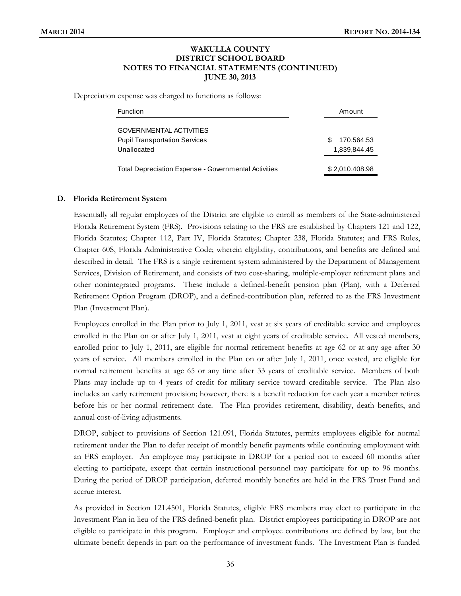Depreciation expense was charged to functions as follows:

| Function                                                    | Amount           |
|-------------------------------------------------------------|------------------|
| <b>GOVERNMENTAL ACTIVITIES</b>                              |                  |
| <b>Pupil Transportation Services</b>                        | 170.564.53<br>£. |
| Unallocated                                                 | 1,839,844.45     |
|                                                             |                  |
| <b>Total Depreciation Expense - Governmental Activities</b> | \$2,010,408.98   |

#### **D. Florida Retirement System**

Essentially all regular employees of the District are eligible to enroll as members of the State-administered Florida Retirement System (FRS). Provisions relating to the FRS are established by Chapters 121 and 122, Florida Statutes; Chapter 112, Part IV, Florida Statutes; Chapter 238, Florida Statutes; and FRS Rules, Chapter 60S, Florida Administrative Code; wherein eligibility, contributions, and benefits are defined and described in detail. The FRS is a single retirement system administered by the Department of Management Services, Division of Retirement, and consists of two cost-sharing, multiple-employer retirement plans and other nonintegrated programs. These include a defined-benefit pension plan (Plan), with a Deferred Retirement Option Program (DROP), and a defined-contribution plan, referred to as the FRS Investment Plan (Investment Plan).

Employees enrolled in the Plan prior to July 1, 2011, vest at six years of creditable service and employees enrolled in the Plan on or after July 1, 2011, vest at eight years of creditable service. All vested members, enrolled prior to July 1, 2011, are eligible for normal retirement benefits at age 62 or at any age after 30 years of service. All members enrolled in the Plan on or after July 1, 2011, once vested, are eligible for normal retirement benefits at age 65 or any time after 33 years of creditable service. Members of both Plans may include up to 4 years of credit for military service toward creditable service. The Plan also includes an early retirement provision; however, there is a benefit reduction for each year a member retires before his or her normal retirement date. The Plan provides retirement, disability, death benefits, and annual cost-of-living adjustments.

DROP, subject to provisions of Section 121.091, Florida Statutes, permits employees eligible for normal retirement under the Plan to defer receipt of monthly benefit payments while continuing employment with an FRS employer. An employee may participate in DROP for a period not to exceed 60 months after electing to participate, except that certain instructional personnel may participate for up to 96 months. During the period of DROP participation, deferred monthly benefits are held in the FRS Trust Fund and accrue interest.

As provided in Section 121.4501, Florida Statutes, eligible FRS members may elect to participate in the Investment Plan in lieu of the FRS defined-benefit plan. District employees participating in DROP are not eligible to participate in this program. Employer and employee contributions are defined by law, but the ultimate benefit depends in part on the performance of investment funds. The Investment Plan is funded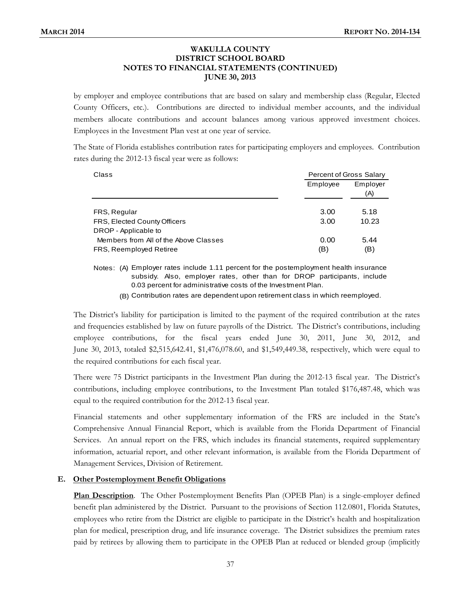by employer and employee contributions that are based on salary and membership class (Regular, Elected County Officers, etc.). Contributions are directed to individual member accounts, and the individual members allocate contributions and account balances among various approved investment choices. Employees in the Investment Plan vest at one year of service.

The State of Florida establishes contribution rates for participating employers and employees. Contribution rates during the 2012-13 fiscal year were as follows:

| Class                                 | <b>Percent of Gross Salary</b> |          |
|---------------------------------------|--------------------------------|----------|
|                                       | Employee                       | Employer |
|                                       |                                | (A)      |
|                                       |                                |          |
| FRS, Regular                          | 3.00                           | 5.18     |
| FRS, Elected County Officers          | 3.00                           | 10.23    |
| DROP - Applicable to                  |                                |          |
| Members from All of the Above Classes | 0.00                           | 5.44     |
| FRS, Reemployed Retiree               | (B)                            | (B)      |

Notes: (A) Employer rates include 1.11 percent for the postemployment health insurance subsidy. Also, employer rates, other than for DROP participants, include 0.03 percent for administrative costs of the Investment Plan.

(B) Contribution rates are dependent upon retirement class in which reemployed.

The District's liability for participation is limited to the payment of the required contribution at the rates and frequencies established by law on future payrolls of the District. The District's contributions, including employee contributions, for the fiscal years ended June 30, 2011, June 30, 2012, and June 30, 2013, totaled \$2,515,642.41, \$1,476,078.60, and \$1,549,449.38, respectively, which were equal to the required contributions for each fiscal year.

There were 75 District participants in the Investment Plan during the 2012-13 fiscal year. The District's contributions, including employee contributions, to the Investment Plan totaled \$176,487.48, which was equal to the required contribution for the 2012-13 fiscal year.

Financial statements and other supplementary information of the FRS are included in the State's Comprehensive Annual Financial Report, which is available from the Florida Department of Financial Services. An annual report on the FRS, which includes its financial statements, required supplementary information, actuarial report, and other relevant information, is available from the Florida Department of Management Services, Division of Retirement.

#### **E. Other Postemployment Benefit Obligations**

**Plan Description**. The Other Postemployment Benefits Plan (OPEB Plan) is a single-employer defined benefit plan administered by the District. Pursuant to the provisions of Section 112.0801, Florida Statutes, employees who retire from the District are eligible to participate in the District's health and hospitalization plan for medical, prescription drug, and life insurance coverage. The District subsidizes the premium rates paid by retirees by allowing them to participate in the OPEB Plan at reduced or blended group (implicitly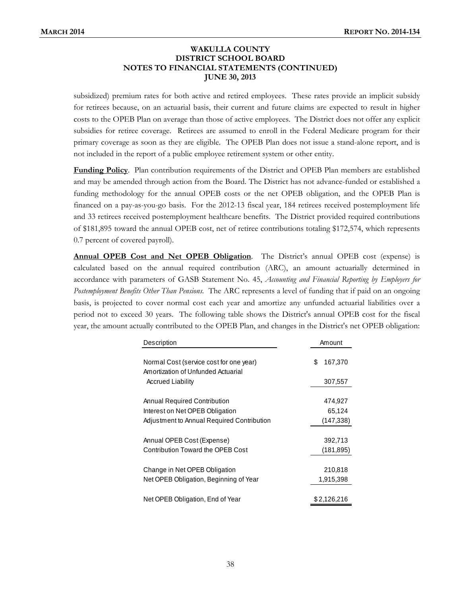subsidized) premium rates for both active and retired employees. These rates provide an implicit subsidy for retirees because, on an actuarial basis, their current and future claims are expected to result in higher costs to the OPEB Plan on average than those of active employees. The District does not offer any explicit subsidies for retiree coverage. Retirees are assumed to enroll in the Federal Medicare program for their primary coverage as soon as they are eligible. The OPEB Plan does not issue a stand-alone report, and is not included in the report of a public employee retirement system or other entity.

**Funding Policy**. Plan contribution requirements of the District and OPEB Plan members are established and may be amended through action from the Board. The District has not advance-funded or established a funding methodology for the annual OPEB costs or the net OPEB obligation, and the OPEB Plan is financed on a pay-as-you-go basis. For the 2012-13 fiscal year, 184 retirees received postemployment life and 33 retirees received postemployment healthcare benefits. The District provided required contributions of \$181,895 toward the annual OPEB cost, net of retiree contributions totaling \$172,574, which represents 0.7 percent of covered payroll).

**Annual OPEB Cost and Net OPEB Obligation**. The District's annual OPEB cost (expense) is calculated based on the annual required contribution (ARC), an amount actuarially determined in accordance with parameters of GASB Statement No. 45, *Accounting and Financial Reporting by Employers for Postemployment Benefits Other Than Pensions*. The ARC represents a level of funding that if paid on an ongoing basis, is projected to cover normal cost each year and amortize any unfunded actuarial liabilities over a period not to exceed 30 years. The following table shows the District's annual OPEB cost for the fiscal year, the amount actually contributed to the OPEB Plan, and changes in the District's net OPEB obligation:

| Description                                                                   | Amount        |
|-------------------------------------------------------------------------------|---------------|
| Normal Cost (service cost for one year)<br>Amortization of Unfunded Actuarial | \$<br>167,370 |
| <b>Accrued Liability</b>                                                      | 307,557       |
|                                                                               |               |
| Annual Required Contribution                                                  | 474,927       |
| Interest on Net OPEB Obligation                                               | 65,124        |
| Adjustment to Annual Required Contribution                                    | (147,338)     |
|                                                                               |               |
| Annual OPEB Cost (Expense)                                                    | 392,713       |
| Contribution Toward the OPEB Cost                                             | (181,895)     |
|                                                                               |               |
| Change in Net OPEB Obligation                                                 | 210,818       |
| Net OPEB Obligation, Beginning of Year                                        | 1,915,398     |
|                                                                               |               |
| Net OPEB Obligation, End of Year                                              | \$2,126,216   |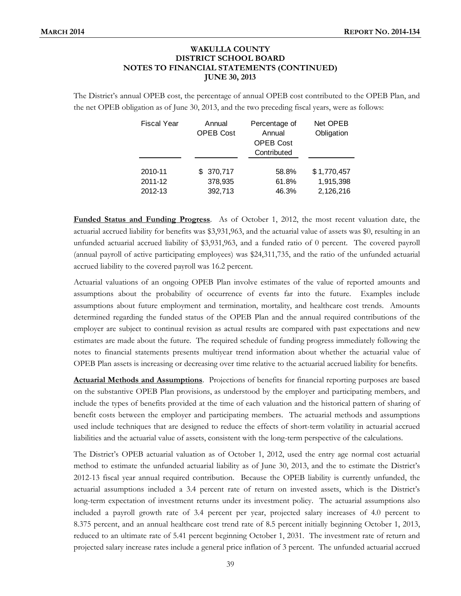The District's annual OPEB cost, the percentage of annual OPEB cost contributed to the OPEB Plan, and the net OPEB obligation as of June 30, 2013, and the two preceding fiscal years, were as follows:

| <b>Fiscal Year</b> | Annual<br><b>OPEB Cost</b> | Percentage of<br>Annual<br><b>OPEB Cost</b><br>Contributed | Net OPEB<br>Obligation |  |  |  |
|--------------------|----------------------------|------------------------------------------------------------|------------------------|--|--|--|
| 2010-11            | \$370,717                  | 58.8%                                                      | \$1,770,457            |  |  |  |
| 2011-12            | 378,935                    | 61.8%                                                      | 1,915,398              |  |  |  |
| 2012-13            | 392,713                    | 46.3%                                                      | 2,126,216              |  |  |  |

**Funded Status and Funding Progress**. As of October 1, 2012, the most recent valuation date, the actuarial accrued liability for benefits was \$3,931,963, and the actuarial value of assets was \$0, resulting in an unfunded actuarial accrued liability of \$3,931,963, and a funded ratio of 0 percent. The covered payroll (annual payroll of active participating employees) was \$24,311,735, and the ratio of the unfunded actuarial accrued liability to the covered payroll was 16.2 percent.

Actuarial valuations of an ongoing OPEB Plan involve estimates of the value of reported amounts and assumptions about the probability of occurrence of events far into the future. Examples include assumptions about future employment and termination, mortality, and healthcare cost trends. Amounts determined regarding the funded status of the OPEB Plan and the annual required contributions of the employer are subject to continual revision as actual results are compared with past expectations and new estimates are made about the future. The required schedule of funding progress immediately following the notes to financial statements presents multiyear trend information about whether the actuarial value of OPEB Plan assets is increasing or decreasing over time relative to the actuarial accrued liability for benefits.

**Actuarial Methods and Assumptions**. Projections of benefits for financial reporting purposes are based on the substantive OPEB Plan provisions, as understood by the employer and participating members, and include the types of benefits provided at the time of each valuation and the historical pattern of sharing of benefit costs between the employer and participating members. The actuarial methods and assumptions used include techniques that are designed to reduce the effects of short-term volatility in actuarial accrued liabilities and the actuarial value of assets, consistent with the long-term perspective of the calculations.

The District's OPEB actuarial valuation as of October 1, 2012, used the entry age normal cost actuarial method to estimate the unfunded actuarial liability as of June 30, 2013, and the to estimate the District's 2012-13 fiscal year annual required contribution. Because the OPEB liability is currently unfunded, the actuarial assumptions included a 3.4 percent rate of return on invested assets, which is the District's long-term expectation of investment returns under its investment policy. The actuarial assumptions also included a payroll growth rate of 3.4 percent per year, projected salary increases of 4.0 percent to 8.375 percent, and an annual healthcare cost trend rate of 8.5 percent initially beginning October 1, 2013, reduced to an ultimate rate of 5.41 percent beginning October 1, 2031. The investment rate of return and projected salary increase rates include a general price inflation of 3 percent. The unfunded actuarial accrued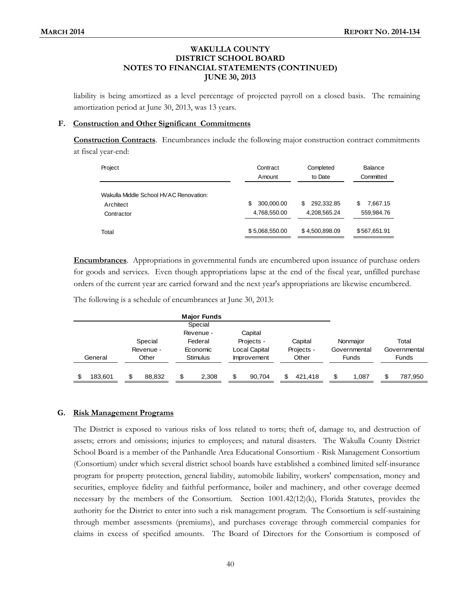liability is being amortized as a level percentage of projected payroll on a closed basis. The remaining amortization period at June 30, 2013, was 13 years.

#### **F. Construction and Other Significant Commitments**

**Construction Contracts**. Encumbrances include the following major construction contract commitments at fiscal year-end:

| Project                                | Contract       | Completed      | Balance      |
|----------------------------------------|----------------|----------------|--------------|
|                                        | Amount         | to Date        | Committed    |
| Wakulla Middle School HVAC Renovation: | \$             | 292.332.85     | 7,667.15     |
| Architect                              | 300,000.00     | S              | S            |
| Contractor                             | 4,768,550.00   | 4,208,565.24   | 559,984.76   |
| Total                                  | \$5,068,550.00 | \$4,500,898.09 | \$567,651.91 |

**Encumbrances**. Appropriations in governmental funds are encumbered upon issuance of purchase orders for goods and services. Even though appropriations lapse at the end of the fiscal year, unfilled purchase orders of the current year are carried forward and the next year's appropriations are likewise encumbered.

The following is a schedule of encumbrances at June 30, 2013:

|                  |              | <b>Major Funds</b> |                    |              |              |               |  |  |
|------------------|--------------|--------------------|--------------------|--------------|--------------|---------------|--|--|
|                  |              | Special            |                    |              |              |               |  |  |
|                  |              | Revenue -          | Capital            |              |              |               |  |  |
|                  | Special      | Federal            | Projects -         |              | Nonmajor     | Total         |  |  |
|                  | Revenue -    | Economic           | Local Capital      | Projects -   | Governmental | Governmental  |  |  |
| Other<br>General |              | <b>Stimulus</b>    | <b>Improvement</b> | Other        | Funds        | <b>Funds</b>  |  |  |
|                  |              |                    |                    |              |              |               |  |  |
| \$<br>183.601    | \$<br>88.832 | \$<br>2,308        | \$<br>90.704       | S<br>421.418 | 1,087<br>\$  | \$<br>787,950 |  |  |

#### **G. Risk Management Programs**

The District is exposed to various risks of loss related to torts; theft of, damage to, and destruction of assets; errors and omissions; injuries to employees; and natural disasters. The Wakulla County District School Board is a member of the Panhandle Area Educational Consortium - Risk Management Consortium (Consortium) under which several district school boards have established a combined limited self-insurance program for property protection, general liability, automobile liability, workers' compensation, money and securities, employee fidelity and faithful performance, boiler and machinery, and other coverage deemed necessary by the members of the Consortium. Section 1001.42(12)(k), Florida Statutes, provides the authority for the District to enter into such a risk management program. The Consortium is self-sustaining through member assessments (premiums), and purchases coverage through commercial companies for claims in excess of specified amounts. The Board of Directors for the Consortium is composed of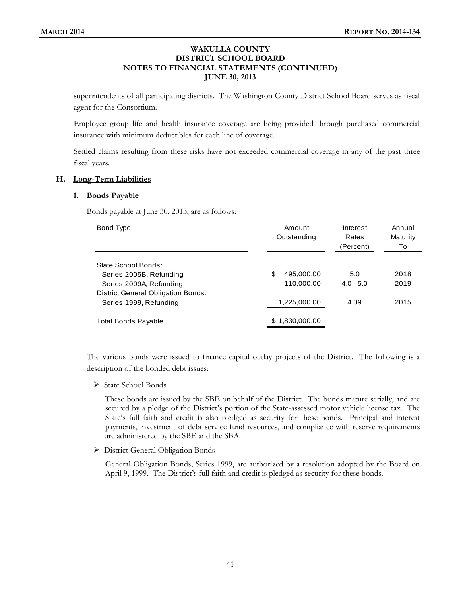superintendents of all participating districts. The Washington County District School Board serves as fiscal agent for the Consortium.

Employee group life and health insurance coverage are being provided through purchased commercial insurance with minimum deductibles for each line of coverage.

Settled claims resulting from these risks have not exceeded commercial coverage in any of the past three fiscal years.

#### **H. Long-Term Liabilities**

#### **1. Bonds Payable**

Bonds payable at June 30, 2013, are as follows:

| Bond Type                          | Amount<br>Outstanding | Interest<br>Rates<br>(Percent) | Annual<br>Maturity<br>To |
|------------------------------------|-----------------------|--------------------------------|--------------------------|
| State School Bonds:                |                       |                                |                          |
| Series 2005B, Refunding            | \$<br>495,000.00      | 5.0                            | 2018                     |
| Series 2009A, Refunding            | 110,000.00            | $4.0 - 5.0$                    | 2019                     |
| District General Obligation Bonds: |                       |                                |                          |
| Series 1999, Refunding             | 1,225,000.00          | 4.09                           | 2015                     |
|                                    |                       |                                |                          |
| <b>Total Bonds Payable</b>         | \$1,830,000.00        |                                |                          |

The various bonds were issued to finance capital outlay projects of the District. The following is a description of the bonded debt issues:

State School Bonds

These bonds are issued by the SBE on behalf of the District. The bonds mature serially, and are secured by a pledge of the District's portion of the State-assessed motor vehicle license tax. The State's full faith and credit is also pledged as security for these bonds. Principal and interest payments, investment of debt service fund resources, and compliance with reserve requirements are administered by the SBE and the SBA.

District General Obligation Bonds

General Obligation Bonds, Series 1999, are authorized by a resolution adopted by the Board on April 9, 1999. The District's full faith and credit is pledged as security for these bonds.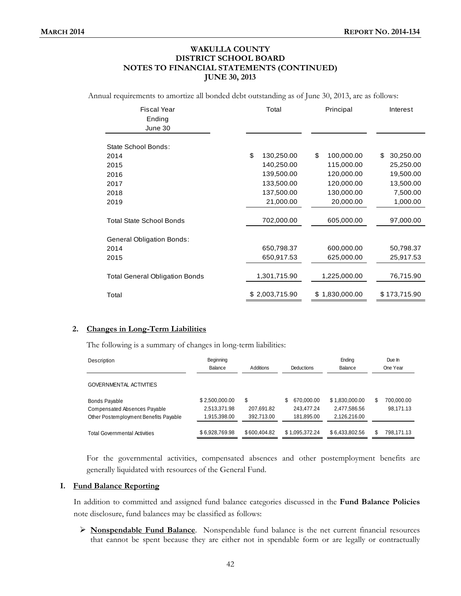Annual requirements to amortize all bonded debt outstanding as of June 30, 2013, are as follows:

| <b>Fiscal Year</b><br>Ending<br>June 30 | Total            | Principal        | Interest        |
|-----------------------------------------|------------------|------------------|-----------------|
| State School Bonds:                     |                  |                  |                 |
| 2014                                    | \$<br>130,250.00 | \$<br>100,000.00 | \$<br>30,250.00 |
| 2015                                    | 140,250.00       | 115,000.00       | 25,250.00       |
| 2016                                    | 139,500.00       | 120,000.00       | 19,500.00       |
| 2017                                    | 133,500.00       | 120,000.00       | 13,500.00       |
| 2018                                    | 137,500.00       | 130,000.00       | 7,500.00        |
| 2019                                    | 21,000.00        | 20,000.00        | 1,000.00        |
| <b>Total State School Bonds</b>         | 702,000.00       | 605,000.00       | 97,000.00       |
| <b>General Obligation Bonds:</b>        |                  |                  |                 |
| 2014                                    | 650,798.37       | 600,000.00       | 50,798.37       |
| 2015                                    | 650,917.53       | 625,000.00       | 25,917.53       |
| <b>Total General Obligation Bonds</b>   | 1,301,715.90     | 1,225,000.00     | 76,715.90       |
| Total                                   | \$2,003,715.90   | \$1,830,000.00   | \$173,715.90    |

#### **2. Changes in Long-Term Liabilities**

The following is a summary of changes in long-term liabilities:

| Description                           | Beginning      |              |                   | Ending         |    | Due In     |
|---------------------------------------|----------------|--------------|-------------------|----------------|----|------------|
|                                       | Balance        | Additions    | <b>Deductions</b> | Balance        |    | One Year   |
| <b>GOVERNMENTAL ACTIVITIES</b>        |                |              |                   |                |    |            |
| <b>Bonds Payable</b>                  | \$2,500,000.00 | \$           | \$<br>670.000.00  | \$1,830,000.00 | S  | 700,000.00 |
| <b>Compensated Absences Payable</b>   | 2,513,371.98   | 207.691.82   | 243.477.24        | 2,477,586.56   |    | 98,171.13  |
| Other Postemployment Benefits Payable | 1.915.398.00   | 392.713.00   | 181.895.00        | 2.126.216.00   |    |            |
| <b>Total Governmental Activities</b>  | \$6,928,769.98 | \$600.404.82 | \$1,095,372.24    | \$6,433,802.56 | \$ | 798.171.13 |

For the governmental activities, compensated absences and other postemployment benefits are generally liquidated with resources of the General Fund.

#### **I. Fund Balance Reporting**

In addition to committed and assigned fund balance categories discussed in the **Fund Balance Policies** note disclosure, fund balances may be classified as follows:

 **Nonspendable Fund Balance**. Nonspendable fund balance is the net current financial resources that cannot be spent because they are either not in spendable form or are legally or contractually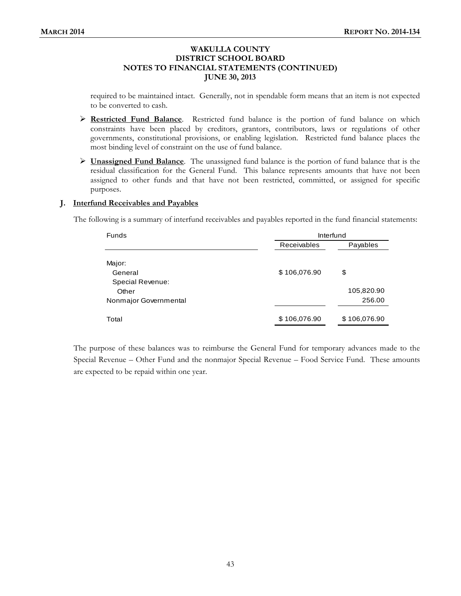required to be maintained intact. Generally, not in spendable form means that an item is not expected to be converted to cash.

- **Restricted Fund Balance**. Restricted fund balance is the portion of fund balance on which constraints have been placed by creditors, grantors, contributors, laws or regulations of other governments, constitutional provisions, or enabling legislation. Restricted fund balance places the most binding level of constraint on the use of fund balance.
- **Unassigned Fund Balance**. The unassigned fund balance is the portion of fund balance that is the residual classification for the General Fund. This balance represents amounts that have not been assigned to other funds and that have not been restricted, committed, or assigned for specific purposes.

#### **J. Interfund Receivables and Payables**

The following is a summary of interfund receivables and payables reported in the fund financial statements:

| <b>Funds</b>          | Interfund    |              |  |  |  |  |
|-----------------------|--------------|--------------|--|--|--|--|
|                       | Receivables  | Payables     |  |  |  |  |
| Major:                |              |              |  |  |  |  |
| General               | \$106,076.90 | \$           |  |  |  |  |
| Special Revenue:      |              |              |  |  |  |  |
| Other                 |              | 105,820.90   |  |  |  |  |
| Nonmajor Governmental |              | 256.00       |  |  |  |  |
| Total                 | \$106,076.90 | \$106,076.90 |  |  |  |  |

The purpose of these balances was to reimburse the General Fund for temporary advances made to the Special Revenue – Other Fund and the nonmajor Special Revenue – Food Service Fund. These amounts are expected to be repaid within one year.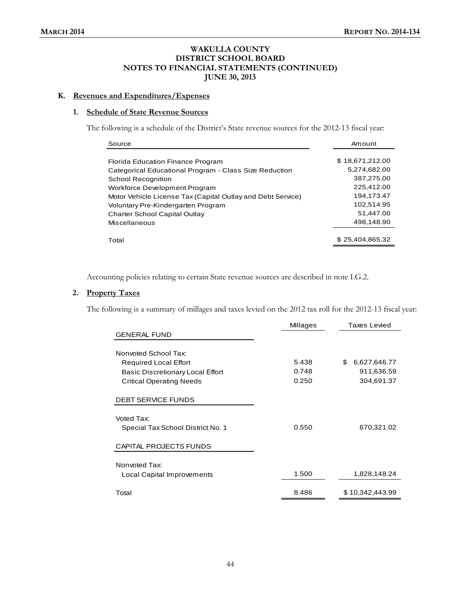#### **K. Revenues and Expenditures/Expenses**

#### **1. Schedule of State Revenue Sources**

The following is a schedule of the District's State revenue sources for the 2012-13 fiscal year:

| Source                                                      | Amount          |
|-------------------------------------------------------------|-----------------|
|                                                             |                 |
| Florida Education Finance Program                           | \$18,671,212.00 |
| Categorical Educational Program - Class Size Reduction      | 5,274,682.00    |
| <b>School Recognition</b>                                   | 387,275.00      |
| Workforce Development Program                               | 225.412.00      |
| Motor Vehicle License Tax (Capital Outlay and Debt Service) | 194,173.47      |
| Voluntary Pre-Kindergarten Program                          | 102.514.95      |
| <b>Charter School Capital Outlay</b>                        | 51.447.00       |
| Miscellaneous                                               | 498,148.90      |
|                                                             |                 |
| Total                                                       | \$25.404.865.32 |

Accounting policies relating to certain State revenue sources are described in note I.G.2.

#### **2. Property Taxes**

The following is a summary of millages and taxes levied on the 2012 tax roll for the 2012-13 fiscal year:

|                                         | Millages | Taxes Levied       |
|-----------------------------------------|----------|--------------------|
| <b>GENERAL FUND</b>                     |          |                    |
| Nonvoted School Tax:                    |          |                    |
| <b>Required Local Effort</b>            | 5.438    | \$<br>6,627,646.77 |
| <b>Basic Discretionary Local Effort</b> | 0.748    | 911,636.59         |
| <b>Critical Operating Needs</b>         | 0.250    | 304,691.37         |
| <b>DEBT SERVICE FUNDS</b>               |          |                    |
| Voted Tax:                              |          |                    |
| Special Tax School District No. 1       | 0.550    | 670,321.02         |
| CAPITAL PROJECTS FUNDS                  |          |                    |
| Nonvoted Tax:                           |          |                    |
| Local Capital Improvements              | 1.500    | 1,828,148.24       |
| Total                                   | 8.486    | \$10,342,443.99    |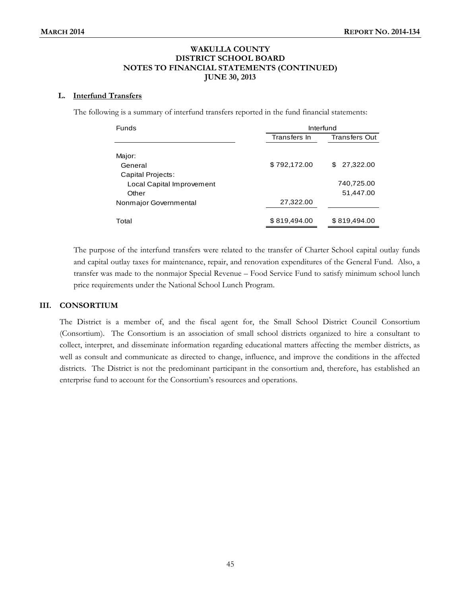#### **L. Interfund Transfers**

The following is a summary of interfund transfers reported in the fund financial statements:

| <b>Funds</b>              | Interfund    |                      |  |  |
|---------------------------|--------------|----------------------|--|--|
|                           | Transfers In | <b>Transfers Out</b> |  |  |
| Major:                    |              |                      |  |  |
| General                   | \$792,172.00 | 27,322.00<br>S       |  |  |
| Capital Projects:         |              |                      |  |  |
| Local Capital Improvement |              | 740,725.00           |  |  |
| Other                     |              | 51,447.00            |  |  |
| Nonmajor Governmental     | 27,322.00    |                      |  |  |
| Total                     | \$819,494.00 | \$819,494.00         |  |  |

The purpose of the interfund transfers were related to the transfer of Charter School capital outlay funds and capital outlay taxes for maintenance, repair, and renovation expenditures of the General Fund. Also, a transfer was made to the nonmajor Special Revenue – Food Service Fund to satisfy minimum school lunch price requirements under the National School Lunch Program.

#### **III. CONSORTIUM**

The District is a member of, and the fiscal agent for, the Small School District Council Consortium (Consortium). The Consortium is an association of small school districts organized to hire a consultant to collect, interpret, and disseminate information regarding educational matters affecting the member districts, as well as consult and communicate as directed to change, influence, and improve the conditions in the affected districts. The District is not the predominant participant in the consortium and, therefore, has established an enterprise fund to account for the Consortium's resources and operations.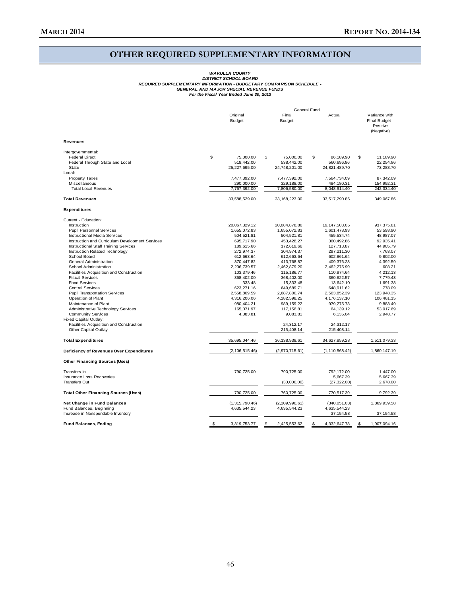### <span id="page-50-0"></span>**OTHER REQUIRED SUPPLEMENTARY INFORMATION**

# *WAKULLA COUNTY*<br>DISTRICT SCHOOL BOARD<br>PISTRICT SCHOOL BOARD<br>GENERAL AND MAJOR SPECIAL REVENUE FUNDS<br>For the Fiscal Year Ended June 30, 2013<br>For the Fiscal Year Ended June 30, 2013

|                                                                                                                                                                                                                                                                                                                                                                                                                                                                                                                                                                                                                                                                                                    | General Fund |                                                                                                                                                                                                                                                               |    |                                                                                                                                                                                                                                                                                              |    |                                                                                                                                                                                                                                                                                              |    |                                                                                                                                                                                                                             |
|----------------------------------------------------------------------------------------------------------------------------------------------------------------------------------------------------------------------------------------------------------------------------------------------------------------------------------------------------------------------------------------------------------------------------------------------------------------------------------------------------------------------------------------------------------------------------------------------------------------------------------------------------------------------------------------------------|--------------|---------------------------------------------------------------------------------------------------------------------------------------------------------------------------------------------------------------------------------------------------------------|----|----------------------------------------------------------------------------------------------------------------------------------------------------------------------------------------------------------------------------------------------------------------------------------------------|----|----------------------------------------------------------------------------------------------------------------------------------------------------------------------------------------------------------------------------------------------------------------------------------------------|----|-----------------------------------------------------------------------------------------------------------------------------------------------------------------------------------------------------------------------------|
|                                                                                                                                                                                                                                                                                                                                                                                                                                                                                                                                                                                                                                                                                                    |              | Original<br><b>Budget</b>                                                                                                                                                                                                                                     |    | Final<br><b>Budget</b>                                                                                                                                                                                                                                                                       |    | Actual                                                                                                                                                                                                                                                                                       |    | Variance with<br>Final Budget -<br>Positive<br>(Negative)                                                                                                                                                                   |
| <b>Revenues</b>                                                                                                                                                                                                                                                                                                                                                                                                                                                                                                                                                                                                                                                                                    |              |                                                                                                                                                                                                                                                               |    |                                                                                                                                                                                                                                                                                              |    |                                                                                                                                                                                                                                                                                              |    |                                                                                                                                                                                                                             |
| Intergovernmental:<br><b>Federal Direct</b><br>Federal Through State and Local<br>State<br>Local:<br>Property Taxes<br>Miscellaneous<br><b>Total Local Revenues</b>                                                                                                                                                                                                                                                                                                                                                                                                                                                                                                                                | \$           | 75,000.00<br>518,442.00<br>25,227,695.00<br>7,477,392.00<br>290,000.00<br>7,767,392.00                                                                                                                                                                        | \$ | 75,000.00<br>538,442.00<br>24,748,201.00<br>7,477,392.00<br>329,188.00<br>7,806,580.00                                                                                                                                                                                                       | \$ | 86,189.90<br>560,696.86<br>24,821,489.70<br>7,564,734.09<br>484,180.31<br>8,048,914.40                                                                                                                                                                                                       | \$ | 11,189.90<br>22,254.86<br>73,288.70<br>87,342.09<br>154,992.31<br>242,334.40                                                                                                                                                |
| <b>Total Revenues</b>                                                                                                                                                                                                                                                                                                                                                                                                                                                                                                                                                                                                                                                                              |              | 33,588,529.00                                                                                                                                                                                                                                                 |    | 33, 168, 223.00                                                                                                                                                                                                                                                                              |    | 33,517,290.86                                                                                                                                                                                                                                                                                |    | 349,067.86                                                                                                                                                                                                                  |
| <b>Expenditures</b>                                                                                                                                                                                                                                                                                                                                                                                                                                                                                                                                                                                                                                                                                |              |                                                                                                                                                                                                                                                               |    |                                                                                                                                                                                                                                                                                              |    |                                                                                                                                                                                                                                                                                              |    |                                                                                                                                                                                                                             |
| Current - Education:<br>Instruction<br><b>Pupil Personnel Services</b><br><b>Instructional Media Services</b><br>Instruction and Curriculum Development Services<br><b>Instructional Staff Training Services</b><br>Instruction Related Technology<br>School Board<br>General Administration<br>School Administration<br>Facilities Acquisition and Construction<br><b>Fiscal Services</b><br><b>Food Services</b><br><b>Central Services</b><br><b>Pupil Transportation Services</b><br>Operation of Plant<br>Maintenance of Plant<br>Administrative Technology Services<br><b>Community Services</b><br>Fixed Capital Outlay:<br>Facilities Acquisition and Construction<br>Other Capital Outlay |              | 20,067,329.12<br>1,655,072.83<br>504,521.81<br>695,717.90<br>189,615.66<br>272,974.37<br>612,663.64<br>370,447.82<br>2,206,739.57<br>103,379.46<br>368,402.00<br>333.48<br>623.271.16<br>2,558,809.59<br>4,316,206.06<br>980,404.21<br>165,071.97<br>4,083.81 |    | 20,084,878.86<br>1.655.072.83<br>504,521.81<br>453,428.27<br>172,619.66<br>304,974.37<br>612,663.64<br>413,768.87<br>2,462,879.20<br>115, 186.77<br>368,402.00<br>15,333.48<br>649.689.71<br>2,687,800.74<br>4,282,598.25<br>989,159.22<br>117,156.81<br>9,083.81<br>24,312.17<br>215,408.14 |    | 19, 147, 503.05<br>1,601,478.93<br>455,534.74<br>360,492.86<br>127,713.87<br>297,211.30<br>602,861.64<br>409,376.28<br>2,462,275.99<br>110,974.64<br>360,622.57<br>13,642.10<br>648.911.62<br>2,563,852.39<br>4,176,137.10<br>979,275.73<br>64,139.12<br>6,135.04<br>24,312.17<br>215,408.14 |    | 937,375.81<br>53.593.90<br>48,987.07<br>92,935.41<br>44,905.79<br>7,763.07<br>9,802.00<br>4,392.59<br>603.21<br>4,212.13<br>7,779.43<br>1,691.38<br>778.09<br>123,948.35<br>106,461.15<br>9,883.49<br>53,017.69<br>2,948.77 |
| <b>Total Expenditures</b>                                                                                                                                                                                                                                                                                                                                                                                                                                                                                                                                                                                                                                                                          |              | 35,695,044.46                                                                                                                                                                                                                                                 |    | 36, 138, 938.61                                                                                                                                                                                                                                                                              |    | 34,627,859.28                                                                                                                                                                                                                                                                                |    | 1,511,079.33                                                                                                                                                                                                                |
| Deficiency of Revenues Over Expenditures                                                                                                                                                                                                                                                                                                                                                                                                                                                                                                                                                                                                                                                           |              | (2, 106, 515.46)                                                                                                                                                                                                                                              |    | (2,970,715.61)                                                                                                                                                                                                                                                                               |    | (1, 110, 568.42)                                                                                                                                                                                                                                                                             |    | 1,860,147.19                                                                                                                                                                                                                |
| <b>Other Financing Sources (Uses)</b>                                                                                                                                                                                                                                                                                                                                                                                                                                                                                                                                                                                                                                                              |              |                                                                                                                                                                                                                                                               |    |                                                                                                                                                                                                                                                                                              |    |                                                                                                                                                                                                                                                                                              |    |                                                                                                                                                                                                                             |
| Transfers In<br>Insurance Loss Recoveries<br><b>Transfers Out</b>                                                                                                                                                                                                                                                                                                                                                                                                                                                                                                                                                                                                                                  |              | 790,725.00                                                                                                                                                                                                                                                    |    | 790,725.00<br>(30,000.00)                                                                                                                                                                                                                                                                    |    | 792,172.00<br>5,667.39<br>(27, 322.00)                                                                                                                                                                                                                                                       |    | 1,447.00<br>5,667.39<br>2,678.00                                                                                                                                                                                            |
| <b>Total Other Financing Sources (Uses)</b>                                                                                                                                                                                                                                                                                                                                                                                                                                                                                                                                                                                                                                                        |              | 790,725.00                                                                                                                                                                                                                                                    |    | 760,725.00                                                                                                                                                                                                                                                                                   |    | 770,517.39                                                                                                                                                                                                                                                                                   |    | 9,792.39                                                                                                                                                                                                                    |
| Net Change in Fund Balances<br>Fund Balances, Beginning<br>Increase in Nonspendable Inventory                                                                                                                                                                                                                                                                                                                                                                                                                                                                                                                                                                                                      |              | (1,315,790.46)<br>4,635,544.23                                                                                                                                                                                                                                |    | (2,209,990.61)<br>4,635,544.23                                                                                                                                                                                                                                                               |    | (340, 051.03)<br>4,635,544.23<br>37,154.58                                                                                                                                                                                                                                                   |    | 1,869,939.58<br>37,154.58                                                                                                                                                                                                   |
| <b>Fund Balances, Ending</b>                                                                                                                                                                                                                                                                                                                                                                                                                                                                                                                                                                                                                                                                       | \$           | 3,319,753.77                                                                                                                                                                                                                                                  | \$ | 2,425,553.62                                                                                                                                                                                                                                                                                 | \$ | 4,332,647.78                                                                                                                                                                                                                                                                                 | \$ | 1,907,094.16                                                                                                                                                                                                                |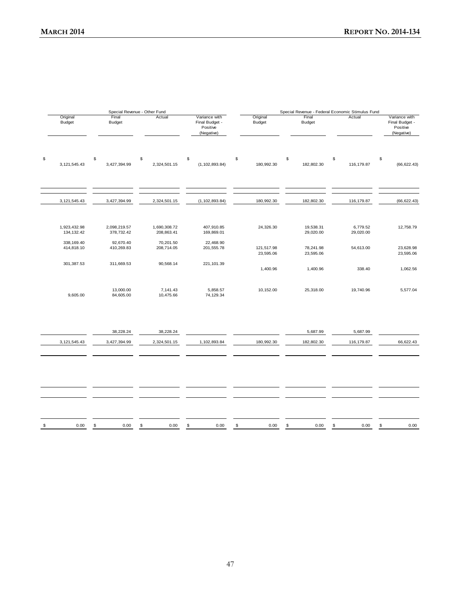| Special Revenue - Other Fund |    |                            |    |                            |    |                                                           | Special Revenue - Federal Economic Stimulus Fund |                           |    |                        |    |                       |    |                                                           |  |  |
|------------------------------|----|----------------------------|----|----------------------------|----|-----------------------------------------------------------|--------------------------------------------------|---------------------------|----|------------------------|----|-----------------------|----|-----------------------------------------------------------|--|--|
| Original<br><b>Budget</b>    |    | Final<br><b>Budget</b>     |    | Actual                     |    | Variance with<br>Final Budget -<br>Positive<br>(Negative) |                                                  | Original<br><b>Budget</b> |    | Final<br><b>Budget</b> |    | Actual                |    | Variance with<br>Final Budget -<br>Positive<br>(Negative) |  |  |
| \$<br>3, 121, 545. 43        | \$ | 3,427,394.99               | \$ | 2,324,501.15               | \$ | (1, 102, 893.84)                                          | \$                                               | 180,992.30                | \$ | 182,802.30             | \$ | 116,179.87            | \$ | (66, 622.43)                                              |  |  |
| 3, 121, 545. 43              |    | 3,427,394.99               |    | 2,324,501.15               |    | (1, 102, 893.84)                                          |                                                  | 180,992.30                |    | 182,802.30             |    | 116, 179.87           |    | (66, 622.43)                                              |  |  |
| 1,923,432.98<br>134, 132.42  |    | 2,098,219.57<br>378,732.42 |    | 1,690,308.72<br>208,863.41 |    | 407,910.85<br>169,869.01                                  |                                                  | 24,326.30                 |    | 19,538.31<br>29,020.00 |    | 6,779.52<br>29,020.00 |    | 12,758.79                                                 |  |  |
| 338,169.40<br>414,818.10     |    | 92,670.40<br>410,269.83    |    | 70,201.50<br>208,714.05    |    | 22,468.90<br>201,555.78                                   |                                                  | 121,517.98<br>23,595.06   |    | 78,241.98<br>23,595.06 |    | 54,613.00             |    | 23,628.98<br>23,595.06                                    |  |  |
| 301,387.53                   |    | 311,669.53                 |    | 90,568.14                  |    | 221,101.39                                                |                                                  | 1,400.96                  |    | 1,400.96               |    | 338.40                |    | 1,062.56                                                  |  |  |
| 9,605.00                     |    | 13,000.00<br>84,605.00     |    | 7,141.43<br>10,475.66      |    | 5,858.57<br>74,129.34                                     |                                                  | 10,152.00                 |    | 25,318.00              |    | 19,740.96             |    | 5,577.04                                                  |  |  |
|                              |    | 38,228.24                  |    | 38,228.24                  |    |                                                           |                                                  |                           |    | 5,687.99               |    | 5,687.99              |    |                                                           |  |  |
| 3, 121, 545. 43              |    | 3,427,394.99               |    | 2,324,501.15               |    | 1,102,893.84                                              |                                                  | 180,992.30                |    | 182,802.30             |    | 116,179.87            |    | 66,622.43                                                 |  |  |
|                              |    |                            |    |                            |    |                                                           |                                                  |                           |    |                        |    |                       |    |                                                           |  |  |
|                              |    |                            |    |                            |    |                                                           |                                                  |                           |    |                        |    |                       |    |                                                           |  |  |
| \$<br>0.00                   | \$ | 0.00                       | \$ | 0.00                       | \$ | 0.00                                                      | \$                                               | 0.00                      | \$ | 0.00                   | \$ | 0.00                  | \$ | 0.00                                                      |  |  |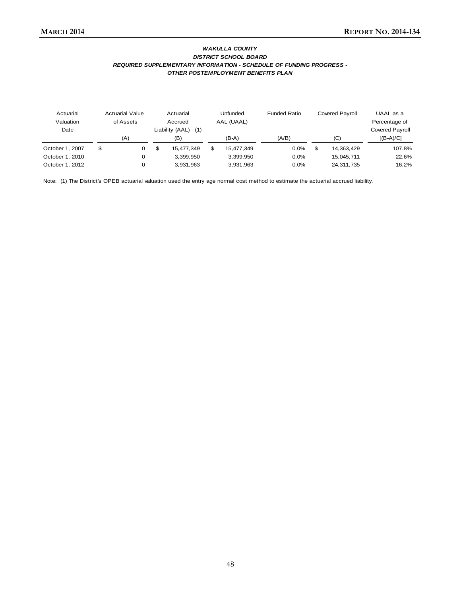#### *WAKULLA COUNTY DISTRICT SCHOOL BOARD REQUIRED SUPPLEMENTARY INFORMATION - SCHEDULE OF FUNDING PROGRESS - OTHER POSTEMPLOYMENT BENEFITS PLAN*

<span id="page-52-0"></span>

| Actuarial<br>Valuation | <b>Actuarial Value</b><br>of Assets | Actuarial<br>Accrued  |   | Unfunded<br>AAL (UAAL) | <b>Funded Ratio</b> |      | <b>Covered Payroll</b> | UAAL as a<br>Percentage of |
|------------------------|-------------------------------------|-----------------------|---|------------------------|---------------------|------|------------------------|----------------------------|
| Date                   |                                     | Liability (AAL) - (1) |   |                        |                     |      |                        | Covered Payroll            |
|                        | (A)                                 | (B)                   |   | $(B-A)$                | (A/B)               |      | (C)                    | $[(B-A)/C]$                |
| October 1, 2007        |                                     | 15.477.349            | S | 15.477.349             |                     | 0.0% | 14.363.429             | 107.8%                     |
| October 1, 2010        | 0                                   | 3.399.950             |   | 3.399.950              |                     | 0.0% | 15.045.711             | 22.6%                      |
| October 1, 2012        |                                     | 3,931,963             |   | 3,931,963              |                     | 0.0% | 24,311,735             | 16.2%                      |

Note: (1) The District's OPEB actuarial valuation used the entry age normal cost method to estimate the actuarial accrued liability.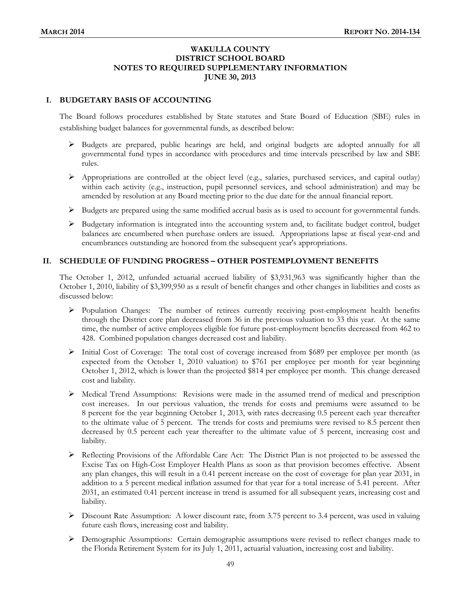#### **WAKULLA COUNTY DISTRICT SCHOOL BOARD NOTES TO REQUIRED SUPPLEMENTARY INFORMATION JUNE 30, 2013**

#### <span id="page-53-0"></span>**I. BUDGETARY BASIS OF ACCOUNTING**

The Board follows procedures established by State statutes and State Board of Education (SBE) rules in establishing budget balances for governmental funds, as described below:

- $\triangleright$  Budgets are prepared, public hearings are held, and original budgets are adopted annually for all governmental fund types in accordance with procedures and time intervals prescribed by law and SBE rules.
- Appropriations are controlled at the object level (e.g., salaries, purchased services, and capital outlay) within each activity (e.g., instruction, pupil personnel services, and school administration) and may be amended by resolution at any Board meeting prior to the due date for the annual financial report.
- $\triangleright$  Budgets are prepared using the same modified accrual basis as is used to account for governmental funds.
- $\triangleright$  Budgetary information is integrated into the accounting system and, to facilitate budget control, budget balances are encumbered when purchase orders are issued. Appropriations lapse at fiscal year-end and encumbrances outstanding are honored from the subsequent year's appropriations.

#### **II. SCHEDULE OF FUNDING PROGRESS – OTHER POSTEMPLOYMENT BENEFITS**

The October 1, 2012, unfunded actuarial accrued liability of \$3,931,963 was significantly higher than the October 1, 2010, liability of \$3,399,950 as a result of benefit changes and other changes in liabilities and costs as discussed below:

- Population Changes: The number of retirees currently receiving post-employment health benefits through the District core plan decreased from 36 in the previous valuation to 33 this year. At the same time, the number of active employees eligible for future post-employment benefits decreased from 462 to 428. Combined population changes decreased cost and liability.
- $\triangleright$  Initial Cost of Coverage: The total cost of coverage increased from \$689 per employee per month (as expected from the October 1, 2010 valuation) to \$761 per employee per month for year beginning October 1, 2012, which is lower than the projected \$814 per employee per month. This change dereased cost and liability.
- $\triangleright$  Medical Trend Assumptions: Revisions were made in the assumed trend of medical and prescription cost increases. In our pervious valuation, the trends for costs and premiums were assumed to be 8 percent for the year beginning October 1, 2013, with rates decreasing 0.5 percent each year thereafter to the ultimate value of 5 percent. The trends for costs and premiums were revised to 8.5 percent then decreased by 0.5 percent each year thereafter to the ultimate value of 5 percent, increasing cost and liability.
- Reflecting Provisions of the Affordable Care Act: The District Plan is not projected to be assessed the Excise Tax on High-Cost Employer Health Plans as soon as that provision becomes effective. Absent any plan changes, this will result in a 0.41 percent increase on the cost of coverage for plan year 2031, in addition to a 5 percent medical inflation assumed for that year for a total increase of 5.41 percent. After 2031, an estimated 0.41 percent increase in trend is assumed for all subsequent years, increasing cost and liability.
- Discount Rate Assumption: A lower discount rate, from 3.75 percent to 3.4 percent, was used in valuing future cash flows, increasing cost and liability.
- Demographic Assumptions: Certain demographic assumptions were revised to reflect changes made to the Florida Retirement System for its July 1, 2011, actuarial valuation, increasing cost and liability.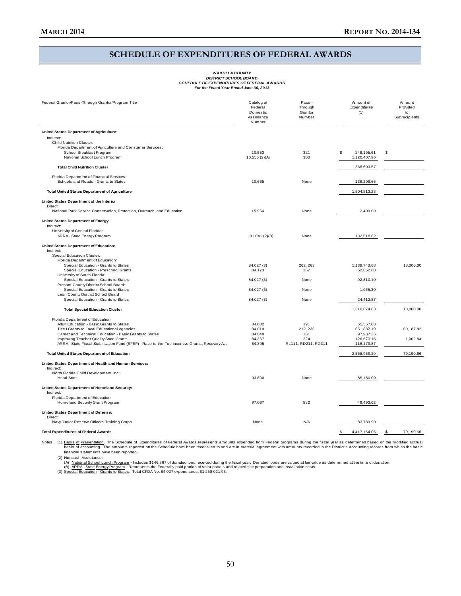#### **SCHEDULE OF EXPENDITURES OF FEDERAL AWARDS**

#### *WAKULLA COUNTY DISTRICT SCHOOL BOARD SCHEDULE OF EXPENDITURES OF FEDERAL AWARDS For the Fiscal Year Ended June 30, 2013*

<span id="page-54-0"></span>

| Federal Grantor/Pass-Through Grantor/Program Title                                                | Catalog of<br>Federal<br>Domestic<br>Assistance<br>Number | Pass -<br>Through<br>Grantor<br>Number | Amount of<br>Expenditures<br>(1) | Amount<br>Provided<br>to<br>Subrecipients |
|---------------------------------------------------------------------------------------------------|-----------------------------------------------------------|----------------------------------------|----------------------------------|-------------------------------------------|
| United States Department of Agriculture:                                                          |                                                           |                                        |                                  |                                           |
| Indirect:                                                                                         |                                                           |                                        |                                  |                                           |
| Child Nutrition Cluster:                                                                          |                                                           |                                        |                                  |                                           |
| Florida Department of Agriculture and Consumer Services:                                          |                                                           | 321                                    |                                  |                                           |
| School Breakfast Program<br>National School Lunch Program                                         | 10.553<br>10.555 (2)(A)                                   | 300                                    | \$<br>248,195.61<br>1,120,407.96 | \$                                        |
|                                                                                                   |                                                           |                                        |                                  |                                           |
| <b>Total Child Nutrition Cluster</b>                                                              |                                                           |                                        | 1,368,603.57                     |                                           |
| Florida Department of Financial Services:                                                         |                                                           |                                        |                                  |                                           |
| Schools and Roads - Grants to States                                                              | 10.665                                                    | None                                   | 136,209.66                       |                                           |
|                                                                                                   |                                                           |                                        |                                  |                                           |
| <b>Total United States Department of Agriculture</b>                                              |                                                           |                                        | 1,504,813.23                     |                                           |
| United States Department of the Interior                                                          |                                                           |                                        |                                  |                                           |
| Direct:                                                                                           | 15.954                                                    |                                        | 2,400.00                         |                                           |
| National Park Service Conservation, Protection, Outreach, and Education                           |                                                           | None                                   |                                  |                                           |
| United States Department of Energy:<br>Indirect:                                                  |                                                           |                                        |                                  |                                           |
| University of Central Florida:                                                                    |                                                           |                                        |                                  |                                           |
| ARRA - State Energy Program                                                                       | 81.041 (2)(B)                                             | None                                   | 132,518.62                       |                                           |
| <b>United States Department of Education:</b>                                                     |                                                           |                                        |                                  |                                           |
| Indirect:                                                                                         |                                                           |                                        |                                  |                                           |
| Special Education Cluster:<br>Florida Department of Education:                                    |                                                           |                                        |                                  |                                           |
| Special Education - Grants to States                                                              | 84.027 (3)                                                | 262, 263                               | 1,139,743.68                     | 18,000.00                                 |
| Special Education - Preschool Grants                                                              | 84.173                                                    | 267                                    | 52,652.68                        |                                           |
| University of South Florida:                                                                      |                                                           |                                        |                                  |                                           |
| Special Education - Grants to States                                                              | 84.027 (3)                                                | None                                   | 92,810.10                        |                                           |
| Putnam County District School Board:                                                              |                                                           |                                        |                                  |                                           |
| Special Education - Grants to States                                                              | 84.027 (3)                                                | None                                   | 1,055.30                         |                                           |
| Leon County District School Board<br>Special Education - Grants to States                         | 84.027 (3)                                                | None                                   | 24,412.87                        |                                           |
|                                                                                                   |                                                           |                                        |                                  |                                           |
| <b>Total Special Education Cluster</b>                                                            |                                                           |                                        | 1,310,674.63                     | 18,000.00                                 |
| Florida Department of Education:                                                                  |                                                           |                                        |                                  |                                           |
| Adult Education - Basic Grants to States                                                          | 84.002                                                    | 191                                    | 55,557.08                        |                                           |
| Title I Grants to Local Educational Agencies                                                      | 84.010                                                    | 212, 226                               | 851,887.19                       | 60,187.82                                 |
| Career and Technical Education - Basic Grants to States<br>Improving Teacher Quality State Grants | 84.048<br>84.367                                          | 161<br>224                             | 97,987.36<br>126,673.16          | 1,002.84                                  |
| ARRA - State Fiscal Stabilization Fund (SFSF) - Race-to-the-Top Incentive Grants, Recovery Act    | 84.395                                                    | RL111, RD211, RG311                    | 116,179.87                       |                                           |
| <b>Total United States Department of Education</b>                                                |                                                           |                                        | 2,558,959.29                     | 79,190.66                                 |
| United States Department of Health and Human Services:<br>Indirect:                               |                                                           |                                        |                                  |                                           |
| North Florida Child Development, Inc.:                                                            |                                                           |                                        |                                  |                                           |
| <b>Head Start</b>                                                                                 | 93.600                                                    | None                                   | 85,180.00                        |                                           |
|                                                                                                   |                                                           |                                        |                                  |                                           |
| United States Department of Homeland Security:<br>Indirect:                                       |                                                           |                                        |                                  |                                           |
| Florida Department of Education:                                                                  |                                                           |                                        |                                  |                                           |
| Homeland Security Grant Program                                                                   | 97.067                                                    | 532                                    | 49,493.02                        |                                           |
| <b>United States Department of Defense:</b><br>Direct:                                            |                                                           |                                        |                                  |                                           |
| Navy Junior Reserve Officers Training Corps                                                       | None                                                      | N/A                                    | 83,789.90                        |                                           |
|                                                                                                   |                                                           |                                        |                                  |                                           |
| <b>Total Expenditures of Federal Awards</b>                                                       |                                                           |                                        | \$.<br>4,417,154.06              | 79,190.66<br>£.                           |

Notes: (1) <u>Basis of Presentation</u>. The Schedule of Expenditures of Federal Awards represents amounts expended from Federal programs during the fiscal year as determined based on the modified accrual<br>basis of accounting. T

(2) Noncash Assistance:

<u>National School Lunch Program</u> - Includes \$146,867 of donated food received during the fiscal year. Donated foods are valued at fair value as determined at the time of donation.<br>ARRA - State Energy Program - Represents th

A) <u>National School Lunch Program</u> - Includes \$146,867 of donated food received during th<br>(3) ARRA - State Energy Program - Represents the Federally-paid portion of solar panels<br>(3) Special Education - Grants to States. To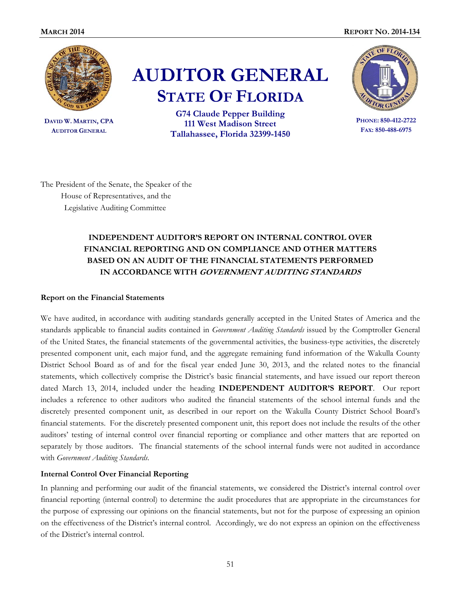<span id="page-55-0"></span>

**DAVID W. MARTIN, CPA AUDITOR GENERAL**

# **AUDITOR GENERAL STATE OF FLORIDA**

**G74 Claude Pepper Building 111 West Madison Street Tallahassee, Florida 32399-1450** 



**PHONE: 850-412-2722 FAX: 850-488-6975**

The President of the Senate, the Speaker of the House of Representatives, and the Legislative Auditing Committee

## **INDEPENDENT AUDITOR'S REPORT ON INTERNAL CONTROL OVER FINANCIAL REPORTING AND ON COMPLIANCE AND OTHER MATTERS BASED ON AN AUDIT OF THE FINANCIAL STATEMENTS PERFORMED IN ACCORDANCE WITH GOVERNMENT AUDITING STANDARDS**

#### **Report on the Financial Statements**

We have audited, in accordance with auditing standards generally accepted in the United States of America and the standards applicable to financial audits contained in *Government Auditing Standards* issued by the Comptroller General of the United States, the financial statements of the governmental activities, the business-type activities, the discretely presented component unit, each major fund, and the aggregate remaining fund information of the Wakulla County District School Board as of and for the fiscal year ended June 30, 2013, and the related notes to the financial statements, which collectively comprise the District's basic financial statements, and have issued our report thereon dated March 13, 2014, included under the heading **INDEPENDENT AUDITOR'S REPORT**. Our report includes a reference to other auditors who audited the financial statements of the school internal funds and the discretely presented component unit, as described in our report on the Wakulla County District School Board's financial statements. For the discretely presented component unit, this report does not include the results of the other auditors' testing of internal control over financial reporting or compliance and other matters that are reported on separately by those auditors. The financial statements of the school internal funds were not audited in accordance with *Government Auditing Standards*.

#### **Internal Control Over Financial Reporting**

In planning and performing our audit of the financial statements, we considered the District's internal control over financial reporting (internal control) to determine the audit procedures that are appropriate in the circumstances for the purpose of expressing our opinions on the financial statements, but not for the purpose of expressing an opinion on the effectiveness of the District's internal control. Accordingly, we do not express an opinion on the effectiveness of the District's internal control.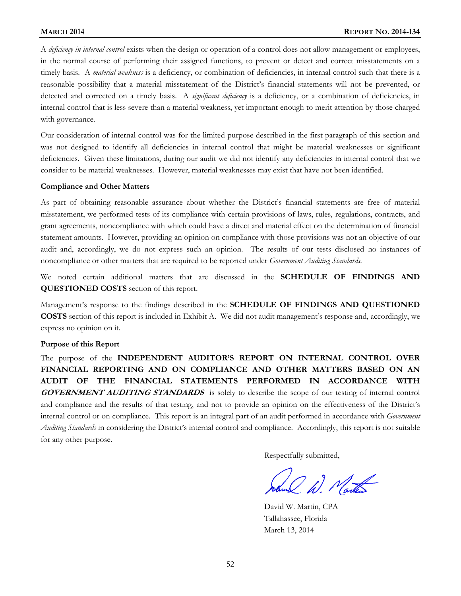A *deficiency in internal control* exists when the design or operation of a control does not allow management or employees, in the normal course of performing their assigned functions, to prevent or detect and correct misstatements on a timely basis. A *material weakness* is a deficiency, or combination of deficiencies, in internal control such that there is a reasonable possibility that a material misstatement of the District's financial statements will not be prevented, or detected and corrected on a timely basis. A *significant deficiency* is a deficiency, or a combination of deficiencies, in internal control that is less severe than a material weakness, yet important enough to merit attention by those charged with governance.

Our consideration of internal control was for the limited purpose described in the first paragraph of this section and was not designed to identify all deficiencies in internal control that might be material weaknesses or significant deficiencies. Given these limitations, during our audit we did not identify any deficiencies in internal control that we consider to be material weaknesses. However, material weaknesses may exist that have not been identified.

#### **Compliance and Other Matters**

As part of obtaining reasonable assurance about whether the District's financial statements are free of material misstatement, we performed tests of its compliance with certain provisions of laws, rules, regulations, contracts, and grant agreements, noncompliance with which could have a direct and material effect on the determination of financial statement amounts. However, providing an opinion on compliance with those provisions was not an objective of our audit and, accordingly, we do not express such an opinion. The results of our tests disclosed no instances of noncompliance or other matters that are required to be reported under *Government Auditing Standards*.

We noted certain additional matters that are discussed in the **SCHEDULE OF FINDINGS AND QUESTIONED COSTS** section of this report.

Management's response to the findings described in the **SCHEDULE OF FINDINGS AND QUESTIONED COSTS** section of this report is included in Exhibit A. We did not audit management's response and, accordingly, we express no opinion on it.

#### **Purpose of this Report**

The purpose of the **INDEPENDENT AUDITOR'S REPORT ON INTERNAL CONTROL OVER FINANCIAL REPORTING AND ON COMPLIANCE AND OTHER MATTERS BASED ON AN AUDIT OF THE FINANCIAL STATEMENTS PERFORMED IN ACCORDANCE WITH GOVERNMENT AUDITING STANDARDS** is solely to describe the scope of our testing of internal control and compliance and the results of that testing, and not to provide an opinion on the effectiveness of the District's internal control or on compliance. This report is an integral part of an audit performed in accordance with *Government Auditing Standards* in considering the District's internal control and compliance. Accordingly, this report is not suitable for any other purpose.

Respectfully submitted,

W. Martin

David W. Martin, CPA Tallahassee, Florida March 13, 2014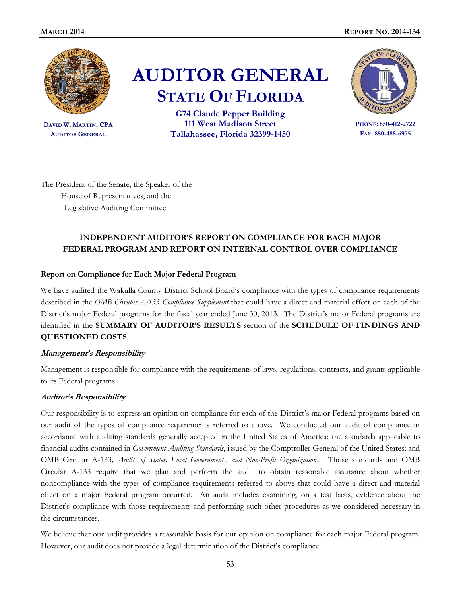<span id="page-57-0"></span>

**DAVID W. MARTIN, CPA AUDITOR GENERAL**

**AUDITOR GENERAL STATE OF FLORIDA**

> **G74 Claude Pepper Building 111 West Madison Street Tallahassee, Florida 32399-1450**



**PHONE: 850-412-2722 FAX: 850-488-6975**

The President of the Senate, the Speaker of the House of Representatives, and the Legislative Auditing Committee

## **INDEPENDENT AUDITOR'S REPORT ON COMPLIANCE FOR EACH MAJOR FEDERAL PROGRAM AND REPORT ON INTERNAL CONTROL OVER COMPLIANCE**

#### **Report on Compliance for Each Major Federal Program**

We have audited the Wakulla County District School Board's compliance with the types of compliance requirements described in the *OMB Circular A-133 Compliance Supplement* that could have a direct and material effect on each of the District's major Federal programs for the fiscal year ended June 30, 2013. The District's major Federal programs are identified in the **SUMMARY OF AUDITOR'S RESULTS** section of the **SCHEDULE OF FINDINGS AND QUESTIONED COSTS**.

#### **Management's Responsibility**

Management is responsible for compliance with the requirements of laws, regulations, contracts, and grants applicable to its Federal programs.

#### **Auditor's Responsibility**

Our responsibility is to express an opinion on compliance for each of the District's major Federal programs based on our audit of the types of compliance requirements referred to above. We conducted our audit of compliance in accordance with auditing standards generally accepted in the United States of America; the standards applicable to financial audits contained in *Government Auditing Standards*, issued by the Comptroller General of the United States; and OMB Circular A-133*, Audits of States, Local Governments, and Non-Profit Organizations*. Those standards and OMB Circular A-133 require that we plan and perform the audit to obtain reasonable assurance about whether noncompliance with the types of compliance requirements referred to above that could have a direct and material effect on a major Federal program occurred. An audit includes examining, on a test basis, evidence about the District's compliance with those requirements and performing such other procedures as we considered necessary in the circumstances.

We believe that our audit provides a reasonable basis for our opinion on compliance for each major Federal program. However, our audit does not provide a legal determination of the District's compliance.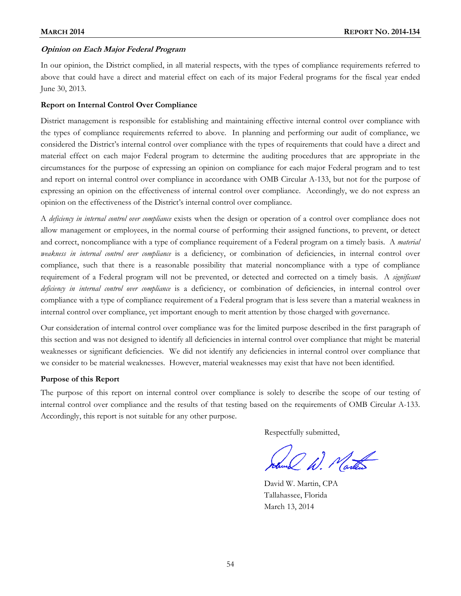#### **Opinion on Each Major Federal Program**

In our opinion, the District complied, in all material respects, with the types of compliance requirements referred to above that could have a direct and material effect on each of its major Federal programs for the fiscal year ended June 30, 2013.

#### **Report on Internal Control Over Compliance**

District management is responsible for establishing and maintaining effective internal control over compliance with the types of compliance requirements referred to above. In planning and performing our audit of compliance, we considered the District's internal control over compliance with the types of requirements that could have a direct and material effect on each major Federal program to determine the auditing procedures that are appropriate in the circumstances for the purpose of expressing an opinion on compliance for each major Federal program and to test and report on internal control over compliance in accordance with OMB Circular A-133, but not for the purpose of expressing an opinion on the effectiveness of internal control over compliance. Accordingly, we do not express an opinion on the effectiveness of the District's internal control over compliance.

A *deficiency in internal control over compliance* exists when the design or operation of a control over compliance does not allow management or employees, in the normal course of performing their assigned functions, to prevent, or detect and correct, noncompliance with a type of compliance requirement of a Federal program on a timely basis. A *material weakness in internal control over compliance* is a deficiency, or combination of deficiencies, in internal control over compliance, such that there is a reasonable possibility that material noncompliance with a type of compliance requirement of a Federal program will not be prevented, or detected and corrected on a timely basis. A *significant deficiency in internal control over compliance* is a deficiency, or combination of deficiencies, in internal control over compliance with a type of compliance requirement of a Federal program that is less severe than a material weakness in internal control over compliance, yet important enough to merit attention by those charged with governance.

Our consideration of internal control over compliance was for the limited purpose described in the first paragraph of this section and was not designed to identify all deficiencies in internal control over compliance that might be material weaknesses or significant deficiencies. We did not identify any deficiencies in internal control over compliance that we consider to be material weaknesses. However, material weaknesses may exist that have not been identified.

#### **Purpose of this Report**

The purpose of this report on internal control over compliance is solely to describe the scope of our testing of internal control over compliance and the results of that testing based on the requirements of OMB Circular A-133. Accordingly, this report is not suitable for any other purpose.

Respectfully submitted,

W. Martin

David W. Martin, CPA Tallahassee, Florida March 13, 2014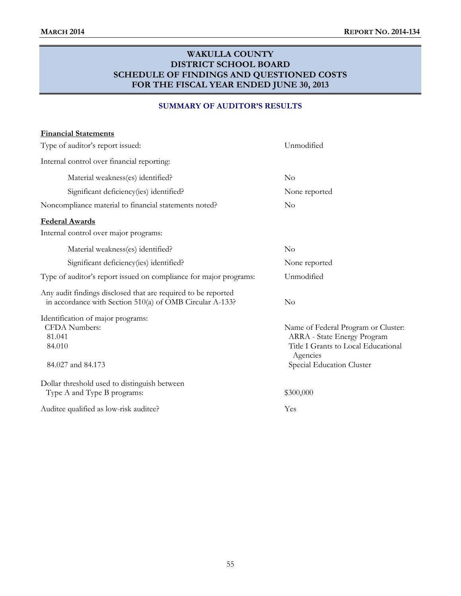### <span id="page-59-0"></span>**WAKULLA COUNTY DISTRICT SCHOOL BOARD SCHEDULE OF FINDINGS AND QUESTIONED COSTS FOR THE FISCAL YEAR ENDED JUNE 30, 2013**

## **SUMMARY OF AUDITOR'S RESULTS**

## **Financial Statements**

| Type of auditor's report issued:                                                                                          | Unmodified                                                                                                                                         |
|---------------------------------------------------------------------------------------------------------------------------|----------------------------------------------------------------------------------------------------------------------------------------------------|
| Internal control over financial reporting:                                                                                |                                                                                                                                                    |
| Material weakness(es) identified?                                                                                         | $\rm No$                                                                                                                                           |
| Significant deficiency(ies) identified?                                                                                   | None reported                                                                                                                                      |
| Noncompliance material to financial statements noted?                                                                     | $\rm No$                                                                                                                                           |
| <b>Federal Awards</b>                                                                                                     |                                                                                                                                                    |
| Internal control over major programs:                                                                                     |                                                                                                                                                    |
| Material weakness(es) identified?                                                                                         | $\rm No$                                                                                                                                           |
| Significant deficiency(ies) identified?                                                                                   | None reported                                                                                                                                      |
| Type of auditor's report issued on compliance for major programs:                                                         | Unmodified                                                                                                                                         |
| Any audit findings disclosed that are required to be reported<br>in accordance with Section 510(a) of OMB Circular A-133? | No                                                                                                                                                 |
| Identification of major programs:<br>CFDA Numbers:<br>81.041<br>84.010<br>84.027 and 84.173                               | Name of Federal Program or Cluster:<br>ARRA - State Energy Program<br>Title I Grants to Local Educational<br>Agencies<br>Special Education Cluster |
| Dollar threshold used to distinguish between<br>Type A and Type B programs:                                               | \$300,000                                                                                                                                          |
| Auditee qualified as low-risk auditee?                                                                                    | Yes                                                                                                                                                |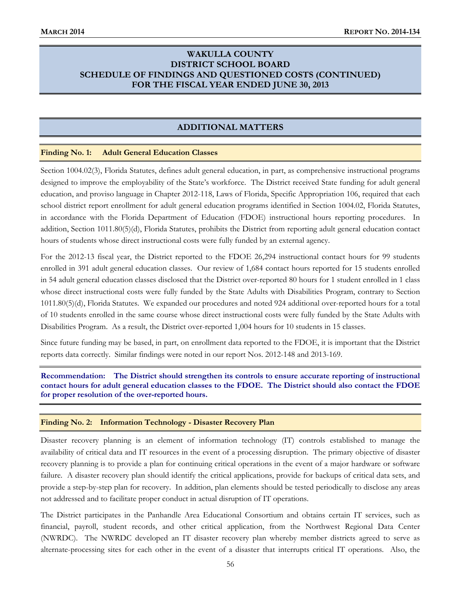#### **WAKULLA COUNTY DISTRICT SCHOOL BOARD SCHEDULE OF FINDINGS AND QUESTIONED COSTS (CONTINUED) FOR THE FISCAL YEAR ENDED JUNE 30, 2013**

## **ADDITIONAL MATTERS**

#### **Finding No. 1: Adult General Education Classes**

Section 1004.02(3), Florida Statutes, defines adult general education, in part, as comprehensive instructional programs designed to improve the employability of the State's workforce. The District received State funding for adult general education, and proviso language in Chapter 2012-118, Laws of Florida, Specific Appropriation 106, required that each school district report enrollment for adult general education programs identified in Section 1004.02, Florida Statutes, in accordance with the Florida Department of Education (FDOE) instructional hours reporting procedures. In addition, Section 1011.80(5)(d), Florida Statutes, prohibits the District from reporting adult general education contact hours of students whose direct instructional costs were fully funded by an external agency.

For the 2012-13 fiscal year, the District reported to the FDOE 26,294 instructional contact hours for 99 students enrolled in 391 adult general education classes. Our review of 1,684 contact hours reported for 15 students enrolled in 54 adult general education classes disclosed that the District over-reported 80 hours for 1 student enrolled in 1 class whose direct instructional costs were fully funded by the State Adults with Disabilities Program, contrary to Section 1011.80(5)(d), Florida Statutes. We expanded our procedures and noted 924 additional over-reported hours for a total of 10 students enrolled in the same course whose direct instructional costs were fully funded by the State Adults with Disabilities Program. As a result, the District over-reported 1,004 hours for 10 students in 15 classes.

Since future funding may be based, in part, on enrollment data reported to the FDOE, it is important that the District reports data correctly. Similar findings were noted in our report Nos. 2012-148 and 2013-169.

**Recommendation: The District should strengthen its controls to ensure accurate reporting of instructional contact hours for adult general education classes to the FDOE. The District should also contact the FDOE for proper resolution of the over-reported hours.** 

#### **Finding No. 2: Information Technology - Disaster Recovery Plan**

Disaster recovery planning is an element of information technology (IT) controls established to manage the availability of critical data and IT resources in the event of a processing disruption. The primary objective of disaster recovery planning is to provide a plan for continuing critical operations in the event of a major hardware or software failure. A disaster recovery plan should identify the critical applications, provide for backups of critical data sets, and provide a step-by-step plan for recovery. In addition, plan elements should be tested periodically to disclose any areas not addressed and to facilitate proper conduct in actual disruption of IT operations.

The District participates in the Panhandle Area Educational Consortium and obtains certain IT services, such as financial, payroll, student records, and other critical application, from the Northwest Regional Data Center (NWRDC). The NWRDC developed an IT disaster recovery plan whereby member districts agreed to serve as alternate-processing sites for each other in the event of a disaster that interrupts critical IT operations. Also, the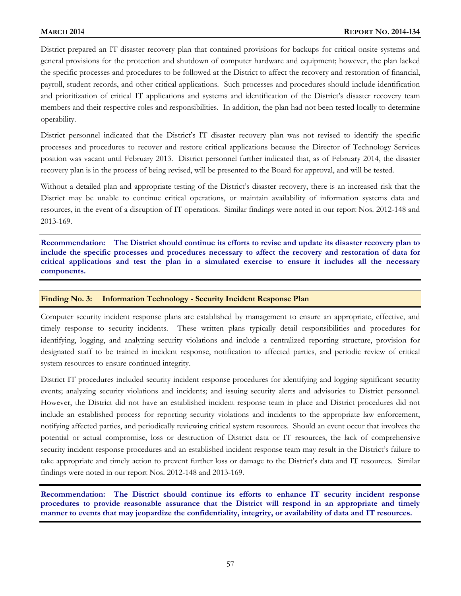District prepared an IT disaster recovery plan that contained provisions for backups for critical onsite systems and general provisions for the protection and shutdown of computer hardware and equipment; however, the plan lacked the specific processes and procedures to be followed at the District to affect the recovery and restoration of financial, payroll, student records, and other critical applications. Such processes and procedures should include identification and prioritization of critical IT applications and systems and identification of the District's disaster recovery team members and their respective roles and responsibilities. In addition, the plan had not been tested locally to determine operability.

District personnel indicated that the District's IT disaster recovery plan was not revised to identify the specific processes and procedures to recover and restore critical applications because the Director of Technology Services position was vacant until February 2013. District personnel further indicated that, as of February 2014, the disaster recovery plan is in the process of being revised, will be presented to the Board for approval, and will be tested.

Without a detailed plan and appropriate testing of the District's disaster recovery, there is an increased risk that the District may be unable to continue critical operations, or maintain availability of information systems data and resources, in the event of a disruption of IT operations. Similar findings were noted in our report Nos. 2012-148 and 2013-169.

**Recommendation: The District should continue its efforts to revise and update its disaster recovery plan to include the specific processes and procedures necessary to affect the recovery and restoration of data for critical applications and test the plan in a simulated exercise to ensure it includes all the necessary components.** 

#### **Finding No. 3: Information Technology - Security Incident Response Plan**

Computer security incident response plans are established by management to ensure an appropriate, effective, and timely response to security incidents. These written plans typically detail responsibilities and procedures for identifying, logging, and analyzing security violations and include a centralized reporting structure, provision for designated staff to be trained in incident response, notification to affected parties, and periodic review of critical system resources to ensure continued integrity.

District IT procedures included security incident response procedures for identifying and logging significant security events; analyzing security violations and incidents; and issuing security alerts and advisories to District personnel. However, the District did not have an established incident response team in place and District procedures did not include an established process for reporting security violations and incidents to the appropriate law enforcement, notifying affected parties, and periodically reviewing critical system resources. Should an event occur that involves the potential or actual compromise, loss or destruction of District data or IT resources, the lack of comprehensive security incident response procedures and an established incident response team may result in the District's failure to take appropriate and timely action to prevent further loss or damage to the District's data and IT resources. Similar findings were noted in our report Nos. 2012-148 and 2013-169.

**Recommendation: The District should continue its efforts to enhance IT security incident response procedures to provide reasonable assurance that the District will respond in an appropriate and timely manner to events that may jeopardize the confidentiality, integrity, or availability of data and IT resources.**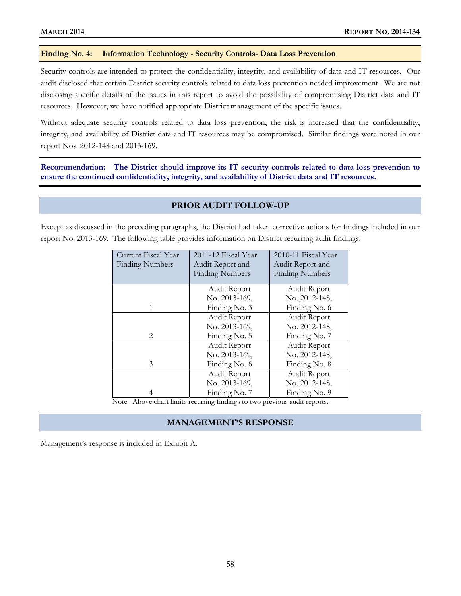#### **Finding No. 4: Information Technology - Security Controls- Data Loss Prevention**

Security controls are intended to protect the confidentiality, integrity, and availability of data and IT resources. Our audit disclosed that certain District security controls related to data loss prevention needed improvement. We are not disclosing specific details of the issues in this report to avoid the possibility of compromising District data and IT resources. However, we have notified appropriate District management of the specific issues.

Without adequate security controls related to data loss prevention, the risk is increased that the confidentiality, integrity, and availability of District data and IT resources may be compromised. Similar findings were noted in our report Nos. 2012-148 and 2013-169.

**Recommendation: The District should improve its IT security controls related to data loss prevention to ensure the continued confidentiality, integrity, and availability of District data and IT resources.** 

#### **PRIOR AUDIT FOLLOW-UP**

Except as discussed in the preceding paragraphs, the District had taken corrective actions for findings included in our report No. 2013-169. The following table provides information on District recurring audit findings:

| Current Fiscal Year<br><b>Finding Numbers</b> | 2011-12 Fiscal Year<br>Audit Report and<br><b>Finding Numbers</b> | $2010-11$ Fiscal Year<br>Audit Report and<br><b>Finding Numbers</b> |
|-----------------------------------------------|-------------------------------------------------------------------|---------------------------------------------------------------------|
|                                               | Audit Report                                                      | Audit Report                                                        |
|                                               | No. 2013-169,                                                     | No. 2012-148,                                                       |
|                                               | Finding No. 3                                                     | Finding No. 6                                                       |
|                                               | Audit Report                                                      | Audit Report                                                        |
|                                               | No. 2013-169,                                                     | No. 2012-148,                                                       |
| 2                                             | Finding No. 5                                                     | Finding No. 7                                                       |
|                                               | Audit Report                                                      | Audit Report                                                        |
|                                               | No. 2013-169,                                                     | No. 2012-148,                                                       |
| 3                                             | Finding No. 6                                                     | Finding No. 8                                                       |
|                                               | Audit Report                                                      | Audit Report                                                        |
|                                               | No. 2013-169,                                                     | No. 2012-148,                                                       |
| 4                                             | Finding No. 7                                                     | Finding No. 9                                                       |

Note: Above chart limits recurring findings to two previous audit reports.

#### **MANAGEMENT'S RESPONSE**

Management's response is included in Exhibit A.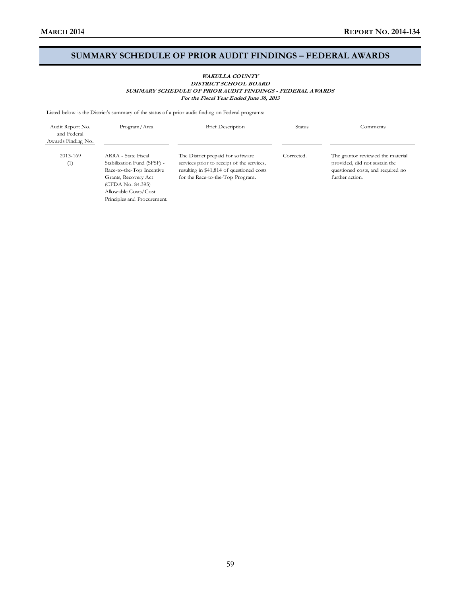#### <span id="page-63-0"></span>**SUMMARY SCHEDULE OF PRIOR AUDIT FINDINGS – FEDERAL AWARDS**

#### **WAKULLA COUNTY DISTRICT SCHOOL BOARD SUMMARY SCHEDULE OF PRIOR AUDIT FINDINGS - FEDERAL AWARDS For the Fiscal Year Ended June 30, 2013**

Listed below is the District's summary of the status of a prior audit finding on Federal programs:

| Audit Report No.<br>and Federal<br>Awards Finding No. | Program/Area                                                                                                                                                                          | <b>Brief Description</b>                                                                                                                                         | <b>Status</b> | Comments                                                                                                                   |
|-------------------------------------------------------|---------------------------------------------------------------------------------------------------------------------------------------------------------------------------------------|------------------------------------------------------------------------------------------------------------------------------------------------------------------|---------------|----------------------------------------------------------------------------------------------------------------------------|
| 2013-169<br>(1)                                       | ARRA - State Fiscal<br>Stabilization Fund (SFSF) -<br>Race-to-the-Top Incentive<br>Grants, Recovery Act<br>(CFDA No. 84.395) -<br>Allowable Costs/Cost<br>Principles and Procurement. | The District prepaid for software<br>services prior to receipt of the services,<br>resulting in \$41,814 of questioned costs<br>for the Race-to-the-Top Program. | Corrected.    | The grantor reviewed the material<br>provided, did not sustain the<br>questioned costs, and required no<br>further action. |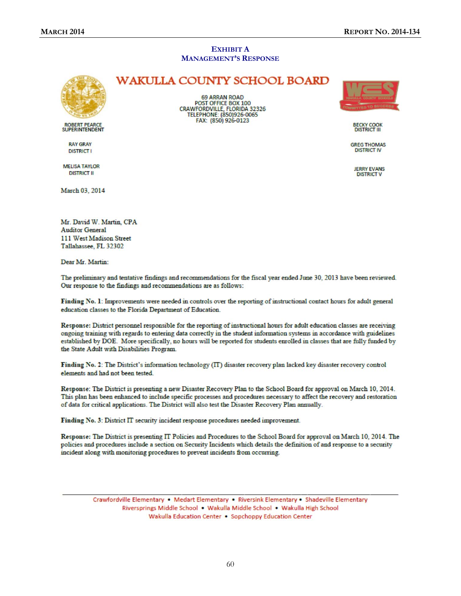#### **EXHIBIT A MANAGEMENT'S RESPONSE**

<span id="page-64-0"></span>

ROBERT PEARCE<br>SUPERINTENDENT

**RAY GRAY DISTRICT I** 

**MELISA TAYLOR DISTRICT II** 

March 03, 2014

**69 ARRAN ROAD** POST OFFICE BOX 100 CRAWFORDVILLE, FLORIDA 32326 TELEPHONE: (850)926-0065 FAX: (850) 926-0123

WAKULLA COUNTY SCHOOL BOARD



**BECKY COOK**<br>DISTRICT III

**GREG THOMAS DISTRICT IV** 

> **JERRY EVANS DISTRICT V**

Mr. David W. Martin, CPA **Auditor General** 111 West Madison Street Tallahassee, FL 32302

Dear Mr. Martin:

The preliminary and tentative findings and recommendations for the fiscal year ended June 30, 2013 have been reviewed. Our response to the findings and recommendations are as follows:

Finding No. 1: Improvements were needed in controls over the reporting of instructional contact hours for adult general education classes to the Florida Department of Education.

Response: District personnel responsible for the reporting of instructional hours for adult education classes are receiving ongoing training with regards to entering data correctly in the student information systems in accordance with guidelines established by DOE. More specifically, no hours will be reported for students enrolled in classes that are fully funded by the State Adult with Disabilities Program.

Finding No. 2: The District's information technology (IT) disaster recovery plan lacked key disaster recovery control elements and had not been tested.

Response: The District is presenting a new Disaster Recovery Plan to the School Board for approval on March 10, 2014. This plan has been enhanced to include specific processes and procedures necessary to affect the recovery and restoration of data for critical applications. The District will also test the Disaster Recovery Plan annually.

Finding No. 3: District IT security incident response procedures needed improvement.

Response: The District is presenting IT Policies and Procedures to the School Board for approval on March 10, 2014. The policies and procedures include a section on Security Incidents which details the definition of and response to a security incident along with monitoring procedures to prevent incidents from occurring.

Crawfordville Elementary • Medart Elementary • Riversink Elementary • Shadeville Elementary Riversprings Middle School . Wakulla Middle School . Wakulla High School Wakulla Education Center . Sopchoppy Education Center